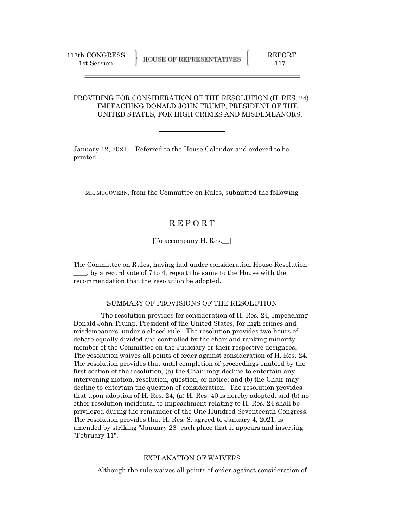#### PROVIDING FOR CONSIDERATION OF THE RESOLUTION (H. RES. 24) IMPEACHING DONALD JOHN TRUMP, PRESIDENT OF THE UNITED STATES, FOR HIGH CRIMES AND MISDEMEANORS.

January 12, 2021.—Referred to the House Calendar and ordered to be printed.

MR. MCGOVERN, from the Committee on Rules, submitted the following

# R E P O R T

[To accompany H. Res.\_\_]

The Committee on Rules, having had under consideration House Resolution \_\_\_\_, by a record vote of 7 to 4, report the same to the House with the recommendation that the resolution be adopted.

#### SUMMARY OF PROVISIONS OF THE RESOLUTION

 The resolution provides for consideration of H. Res. 24, Impeaching Donald John Trump, President of the United States, for high crimes and misdemeanors, under a closed rule. The resolution provides two hours of debate equally divided and controlled by the chair and ranking minority member of the Committee on the Judiciary or their respective designees. The resolution waives all points of order against consideration of H. Res. 24. The resolution provides that until completion of proceedings enabled by the first section of the resolution, (a) the Chair may decline to entertain any intervening motion, resolution, question, or notice; and (b) the Chair may decline to entertain the question of consideration. The resolution provides that upon adoption of H. Res. 24, (a) H. Res. 40 is hereby adopted; and (b) no other resolution incidental to impeachment relating to H. Res. 24 shall be privileged during the remainder of the One Hundred Seventeenth Congress. The resolution provides that H. Res. 8, agreed to January 4, 2021, is amended by striking "January 28" each place that it appears and inserting "February 11".

### EXPLANATION OF WAIVERS

Although the rule waives all points of order against consideration of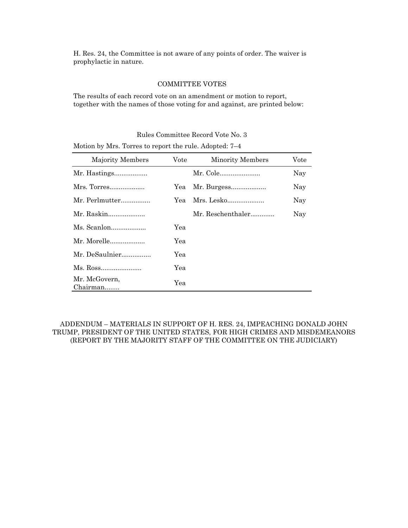H. Res. 24, the Committee is not aware of any points of order. The waiver is prophylactic in nature.

#### COMMITTEE VOTES

The results of each record vote on an amendment or motion to report, together with the names of those voting for and against, are printed below:

| Rules Committee Record Vote No. 3 |  |
|-----------------------------------|--|
|-----------------------------------|--|

Motion by Mrs. Torres to report the rule. Adopted: 7–4

| <b>Majority Members</b>   | Vote | <b>Minority Members</b> | Vote |
|---------------------------|------|-------------------------|------|
| Mr. Hastings              |      |                         | Nay  |
| Mrs. Torres               | Yea  | Mr. Burgess             | Nay  |
| Mr. Perlmutter            | Yea  | Mrs. Lesko              | Nay  |
|                           |      | Mr. Reschenthaler       | Nay  |
| $Ms.$ Scanlon             | Yea  |                         |      |
|                           | Yea  |                         |      |
| Mr. DeSaulnier            | Yea  |                         |      |
|                           | Yea  |                         |      |
| Mr. McGovern,<br>Chairman | Yea  |                         |      |

#### ADDENDUM – MATERIALS IN SUPPORT OF H. RES. 24, IMPEACHING DONALD JOHN TRUMP, PRESIDENT OF THE UNITED STATES, FOR HIGH CRIMES AND MISDEMEANORS (REPORT BY THE MAJORITY STAFF OF THE COMMITTEE ON THE JUDICIARY)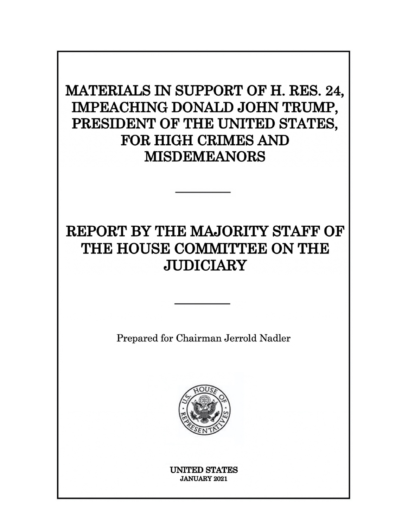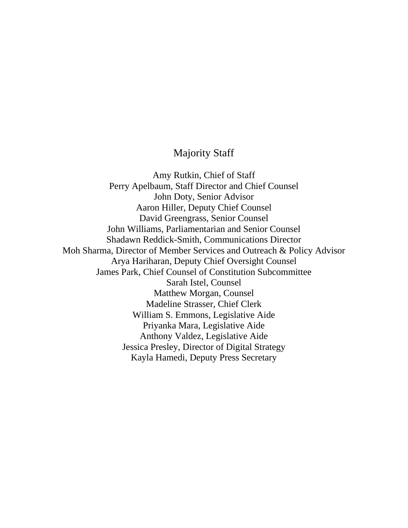# Majority Staff

Amy Rutkin, Chief of Staff Perry Apelbaum, Staff Director and Chief Counsel John Doty, Senior Advisor Aaron Hiller, Deputy Chief Counsel David Greengrass, Senior Counsel John Williams, Parliamentarian and Senior Counsel Shadawn Reddick-Smith, Communications Director Moh Sharma, Director of Member Services and Outreach & Policy Advisor Arya Hariharan, Deputy Chief Oversight Counsel James Park, Chief Counsel of Constitution Subcommittee Sarah Istel, Counsel Matthew Morgan, Counsel Madeline Strasser, Chief Clerk William S. Emmons, Legislative Aide Priyanka Mara, Legislative Aide Anthony Valdez, Legislative Aide Jessica Presley, Director of Digital Strategy Kayla Hamedi, Deputy Press Secretary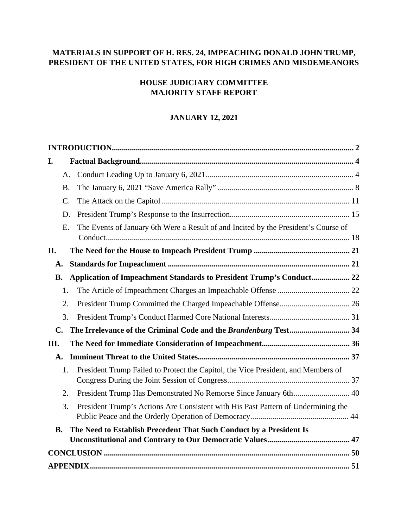# **MATERIALS IN SUPPORT OF H. RES. 24, IMPEACHING DONALD JOHN TRUMP, PRESIDENT OF THE UNITED STATES, FOR HIGH CRIMES AND MISDEMEANORS**

# **HOUSE JUDICIARY COMMITTEE MAJORITY STAFF REPORT**

# **JANUARY 12, 2021**

| Ι.              |                                                                                     |  |
|-----------------|-------------------------------------------------------------------------------------|--|
| А.              |                                                                                     |  |
| <b>B.</b>       |                                                                                     |  |
| $\mathcal{C}$ . |                                                                                     |  |
| D.              |                                                                                     |  |
| E.              | The Events of January 6th Were a Result of and Incited by the President's Course of |  |
| II.             |                                                                                     |  |
| A.              |                                                                                     |  |
| <b>B.</b>       | Application of Impeachment Standards to President Trump's Conduct 22                |  |
| 1.              |                                                                                     |  |
| 2.              |                                                                                     |  |
| 3.              |                                                                                     |  |
| $\mathbf{C}$ .  |                                                                                     |  |
| Ш.              |                                                                                     |  |
| A.              |                                                                                     |  |
| 1.              | President Trump Failed to Protect the Capitol, the Vice President, and Members of   |  |
| 2.              | President Trump Has Demonstrated No Remorse Since January 6th 40                    |  |
| 3.              | President Trump's Actions Are Consistent with His Past Pattern of Undermining the   |  |
| <b>B.</b>       | The Need to Establish Precedent That Such Conduct by a President Is                 |  |
|                 |                                                                                     |  |
|                 |                                                                                     |  |
|                 |                                                                                     |  |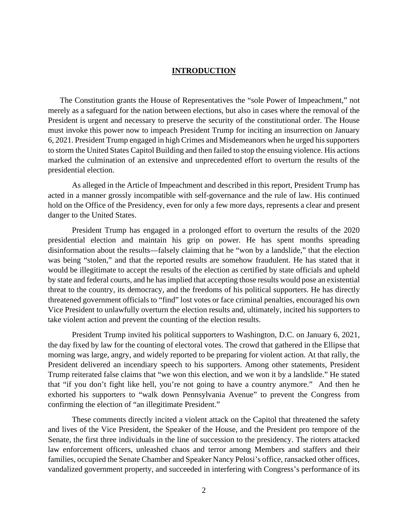### **INTRODUCTION**

<span id="page-5-0"></span>The Constitution grants the House of Representatives the "sole Power of Impeachment," not merely as a safeguard for the nation between elections, but also in cases where the removal of the President is urgent and necessary to preserve the security of the constitutional order. The House must invoke this power now to impeach President Trump for inciting an insurrection on January 6, 2021. President Trump engaged in high Crimes and Misdemeanors when he urged his supporters to storm the United States Capitol Building and then failed to stop the ensuing violence. His actions marked the culmination of an extensive and unprecedented effort to overturn the results of the presidential election.

As alleged in the Article of Impeachment and described in this report, President Trump has acted in a manner grossly incompatible with self-governance and the rule of law. His continued hold on the Office of the Presidency, even for only a few more days, represents a clear and present danger to the United States.

President Trump has engaged in a prolonged effort to overturn the results of the 2020 presidential election and maintain his grip on power. He has spent months spreading disinformation about the results—falsely claiming that he "won by a landslide," that the election was being "stolen," and that the reported results are somehow fraudulent. He has stated that it would be illegitimate to accept the results of the election as certified by state officials and upheld by state and federal courts, and he has implied that accepting those results would pose an existential threat to the country, its democracy, and the freedoms of his political supporters. He has directly threatened government officials to "find" lost votes or face criminal penalties, encouraged his own Vice President to unlawfully overturn the election results and, ultimately, incited his supporters to take violent action and prevent the counting of the election results.

President Trump invited his political supporters to Washington, D.C. on January 6, 2021, the day fixed by law for the counting of electoral votes. The crowd that gathered in the Ellipse that morning was large, angry, and widely reported to be preparing for violent action. At that rally, the President delivered an incendiary speech to his supporters. Among other statements, President Trump reiterated false claims that "we won this election, and we won it by a landslide." He stated that "if you don't fight like hell, you're not going to have a country anymore." And then he exhorted his supporters to "walk down Pennsylvania Avenue" to prevent the Congress from confirming the election of "an illegitimate President."

These comments directly incited a violent attack on the Capitol that threatened the safety and lives of the Vice President, the Speaker of the House, and the President pro tempore of the Senate, the first three individuals in the line of succession to the presidency. The rioters attacked law enforcement officers, unleashed chaos and terror among Members and staffers and their families, occupied the Senate Chamber and Speaker Nancy Pelosi's office, ransacked other offices, vandalized government property, and succeeded in interfering with Congress's performance of its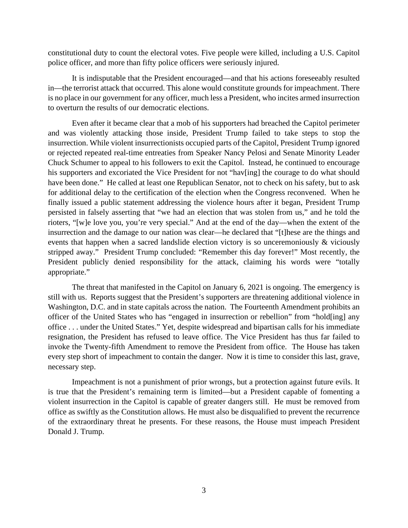constitutional duty to count the electoral votes. Five people were killed, including a U.S. Capitol police officer, and more than fifty police officers were seriously injured.

It is indisputable that the President encouraged—and that his actions foreseeably resulted in—the terrorist attack that occurred. This alone would constitute grounds for impeachment. There is no place in our government for any officer, much less a President, who incites armed insurrection to overturn the results of our democratic elections.

Even after it became clear that a mob of his supporters had breached the Capitol perimeter and was violently attacking those inside, President Trump failed to take steps to stop the insurrection. While violent insurrectionists occupied parts of the Capitol, President Trump ignored or rejected repeated real-time entreaties from Speaker Nancy Pelosi and Senate Minority Leader Chuck Schumer to appeal to his followers to exit the Capitol. Instead, he continued to encourage his supporters and excoriated the Vice President for not "hav[ing] the courage to do what should have been done." He called at least one Republican Senator, not to check on his safety, but to ask for additional delay to the certification of the election when the Congress reconvened. When he finally issued a public statement addressing the violence hours after it began, President Trump persisted in falsely asserting that "we had an election that was stolen from us," and he told the rioters, "[w]e love you, you're very special." And at the end of the day—when the extent of the insurrection and the damage to our nation was clear—he declared that "[t]hese are the things and events that happen when a sacred landslide election victory is so unceremoniously & viciously stripped away." President Trump concluded: "Remember this day forever!" Most recently, the President publicly denied responsibility for the attack, claiming his words were "totally appropriate."

The threat that manifested in the Capitol on January 6, 2021 is ongoing. The emergency is still with us. Reports suggest that the President's supporters are threatening additional violence in Washington, D.C. and in state capitals across the nation. The Fourteenth Amendment prohibits an officer of the United States who has "engaged in insurrection or rebellion" from "hold[ing] any office . . . under the United States." Yet, despite widespread and bipartisan calls for his immediate resignation, the President has refused to leave office. The Vice President has thus far failed to invoke the Twenty-fifth Amendment to remove the President from office. The House has taken every step short of impeachment to contain the danger. Now it is time to consider this last, grave, necessary step.

Impeachment is not a punishment of prior wrongs, but a protection against future evils. It is true that the President's remaining term is limited—but a President capable of fomenting a violent insurrection in the Capitol is capable of greater dangers still. He must be removed from office as swiftly as the Constitution allows. He must also be disqualified to prevent the recurrence of the extraordinary threat he presents. For these reasons, the House must impeach President Donald J. Trump.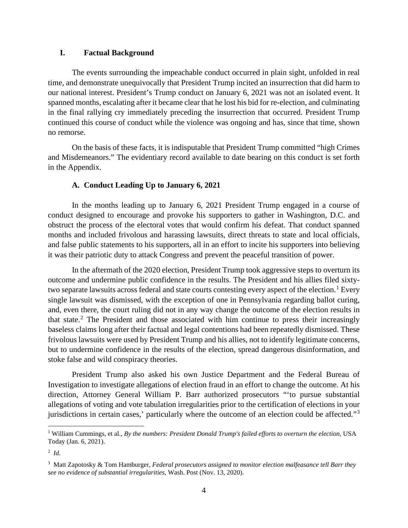### <span id="page-7-0"></span>**I. Factual Background**

The events surrounding the impeachable conduct occurred in plain sight, unfolded in real time, and demonstrate unequivocally that President Trump incited an insurrection that did harm to our national interest. President's Trump conduct on January 6, 2021 was not an isolated event. It spanned months, escalating after it became clear that he lost his bid for re-election, and culminating in the final rallying cry immediately preceding the insurrection that occurred. President Trump continued this course of conduct while the violence was ongoing and has, since that time, shown no remorse.

On the basis of these facts, it is indisputable that President Trump committed "high Crimes and Misdemeanors." The evidentiary record available to date bearing on this conduct is set forth in the Appendix.

### **A. Conduct Leading Up to January 6, 2021**

<span id="page-7-1"></span>In the months leading up to January 6, 2021 President Trump engaged in a course of conduct designed to encourage and provoke his supporters to gather in Washington, D.C. and obstruct the process of the electoral votes that would confirm his defeat. That conduct spanned months and included frivolous and harassing lawsuits, direct threats to state and local officials, and false public statements to his supporters, all in an effort to incite his supporters into believing it was their patriotic duty to attack Congress and prevent the peaceful transition of power.

In the aftermath of the 2020 election, President Trump took aggressive steps to overturn its outcome and undermine public confidence in the results. The President and his allies filed sixty-two separate lawsuits across federal and state courts contesting every aspect of the election.<sup>[1](#page-7-2)</sup> Every single lawsuit was dismissed, with the exception of one in Pennsylvania regarding ballot curing, and, even there, the court ruling did not in any way change the outcome of the election results in that state.<sup>[2](#page-7-3)</sup> The President and those associated with him continue to press their increasingly baseless claims long after their factual and legal contentions had been repeatedly dismissed. These frivolous lawsuits were used by President Trump and his allies, not to identify legitimate concerns, but to undermine confidence in the results of the election, spread dangerous disinformation, and stoke false and wild conspiracy theories.

 President Trump also asked his own Justice Department and the Federal Bureau of Investigation to investigate allegations of election fraud in an effort to change the outcome. At his direction, Attorney General William P. Barr authorized prosecutors "'to pursue substantial allegations of voting and vote tabulation irregularities prior to the certification of elections in your jurisdictions in certain cases,' particularly where the outcome of an election could be affected."<sup>[3](#page-7-4)</sup>

<span id="page-7-2"></span><sup>1</sup> William Cummings, et al., *By the numbers: President Donald Trump's failed efforts to overturn the election*, USA Today (Jan. 6, 2021).

<span id="page-7-3"></span><sup>2</sup> *Id.* 

<span id="page-7-4"></span><sup>3</sup> Matt Zapotosky & Tom Hamburger, *Federal prosecutors assigned to monitor election malfeasance tell Barr they see no evidence of substantial irregularities*, Wash. Post (Nov. 13, 2020).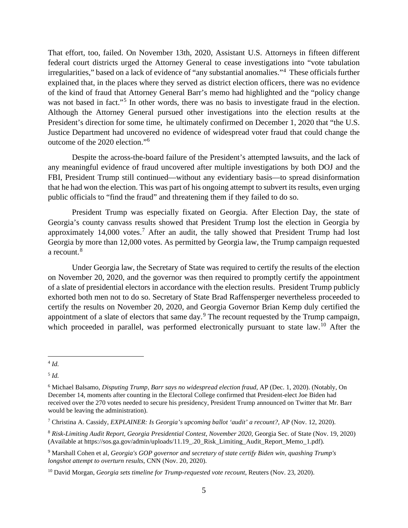That effort, too, failed. On November 13th, 2020, Assistant U.S. Attorneys in fifteen different federal court districts urged the Attorney General to cease investigations into "vote tabulation irregularities," based on a lack of evidence of "any substantial anomalies."[4](#page-8-0) These officials further explained that, in the places where they served as district election officers, there was no evidence of the kind of fraud that Attorney General Barr's memo had highlighted and the "policy change was not based in fact."<sup>[5](#page-8-1)</sup> In other words, there was no basis to investigate fraud in the election. Although the Attorney General pursued other investigations into the election results at the President's direction for some time, he ultimately confirmed on December 1, 2020 that "the U.S. Justice Department had uncovered no evidence of widespread voter fraud that could change the outcome of the 2020 election."[6](#page-8-2)

Despite the across-the-board failure of the President's attempted lawsuits, and the lack of any meaningful evidence of fraud uncovered after multiple investigations by both DOJ and the FBI, President Trump still continued—without any evidentiary basis—to spread disinformation that he had won the election. This was part of his ongoing attempt to subvert its results, even urging public officials to "find the fraud" and threatening them if they failed to do so.

President Trump was especially fixated on Georgia. After Election Day, the state of Georgia's county canvass results showed that President Trump lost the election in Georgia by approximately  $14,000$  votes.<sup>[7](#page-8-3)</sup> After an audit, the tally showed that President Trump had lost Georgia by more than 12,000 votes. As permitted by Georgia law, the Trump campaign requested a recount.<sup>[8](#page-8-4)</sup>

Under Georgia law, the Secretary of State was required to certify the results of the election on November 20, 2020, and the governor was then required to promptly certify the appointment of a slate of presidential electors in accordance with the election results. President Trump publicly exhorted both men not to do so. Secretary of State Brad Raffensperger nevertheless proceeded to certify the results on November 20, 2020, and Georgia Governor Brian Kemp duly certified the appointment of a slate of electors that same day.[9](#page-8-5) The recount requested by the Trump campaign, which proceeded in parallel, was performed electronically pursuant to state law.<sup>[10](#page-8-6)</sup> After the

<span id="page-8-1"></span><sup>5</sup> *Id.* 

<span id="page-8-0"></span> $4$   $Id.$ 

<span id="page-8-2"></span><sup>6</sup> Michael Balsamo, *Disputing Trump, Barr says no widespread election fraud*, AP (Dec. 1, 2020). (Notably, On December 14, moments after counting in the Electoral College confirmed that President-elect Joe Biden had received over the 270 votes needed to secure his presidency, President Trump announced on Twitter that Mr. Barr would be leaving the administration).

<span id="page-8-3"></span><sup>7</sup> Christina A. Cassidy, *EXPLAINER: Is Georgia's upcoming ballot 'audit' a recount?,* AP (Nov. 12, 2020).

<span id="page-8-4"></span><sup>8</sup> *Risk-Limiting Audit Report, Georgia Presidential Contest, November 2020*, Georgia Sec. of State (Nov. 19, 2020) (Available at https://sos.ga.gov/admin/uploads/11.19\_.20\_Risk\_Limiting\_Audit\_Report\_Memo\_1.pdf).

<span id="page-8-5"></span><sup>9</sup> Marshall Cohen et al, *Georgia's GOP governor and secretary of state certify Biden win, quashing Trump's longshot attempt to overturn results*, CNN (Nov. 20, 2020).

<span id="page-8-6"></span><sup>10</sup> David Morgan, *Georgia sets timeline for Trump-requested vote recount*, Reuters (Nov. 23, 2020).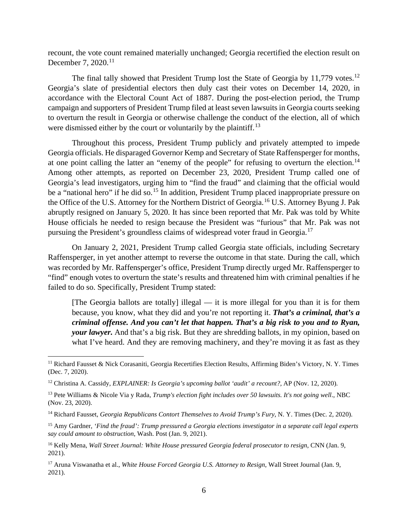recount, the vote count remained materially unchanged; Georgia recertified the election result on December 7, 2020.<sup>[11](#page-9-0)</sup>

The final tally showed that President Trump lost the State of Georgia by 11,779 votes.<sup>[12](#page-9-1)</sup> Georgia's slate of presidential electors then duly cast their votes on December 14, 2020, in accordance with the Electoral Count Act of 1887. During the post-election period, the Trump campaign and supporters of President Trump filed at least seven lawsuits in Georgia courts seeking to overturn the result in Georgia or otherwise challenge the conduct of the election, all of which were dismissed either by the court or voluntarily by the plaintiff.<sup>13</sup>

Throughout this process, President Trump publicly and privately attempted to impede Georgia officials. He disparaged Governor Kemp and Secretary of State Raffensperger for months, at one point calling the latter an "enemy of the people" for refusing to overturn the election.<sup>[14](#page-9-3)</sup> Among other attempts, as reported on December 23, 2020, President Trump called one of Georgia's lead investigators, urging him to "find the fraud" and claiming that the official would be a "national hero" if he did so.<sup>[15](#page-9-4)</sup> In addition, President Trump placed inappropriate pressure on the Office of the U.S. Attorney for the Northern District of Georgia.[16](#page-9-5) U.S. Attorney Byung J. Pak abruptly resigned on January 5, 2020. It has since been reported that Mr. Pak was told by White House officials he needed to resign because the President was "furious" that Mr. Pak was not pursuing the President's groundless claims of widespread voter fraud in Georgia.<sup>[17](#page-9-6)</sup>

On January 2, 2021, President Trump called Georgia state officials, including Secretary Raffensperger, in yet another attempt to reverse the outcome in that state. During the call, which was recorded by Mr. Raffensperger's office, President Trump directly urged Mr. Raffensperger to "find" enough votes to overturn the state's results and threatened him with criminal penalties if he failed to do so. Specifically, President Trump stated:

[The Georgia ballots are totally] illegal — it is more illegal for you than it is for them because, you know, what they did and you're not reporting it. *That's a criminal, that's a criminal offense. And you can't let that happen. That's a big risk to you and to Ryan, your lawyer.* And that's a big risk. But they are shredding ballots, in my opinion, based on what I've heard. And they are removing machinery, and they're moving it as fast as they

<span id="page-9-0"></span><sup>&</sup>lt;sup>11</sup> Richard Fausset & Nick Corasaniti, Georgia Recertifies Election Results, Affirming Biden's Victory, N.Y. Times (Dec. 7, 2020).

<span id="page-9-1"></span><sup>12</sup> Christina A. Cassidy, *EXPLAINER: Is Georgia's upcoming ballot 'audit' a recount?,* AP (Nov. 12, 2020).

<span id="page-9-2"></span><sup>13</sup> Pete Williams & Nicole Via y Rada, *Trump's election fight includes over 50 lawsuits. It's not going well*., NBC (Nov. 23, 2020).

<span id="page-9-3"></span><sup>14</sup> Richard Fausset, *Georgia Republicans Contort Themselves to Avoid Trump's Fury*, N. Y. Times (Dec. 2, 2020).

<span id="page-9-4"></span><sup>15</sup> Amy Gardner, *'Find the fraud': Trump pressured a Georgia elections investigator in a separate call legal experts say could amount to obstruction*, Wash. Post (Jan. 9, 2021).

<span id="page-9-5"></span><sup>&</sup>lt;sup>16</sup> Kelly Mena, *Wall Street Journal: White House pressured Georgia federal prosecutor to resign*, CNN (Jan. 9, 2021).

<span id="page-9-6"></span><sup>17</sup> Aruna Viswanatha et al., *White House Forced Georgia U.S. Attorney to Resign*, Wall Street Journal (Jan. 9, 2021).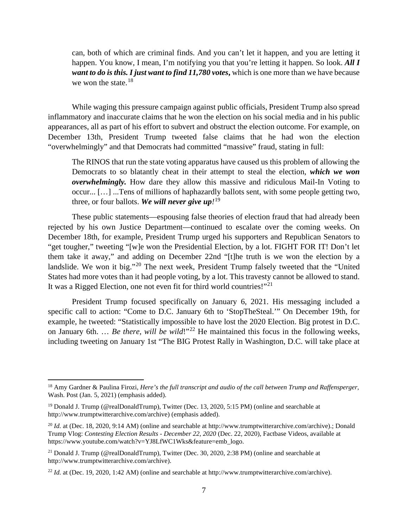can, both of which are criminal finds. And you can't let it happen, and you are letting it happen. You know, I mean, I'm notifying you that you're letting it happen. So look. *All I want to do is this. I just want to find 11,780 votes***,** which is one more than we have because we won the state  $^{18}$  $^{18}$  $^{18}$ .

While waging this pressure campaign against public officials, President Trump also spread inflammatory and inaccurate claims that he won the election on his social media and in his public appearances, all as part of his effort to subvert and obstruct the election outcome. For example, on December 13th, President Trump tweeted false claims that he had won the election "overwhelmingly" and that Democrats had committed "massive" fraud, stating in full:

The RINOS that run the state voting apparatus have caused us this problem of allowing the Democrats to so blatantly cheat in their attempt to steal the election, *which we won overwhelmingly.* How dare they allow this massive and ridiculous Mail-In Voting to occur... […] ...Tens of millions of haphazardly ballots sent, with some people getting two, three, or four ballots. *We will never give up!* [19](#page-10-1) 

These public statements—espousing false theories of election fraud that had already been rejected by his own Justice Department—continued to escalate over the coming weeks. On December 18th, for example, President Trump urged his supporters and Republican Senators to "get tougher," tweeting "[w]e won the Presidential Election, by a lot. FIGHT FOR IT! Don't let them take it away," and adding on December 22nd "[t]he truth is we won the election by a landslide. We won it big."<sup>[20](#page-10-2)</sup> The next week, President Trump falsely tweeted that the "United States had more votes than it had people voting, by a lot. This travesty cannot be allowed to stand. It was a Rigged Election, one not even fit for third world countries!"<sup>[21](#page-10-3)</sup>

President Trump focused specifically on January 6, 2021. His messaging included a specific call to action: "Come to D.C. January 6th to 'StopTheSteal.'" On December 19th, for example, he tweeted: "Statistically impossible to have lost the 2020 Election. Big protest in D.C. on January 6th. ... *Be there, will be wild!*"<sup>22</sup> He maintained this focus in the following weeks, including tweeting on January 1st "The BIG Protest Rally in Washington, D.C. will take place at

<span id="page-10-0"></span><sup>18</sup> Amy Gardner & Paulina Firozi, *Here's the full transcript and audio of the call between Trump and Raffensperger*, Wash. Post (Jan. 5, 2021) (emphasis added).

<span id="page-10-1"></span><sup>&</sup>lt;sup>19</sup> Donald J. Trump (@realDonaldTrump), Twitter (Dec. 13, 2020, 5:15 PM) (online and searchable at http://www.trumptwitterarchive.com/archive) (emphasis added).

<span id="page-10-2"></span><sup>&</sup>lt;sup>20</sup> *Id.* at (Dec. 18, 2020, 9:14 AM) (online and searchable at http://www.trumptwitterarchive.com/archive).; Donald Trump Vlog: *Contesting Election Results - December 22, 2020* (Dec. 22, 2020), Factbase Videos, available at https://www.youtube.com/watch?v=YJ8LfWC1Wks&feature=emb\_logo.

<span id="page-10-3"></span><sup>&</sup>lt;sup>21</sup> Donald J. Trump (@realDonaldTrump), Twitter (Dec. 30, 2020, 2:38 PM) (online and searchable at http://www.trumptwitterarchive.com/archive).

<span id="page-10-4"></span><sup>&</sup>lt;sup>22</sup> *Id.* at (Dec. 19, 2020, 1:42 AM) (online and searchable at http://www.trumptwitterarchive.com/archive).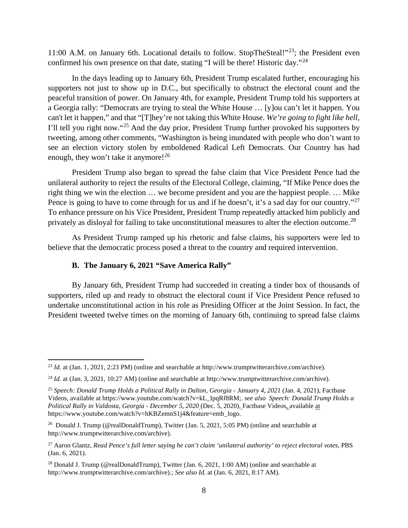11:00 A.M. on January 6th. Locational details to follow. StopTheSteal!"<sup>23</sup>; the President even confirmed his own presence on that date, stating "I will be there! Historic day."[24](#page-11-2)

In the days leading up to January 6th, President Trump escalated further, encouraging his supporters not just to show up in D.C., but specifically to obstruct the electoral count and the peaceful transition of power. On January 4th, for example, President Trump told his supporters at a Georgia rally: "Democrats are trying to steal the White House … [y]ou can't let it happen. You can't let it happen," and that "[T]hey're not taking this White House. *We're going to fight like hell*, I'll tell you right now."[25](#page-11-3) And the day prior, President Trump further provoked his supporters by tweeting, among other comments, "Washington is being inundated with people who don't want to see an election victory stolen by emboldened Radical Left Democrats. Our Country has had enough, they won't take it anymore!<sup>[26](#page-11-4)</sup>

President Trump also began to spread the false claim that Vice President Pence had the unilateral authority to reject the results of the Electoral College, claiming, "If Mike Pence does the right thing we win the election … we become president and you are the happiest people. … Mike Pence is going to have to come through for us and if he doesn't, it's a sad day for our country."<sup>[27](#page-11-5)</sup> To enhance pressure on his Vice President, President Trump repeatedly attacked him publicly and privately as disloyal for failing to take unconstitutional measures to alter the election outcome.<sup>[28](#page-11-6)</sup>

As President Trump ramped up his rhetoric and false claims, his supporters were led to believe that the democratic process posed a threat to the country and required intervention.

## **B. The January 6, 2021 "Save America Rally"**

<span id="page-11-0"></span> By January 6th, President Trump had succeeded in creating a tinder box of thousands of supporters, riled up and ready to obstruct the electoral count if Vice President Pence refused to undertake unconstitutional action in his role as Presiding Officer at the Joint Session. In fact, the President tweeted twelve times on the morning of January 6th, continuing to spread false claims

<span id="page-11-1"></span><sup>&</sup>lt;sup>23</sup> *Id.* at (Jan. 1, 2021, 2:23 PM) (online and searchable at http://www.trumptwitterarchive.com/archive).

<span id="page-11-2"></span><sup>&</sup>lt;sup>24</sup> *Id.* at (Jan. 3, 2021, 10:27 AM) (online and searchable at http://www.trumptwitterarchive.com/archive).

<span id="page-11-3"></span><sup>25</sup> *Speech: Donald Trump Holds a Political Rally in Dalton, Georgia - January 4, 2021* (Jan. 4, 2021), Factbase Videos, available at https://www.youtube.com/watch?v=kL\_IpqRf8RM;. *see also Speech: Donald Trump Holds a Political Rally in Valdosta, Georgia - December 5, 2020* (Dec. 5, 2020), Factbase Videos, available at https://www.youtube.com/watch?v=hKBZemnS1j4&feature=emb\_logo.

<span id="page-11-4"></span><sup>&</sup>lt;sup>26</sup> Donald J. Trump (@realDonaldTrump), Twitter (Jan. 5, 2021, 5:05 PM) (online and searchable at http://www.trumptwitterarchive.com/archive).

<span id="page-11-5"></span><sup>27</sup> Aaron Glantz, *Read Pence's full letter saying he can't claim 'unilateral authority' to reject electoral votes*, PBS (Jan. 6, 2021).

<span id="page-11-6"></span><sup>&</sup>lt;sup>28</sup> Donald J. Trump (@realDonaldTrump), Twitter (Jan. 6, 2021, 1:00 AM) (online and searchable at http://www.trumptwitterarchive.com/archive).; *See also Id.* at (Jan. 6, 2021, 8:17 AM).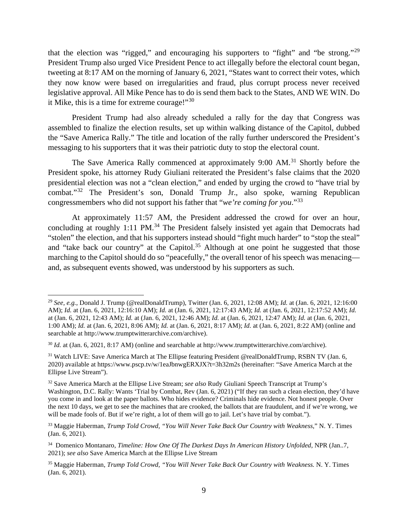that the election was "rigged," and encouraging his supporters to "fight" and "be strong."[29](#page-12-0) President Trump also urged Vice President Pence to act illegally before the electoral count began, tweeting at 8:17 AM on the morning of January 6, 2021, "States want to correct their votes, which they now know were based on irregularities and fraud, plus corrupt process never received legislative approval. All Mike Pence has to do is send them back to the States, AND WE WIN. Do it Mike, this is a time for extreme courage!"<sup>30</sup>

President Trump had also already scheduled a rally for the day that Congress was assembled to finalize the election results, set up within walking distance of the Capitol, dubbed the "Save America Rally." The title and location of the rally further underscored the President's messaging to his supporters that it was their patriotic duty to stop the electoral count.

The Save America Rally commenced at approximately 9:00 AM.<sup>[31](#page-12-2)</sup> Shortly before the President spoke, his attorney Rudy Giuliani reiterated the President's false claims that the 2020 presidential election was not a "clean election," and ended by urging the crowd to "have trial by combat."[32](#page-12-3) The President's son, Donald Trump Jr., also spoke, warning Republican congressmembers who did not support his father that "*we're coming for you*."[33](#page-12-4) 

At approximately 11:57 AM, the President addressed the crowd for over an hour, concluding at roughly 1:11 PM.<sup>[34](#page-12-5)</sup> The President falsely insisted yet again that Democrats had "stolen" the election, and that his supporters instead should "fight much harder" to "stop the steal" and "take back our country" at the Capitol.<sup>[35](#page-12-6)</sup> Although at one point he suggested that those marching to the Capitol should do so "peacefully," the overall tenor of his speech was menacing and, as subsequent events showed, was understood by his supporters as such.

<span id="page-12-0"></span><sup>29</sup> *See, e.g.*, Donald J. Trump (@realDonaldTrump), Twitter (Jan. 6, 2021, 12:08 AM); *Id.* at (Jan. 6, 2021, 12:16:00 AM); *Id.* at (Jan. 6, 2021, 12:16:10 AM); *Id.* at (Jan. 6, 2021, 12:17:43 AM); *Id.* at (Jan. 6, 2021, 12:17:52 AM); *Id.* at (Jan. 6, 2021, 12:43 AM); *Id.* at (Jan. 6, 2021, 12:46 AM); *Id.* at (Jan. 6, 2021, 12:47 AM); *Id.* at (Jan. 6, 2021, 1:00 AM); *Id.* at (Jan. 6, 2021, 8:06 AM); *Id.* at (Jan. 6, 2021, 8:17 AM); *Id.* at (Jan. 6, 2021, 8:22 AM) (online and searchable at http://www.trumptwitterarchive.com/archive).

<span id="page-12-1"></span><sup>30</sup> *Id.* at (Jan. 6, 2021, 8:17 AM) (online and searchable at http://www.trumptwitterarchive.com/archive).

<span id="page-12-2"></span><sup>&</sup>lt;sup>31</sup> Watch LIVE: Save America March at The Ellipse featuring President @realDonaldTrump, RSBN TV (Jan. 6, 2020) available at https://www.pscp.tv/w/1eaJbnwgERXJX?t=3h32m2s (hereinafter: "Save America March at the Ellipse Live Stream").

<span id="page-12-3"></span><sup>32</sup> Save America March at the Ellipse Live Stream; *see also* Rudy Giuliani Speech Transcript at Trump's Washington, D.C. Rally: Wants 'Trial by Combat, Rev (Jan. 6, 2021) ("If they ran such a clean election, they'd have you come in and look at the paper ballots. Who hides evidence? Criminals hide evidence. Not honest people. Over the next 10 days, we get to see the machines that are crooked, the ballots that are fraudulent, and if we're wrong, we will be made fools of. But if we're right, a lot of them will go to jail. Let's have trial by combat.").

<span id="page-12-4"></span><sup>33</sup> Maggie Haberman, *Trump Told Crowd, "You Will Never Take Back Our Country with Weakness*," N. Y. Times (Jan. 6, 2021).

<span id="page-12-5"></span><sup>34</sup> Domenico Montanaro, *Timeline: How One Of The Darkest Days In American History Unfolded*, NPR (Jan..7, 2021); *see also* Save America March at the Ellipse Live Stream

<span id="page-12-6"></span><sup>35</sup> Maggie Haberman, *Trump Told Crowd, "You Will Never Take Back Our Country with Weakness.* N. Y. Times (Jan. 6, 2021).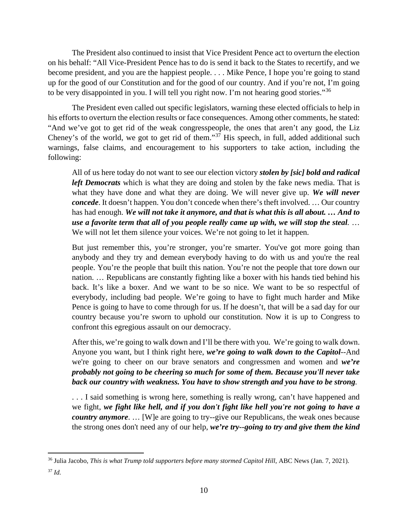The President also continued to insist that Vice President Pence act to overturn the election on his behalf: "All Vice-President Pence has to do is send it back to the States to recertify, and we become president, and you are the happiest people. . . . Mike Pence, I hope you're going to stand up for the good of our Constitution and for the good of our country. And if you're not, I'm going to be very disappointed in you. I will tell you right now. I'm not hearing good stories."[36](#page-13-0)

The President even called out specific legislators, warning these elected officials to help in his efforts to overturn the election results or face consequences. Among other comments, he stated: "And we've got to get rid of the weak congresspeople, the ones that aren't any good, the Liz Cheney's of the world, we got to get rid of them."[37](#page-13-1) His speech, in full, added additional such warnings, false claims, and encouragement to his supporters to take action, including the following:

All of us here today do not want to see our election victory *stolen by [sic] bold and radical left Democrats* which is what they are doing and stolen by the fake news media. That is what they have done and what they are doing. We will never give up. *We will never concede*. It doesn't happen. You don't concede when there's theft involved. … Our country has had enough. *We will not take it anymore, and that is what this is all about. … And to use a favorite term that all of you people really came up with, we will stop the steal.* … We will not let them silence your voices. We're not going to let it happen.

But just remember this, you're stronger, you're smarter. You've got more going than anybody and they try and demean everybody having to do with us and you're the real people. You're the people that built this nation. You're not the people that tore down our nation. … Republicans are constantly fighting like a boxer with his hands tied behind his back. It's like a boxer. And we want to be so nice. We want to be so respectful of everybody, including bad people. We're going to have to fight much harder and Mike Pence is going to have to come through for us. If he doesn't, that will be a sad day for our country because you're sworn to uphold our constitution. Now it is up to Congress to confront this egregious assault on our democracy.

After this, we're going to walk down and I'll be there with you. We're going to walk down. Anyone you want, but I think right here, *we're going to walk down to the Capitol*--And we're going to cheer on our brave senators and congressmen and women and *we're probably not going to be cheering so much for some of them. Because you'll never take back our country with weakness. You have to show strength and you have to be strong.* 

. . . I said something is wrong here, something is really wrong, can't have happened and we fight, *we fight like hell, and if you don't fight like hell you're not going to have a country anymore.* ... [W]e are going to try--give our Republicans, the weak ones because the strong ones don't need any of our help, *we're try--going to try and give them the kind* 

<span id="page-13-1"></span><span id="page-13-0"></span><sup>&</sup>lt;sup>36</sup> Julia Jacobo, *This is what Trump told supporters before many stormed Capitol Hill*, ABC News (Jan. 7, 2021). <sup>37</sup> *Id.*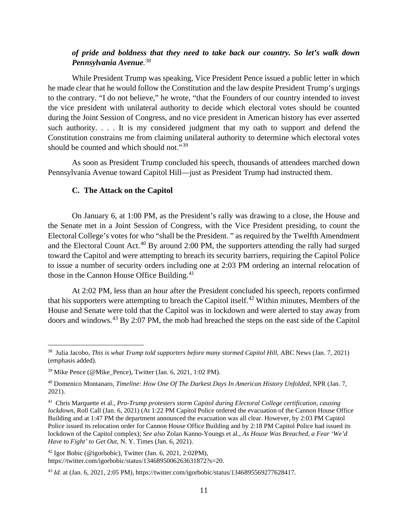# *of pride and boldness that they need to take back our country. So let's walk down Pennsylvania Avenue.* [38](#page-14-1)

While President Trump was speaking, Vice President Pence issued a public letter in which he made clear that he would follow the Constitution and the law despite President Trump's urgings to the contrary. "I do not believe," he wrote, "that the Founders of our country intended to invest the vice president with unilateral authority to decide which electoral votes should be counted during the Joint Session of Congress, and no vice president in American history has ever asserted such authority. . . . It is my considered judgment that my oath to support and defend the Constitution constrains me from claiming unilateral authority to determine which electoral votes should be counted and which should not."<sup>[39](#page-14-2)</sup>

As soon as President Trump concluded his speech, thousands of attendees marched down Pennsylvania Avenue toward Capitol Hill—just as President Trump had instructed them.

### <span id="page-14-0"></span>**C. The Attack on the Capitol**

On January 6, at 1:00 PM, as the President's rally was drawing to a close, the House and the Senate met in a Joint Session of Congress, with the Vice President presiding, to count the Electoral College's votes for who "shall be the President. " as required by the Twelfth Amendment and the Electoral Count Act.<sup>[40](#page-14-3)</sup> By around 2:00 PM, the supporters attending the rally had surged toward the Capitol and were attempting to breach its security barriers, requiring the Capitol Police to issue a number of security orders including one at 2:03 PM ordering an internal relocation of those in the Cannon House Office Building.<sup>41</sup>

At 2:02 PM, less than an hour after the President concluded his speech, reports confirmed that his supporters were attempting to breach the Capitol itself.<sup>[42](#page-14-5)</sup> Within minutes, Members of the House and Senate were told that the Capitol was in lockdown and were alerted to stay away from doors and windows.[43](#page-14-6) By 2:07 PM, the mob had breached the steps on the east side of the Capitol

<span id="page-14-1"></span><sup>&</sup>lt;sup>38</sup> Julia Jacobo, *This is what Trump told supporters before many stormed Capitol Hill*, ABC News (Jan. 7, 2021) (emphasis added).

<span id="page-14-2"></span> $39$  Mike Pence (@Mike\_Pence), Twitter (Jan. 6, 2021, 1:02 PM).

<span id="page-14-3"></span><sup>40</sup> Domenico Montanaro, *Timeline: How One Of The Darkest Days In American History Unfolded*, NPR (Jan. 7, 2021).

<span id="page-14-4"></span><sup>41</sup> Chris Marquette et al., *Pro-Trump protesters storm Capitol during Electoral College certification, causing lockdown*, Roll Call (Jan. 6, 2021) (At 1:22 PM Capitol Police ordered the evacuation of the Cannon House Office Building and at 1:47 PM the department announced the evacuation was all clear. However, by 2:03 PM Capitol Police issued its relocation order for Cannon House Office Building and by 2:18 PM Capitol Police had issued its lockdown of the Capitol complex); *See also* Zolan Kanno-Youngs et al., *As House Was Breached, a Fear 'We'd Have to Fight' to Get Out*, N. Y. Times (Jan. 6, 2021).

<span id="page-14-5"></span> $42$  Igor Bobic (@igorbobic), Twitter (Jan. 6, 2021, 2:02PM), https://twitter.com/igorbobic/status/1346895006263631872?s=20.

<span id="page-14-6"></span><sup>43</sup> *Id.* at (Jan. 6, 2021, 2:05 PM), https://twitter.com/igorbobic/status/1346895569277628417.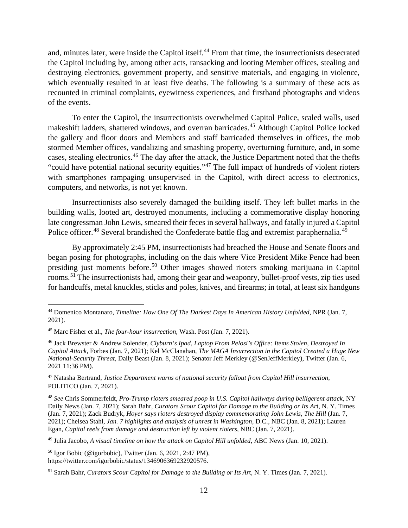and, minutes later, were inside the Capitol itself.<sup>[44](#page-15-0)</sup> From that time, the insurrectionists desecrated the Capitol including by, among other acts, ransacking and looting Member offices, stealing and destroying electronics, government property, and sensitive materials, and engaging in violence, which eventually resulted in at least five deaths. The following is a summary of these acts as recounted in criminal complaints, eyewitness experiences, and firsthand photographs and videos of the events.

 To enter the Capitol, the insurrectionists overwhelmed Capitol Police, scaled walls, used makeshift ladders, shattered windows, and overran barricades.[45](#page-15-1) Although Capitol Police locked the gallery and floor doors and Members and staff barricaded themselves in offices, the mob stormed Member offices, vandalizing and smashing property, overturning furniture, and, in some cases, stealing electronics.[46](#page-15-2) The day after the attack, the Justice Department noted that the thefts "could have potential national security equities."[47](#page-15-3) The full impact of hundreds of violent rioters with smartphones rampaging unsupervised in the Capitol, with direct access to electronics, computers, and networks, is not yet known.

Insurrectionists also severely damaged the building itself. They left bullet marks in the building walls, looted art, destroyed monuments, including a commemorative display honoring late congressman John Lewis, smeared their feces in several hallways, and fatally injured a Capitol Police officer.<sup>48</sup> Several brandished the Confederate battle flag and extremist paraphernalia.<sup>[49](#page-15-5)</sup>

By approximately 2:45 PM, insurrectionists had breached the House and Senate floors and began posing for photographs, including on the dais where Vice President Mike Pence had been presiding just moments before.[50](#page-15-6) Other images showed rioters smoking marijuana in Capitol rooms.[51](#page-15-7) The insurrectionists had, among their gear and weaponry, bullet-proof vests, zip ties used for handcuffs, metal knuckles, sticks and poles, knives, and firearms; in total, at least six handguns

<span id="page-15-3"></span><sup>47</sup> Natasha Bertrand, *Justice Department warns of national security fallout from Capitol Hill insurrection*, POLITICO (Jan. 7, 2021).

<span id="page-15-5"></span><sup>49</sup> Julia Jacobo, *A visual timeline on how the attack on Capitol Hill unfolded*, ABC News (Jan. 10, 2021).

<span id="page-15-6"></span> $50$  Igor Bobic (@igorbobic), Twitter (Jan. 6, 2021, 2:47 PM), https://twitter.com/igorbobic/status/1346906369232920576.

<span id="page-15-0"></span><sup>44</sup> Domenico Montanaro, *Timeline: How One Of The Darkest Days In American History Unfolded*, NPR (Jan. 7, 2021).

<span id="page-15-1"></span><sup>45</sup> Marc Fisher et al., *The four-hour insurrection*, Wash. Post (Jan. 7, 2021).

<span id="page-15-2"></span><sup>46</sup> Jack Brewster & Andrew Solender, *Clyburn's Ipad, Laptop From Pelosi's Office: Items Stolen, Destroyed In Capitol Attack*, Forbes (Jan. 7, 2021); Kel McClanahan, *The MAGA Insurrection in the Capitol Created a Huge New National-Security Threat,* Daily Beast (Jan. 8, 2021); Senator Jeff Merkley (@SenJeffMerkley), Twitter (Jan. 6, 2021 11:36 PM).

<span id="page-15-4"></span><sup>48</sup> *See* Chris Sommerfeldt, *Pro-Trump rioters smeared poop in U.S. Capitol hallways during belligerent attack*, NY Daily News (Jan. 7, 2021); Sarah Bahr, *Curators Scour Capitol for Damage to the Building or Its Ar*t, N. Y. Times (Jan. 7, 2021); Zack Budryk, *Hoyer says rioters destroyed display commemorating John Lewis, The Hill* (Jan. 7, 2021); Chelsea Stahl, *Jan. 7 highlights and analysis of unrest in Washington*, D.C., NBC (Jan. 8, 2021); Lauren Egan*, Capitol reels from damage and destruction left by violent rioters*, NBC (Jan. 7, 2021).

<span id="page-15-7"></span><sup>51</sup> Sarah Bahr, *Curators Scour Capitol for Damage to the Building or Its Ar*t, N. Y. Times (Jan. 7, 2021).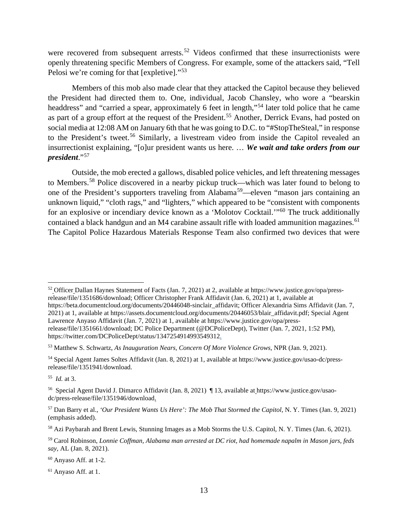were recovered from subsequent arrests.<sup>[52](#page-16-0)</sup> Videos confirmed that these insurrectionists were openly threatening specific Members of Congress. For example, some of the attackers said, "Tell Pelosi we're coming for that [expletive]."<sup>[53](#page-16-1)</sup>

Members of this mob also made clear that they attacked the Capitol because they believed the President had directed them to. One, individual, Jacob Chansley, who wore a "bearskin headdress" and "carried a spear, approximately 6 feet in length,"<sup>[54](#page-16-2)</sup> later told police that he came as part of a group effort at the request of the President.<sup>[55](#page-16-3)</sup> Another, Derrick Evans, had posted on social media at 12:08 AM on January 6th that he was going to D.C. to "#StopTheSteal," in response to the President's tweet.<sup>[56](#page-16-4)</sup> Similarly, a livestream video from inside the Capitol revealed an insurrectionist explaining, "[o]ur president wants us here. … *We wait and take orders from our president*."[57](#page-16-5)

Outside, the mob erected a gallows, disabled police vehicles, and left threatening messages to Members.<sup>[58](#page-16-6)</sup> Police discovered in a nearby pickup truck—which was later found to belong to one of the President's supporters traveling from Alabama[59](#page-16-7)—eleven "mason jars containing an unknown liquid," "cloth rags," and "lighters," which appeared to be "consistent with components for an explosive or incendiary device known as a 'Molotov Cocktail.'"[60](#page-16-8) The truck additionally contained a black handgun and an M4 carabine assault rifle with loaded ammunition magazines.<sup>[61](#page-16-9)</sup> The Capitol Police Hazardous Materials Response Team also confirmed two devices that were

<span id="page-16-0"></span><sup>52</sup> Officer Dallan Haynes Statement of Facts (Jan. 7, 2021) at 2, available at https://www.justice.gov/opa/pressrelease/file/1351686/download; Office[r Christopher Frank Affidavit](https://beta.documentcloud.org/documents/20446048-sinclair_affidavit) (Jan. 6, 2021) at 1, available at https://beta.documentcloud.org/documents/20446048-sinclair\_affidavit; [Officer Alexandria Sims Affidavit](https://beta.documentcloud.org/documents/20446053-blair_affidavit) (Jan. 7, 2021) at 1, available at https://assets.documentcloud.org/documents/20446053/blair\_affidavit.pdf; Special Agent Lawrence Anyaso Affidavit (Jan. 7, 2021) at 1, available at https://www.justice.gov/opa/pressrelease/file/1351661/download; DC Police Department (@DCPoliceDept), Twitter (Jan. 7, 2021, 1:52 PM), https://twitter.com/DCPoliceDept/status/1347254914993549312.

<span id="page-16-8"></span><sup>60</sup> Anyaso Aff. at 1-2.

<span id="page-16-1"></span><sup>53</sup> Matthew S. Schwartz, *As Inauguration Nears, Concern Of More Violence Grows*, NPR (Jan. 9, 2021).

<span id="page-16-2"></span><sup>54</sup> Special Agent James Soltes Affidavit (Jan. 8, 2021) at 1, available at https://www.justice.gov/usao-dc/pressrelease/file/1351941/download.

<span id="page-16-3"></span><sup>55</sup> *Id.* at 3.

<span id="page-16-4"></span><sup>56</sup> Special Agent David J. Dimarco Affidavit (Jan. 8, 2021) ¶ 13, available at https://www.justice.gov/usaodc/press-release/file/1351946/download.

<span id="page-16-5"></span><sup>57</sup> Dan Barry et al., *'Our President Wants Us Here': The Mob That Stormed the Capitol*, N. Y. Times (Jan. 9, 2021) (emphasis added).

<span id="page-16-6"></span><sup>58</sup> Azi Paybarah and Brent Lewis, Stunning Images as a Mob Storms the U.S. Capitol, N. Y. Times (Jan. 6, 2021).

<span id="page-16-7"></span><sup>59</sup> Carol Robinson, *Lonnie Coffman, Alabama man arrested at DC riot, had homemade napalm in Mason jars, feds say*, AL (Jan. 8, 2021).

<span id="page-16-9"></span><sup>61</sup> [Anyaso](https://www.justice.gov/opa/press-release/file/1351661/download) Aff. at 1.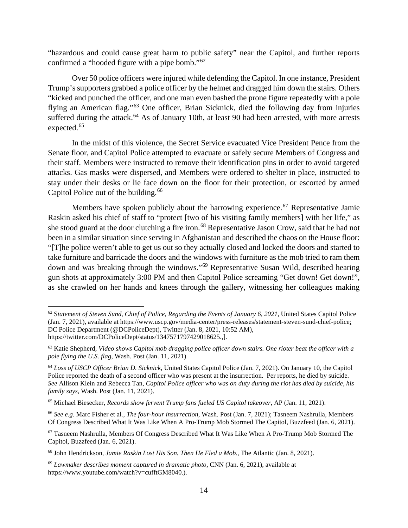"hazardous and could cause great harm to public safety" near the Capitol, and further reports confirmed a "hooded figure with a pipe bomb."[62](#page-17-0)

Over 50 police officers were injured while defending the Capitol. In one instance, President Trump's supporters grabbed a police officer by the helmet and dragged him down the stairs. Others "kicked and punched the officer, and one man even bashed the prone figure repeatedly with a pole flying an American flag."[63](#page-17-1) One officer, Brian Sicknick, died the following day from injuries suffered during the attack.<sup>[64](#page-17-2)</sup> As of January 10th, at least 90 had been arrested, with more arrests expected.<sup>[65](#page-17-3)</sup>

In the midst of this violence, the Secret Service evacuated Vice President Pence from the Senate floor, and Capitol Police attempted to evacuate or safely secure Members of Congress and their staff. Members were instructed to remove their identification pins in order to avoid targeted attacks. Gas masks were dispersed, and Members were ordered to shelter in place, instructed to stay under their desks or lie face down on the floor for their protection, or escorted by armed Capitol Police out of the building.<sup>[66](#page-17-4)</sup>

Members have spoken publicly about the harrowing experience.<sup>[67](#page-17-5)</sup> Representative Jamie Raskin asked his chief of staff to "protect [two of his visiting family members] with her life," as she stood guard at the door clutching a fire iron.<sup>[68](#page-17-6)</sup> Representative Jason Crow, said that he had not been in a similar situation since serving in Afghanistan and described the chaos on the House floor: "[T]he police weren't able to get us out so they actually closed and locked the doors and started to take furniture and barricade the doors and the windows with furniture as the mob tried to ram them down and was breaking through the windows."[69](#page-17-7) Representative Susan Wild, described hearing gun shots at approximately 3:00 PM and then Capitol Police screaming "Get down! Get down!", as she crawled on her hands and knees through the gallery, witnessing her colleagues making

<span id="page-17-0"></span><sup>62</sup> S*tatement of Steven Sund, Chief of Police, Regarding the Events of January 6, 2021,* United States Capitol Police (Jan. 7, 2021), available at https://www.uscp.gov/media-center/press-releases/statement-steven-sund-chief-police; DC Police Department (@DCPoliceDept), Twitter (Jan. 8, 2021, 10:52 AM), https://twitter.com/DCPoliceDept/status/1347571797429018625.,].

<span id="page-17-1"></span><sup>63</sup> Katie Shepherd, *Video shows Capitol mob dragging police officer down stairs. One rioter beat the officer with a pole flying the U.S. flag*, Wash. Post (Jan. 11, 2021)

<span id="page-17-2"></span><sup>64</sup> *Loss of USCP Officer Brian D. Sicknick*, United States Capitol Police (Jan. 7, 2021). On January 10, the Capitol Police reported the death of a second officer who was present at the insurrection. Per reports, he died by suicide. *See* Allison Klein and Rebecca Tan, *Capitol Police officer who was on duty during the riot has died by suicide, his family says,* Wash. Post (Jan. 11, 2021).

<span id="page-17-3"></span><sup>65</sup> Michael Biesecker, *Records show fervent Trump fans fueled US Capitol takeover,* AP (Jan. 11, 2021).

<span id="page-17-4"></span><sup>66</sup> *See e.g.* Marc Fisher et al., *The four-hour insurrection*, Wash. Post (Jan. 7, 2021); Tasneem Nashrulla, Members Of Congress Described What It Was Like When A Pro-Trump Mob Stormed The Capitol, Buzzfeed (Jan. 6, 2021).

<span id="page-17-5"></span><sup>67</sup> Tasneem Nashrulla, Members Of Congress Described What It Was Like When A Pro-Trump Mob Stormed The Capitol, Buzzfeed (Jan. 6, 2021).

<span id="page-17-6"></span><sup>68</sup> John Hendrickson, *Jamie Raskin Lost His Son. Then He Fled a Mob*., The Atlantic (Jan. 8, 2021).

<span id="page-17-7"></span><sup>69</sup> *Lawmaker describes moment captured in dramatic photo*, CNN (Jan. 6, 2021), available at https://www.youtube.com/watch?v=cufftGM8040.).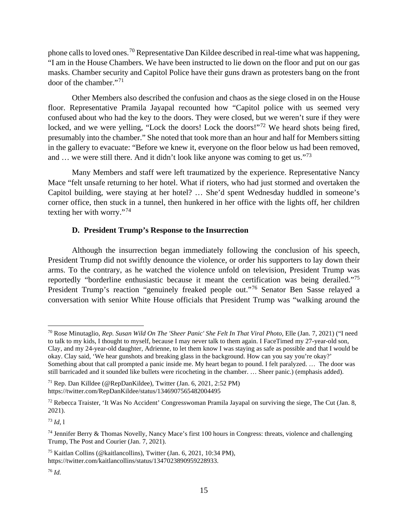phone calls to loved ones.[70](#page-18-1) Representative Dan Kildee described in real-time what was happening, "I am in the House Chambers. We have been instructed to lie down on the floor and put on our gas masks. Chamber security and Capitol Police have their guns drawn as protesters bang on the front door of the chamber."[71](#page-18-2)

Other Members also described the confusion and chaos as the siege closed in on the House floor. Representative Pramila Jayapal recounted how "Capitol police with us seemed very confused about who had the key to the doors. They were closed, but we weren't sure if they were locked, and we were yelling, "Lock the doors! Lock the doors!"<sup>[72](#page-18-3)</sup> We heard shots being fired, presumably into the chamber." She noted that took more than an hour and half for Members sitting in the gallery to evacuate: "Before we knew it, everyone on the floor below us had been removed, and ... we were still there. And it didn't look like anyone was coming to get us."<sup>[73](#page-18-4)</sup>

Many Members and staff were left traumatized by the experience. Representative Nancy Mace "felt unsafe returning to her hotel. What if rioters, who had just stormed and overtaken the Capitol building, were staying at her hotel? … She'd spent Wednesday huddled in someone's corner office, then stuck in a tunnel, then hunkered in her office with the lights off, her children texting her with worry."[74](#page-18-5)

### **D. President Trump's Response to the Insurrection**

<span id="page-18-0"></span>Although the insurrection began immediately following the conclusion of his speech, President Trump did not swiftly denounce the violence, or order his supporters to lay down their arms. To the contrary, as he watched the violence unfold on television, President Trump was reportedly "borderline enthusiastic because it meant the certification was being derailed."[75](#page-18-6) President Trump's reaction "genuinely freaked people out."[76](#page-18-7) Senator Ben Sasse relayed a conversation with senior White House officials that President Trump was "walking around the

<span id="page-18-1"></span><sup>70</sup> Rose Minutaglio, *Rep. Susan Wild On The 'Sheer Panic' She Felt In That Viral Photo*, Elle (Jan. 7, 2021) ("I need to talk to my kids, I thought to myself, because I may never talk to them again. I FaceTimed my 27-year-old son, Clay, and my 24-year-old daughter, Adrienne, to let them know I was staying as safe as possible and that I would be okay. Clay said, 'We hear gunshots and breaking glass in the background. How can you say you're okay?' Something about that call prompted a panic inside me. My heart began to pound. I felt paralyzed. … The door was still barricaded and it sounded like bullets were ricocheting in the chamber. … Sheer panic.) (emphasis added).

<span id="page-18-2"></span><sup>71</sup> Rep. Dan Killdee (@RepDanKildee), Twitter (Jan. 6, 2021, 2:52 PM) https://twitter.com/RepDanKildee/status/1346907565482004495

<span id="page-18-3"></span><sup>&</sup>lt;sup>72</sup> Rebecca Traister, 'It Was No Accident' Congresswoman Pramila Jayapal on surviving the siege, The Cut (Jan. 8, 2021).

<span id="page-18-4"></span><sup>73</sup> *Id,* l

<span id="page-18-5"></span><sup>74</sup> Jennifer Berry & Thomas Novelly, Nancy Mace's first 100 hours in Congress: threats, violence and challenging Trump, The Post and Courier (Jan. 7, 2021).

<span id="page-18-6"></span><sup>75</sup> Kaitlan Collins (@kaitlancollins), Twitter (Jan. 6, 2021, 10:34 PM),

https://twitter.com/kaitlancollins/status/1347023890959228933.

<span id="page-18-7"></span><sup>76</sup> *Id.*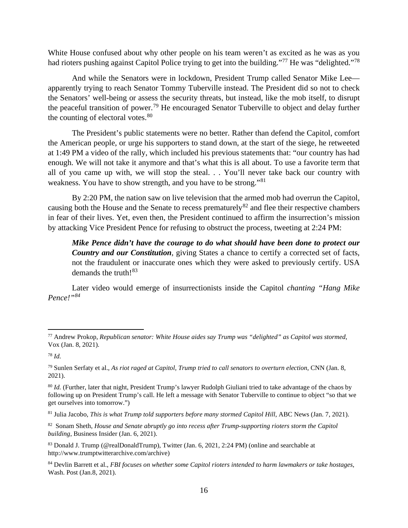White House confused about why other people on his team weren't as excited as he was as you had rioters pushing against Capitol Police trying to get into the building."<sup>[77](#page-19-0)</sup> He was "delighted."<sup>[78](#page-19-1)</sup>

And while the Senators were in lockdown, President Trump called Senator Mike Lee apparently trying to reach Senator Tommy Tuberville instead. The President did so not to check the Senators' well-being or assess the security threats, but instead, like the mob itself, to disrupt the peaceful transition of power.<sup>[79](#page-19-2)</sup> He encouraged Senator Tuberville to object and delay further the counting of electoral votes. $80$ 

The President's public statements were no better. Rather than defend the Capitol, comfort the American people, or urge his supporters to stand down, at the start of the siege, he retweeted at 1:49 PM a video of the rally, which included his previous statements that: "our country has had enough. We will not take it anymore and that's what this is all about. To use a favorite term that all of you came up with, we will stop the steal. . . You'll never take back our country with weakness. You have to show strength, and you have to be strong."[81](#page-19-4)

By 2:20 PM, the nation saw on live television that the armed mob had overrun the Capitol, causing both the House and the Senate to recess prematurely<sup>[82](#page-19-5)</sup> and flee their respective chambers in fear of their lives. Yet, even then, the President continued to affirm the insurrection's mission by attacking Vice President Pence for refusing to obstruct the process, tweeting at 2:24 PM:

*Mike Pence didn't have the courage to do what should have been done to protect our Country and our Constitution*, giving States a chance to certify a corrected set of facts, not the fraudulent or inaccurate ones which they were asked to previously certify. USA demands the truth!<sup>[83](#page-19-6)</sup>

Later video would emerge of insurrectionists inside the Capitol *chanting "Hang Mike Pence!"[84](#page-19-7)*

<span id="page-19-0"></span><sup>77</sup> Andrew Prokop, *Republican senator: White House aides say Trump was "delighted" as Capitol was stormed*, Vox (Jan. 8, 2021).

<span id="page-19-1"></span><sup>78</sup> *Id.*

<span id="page-19-2"></span><sup>79</sup> Sunlen Serfaty et al., *As riot raged at Capitol, Trump tried to call senators to overturn election*, CNN (Jan. 8, 2021).

<span id="page-19-3"></span><sup>80</sup> *Id.* (Further, later that night, President Trump's lawyer Rudolph Giuliani tried to take advantage of the chaos by following up on President Trump's call. He left a message with Senator Tuberville to continue to object "so that we get ourselves into tomorrow.")

<span id="page-19-4"></span><sup>81</sup> Julia Jacobo, *This is what Trump told supporters before many stormed Capitol Hill*, ABC News (Jan. 7, 2021).

<span id="page-19-5"></span><sup>82</sup> Sonam Sheth, *House and Senate abruptly go into recess after Trump-supporting rioters storm the Capitol building*, Business Insider (Jan. 6, 2021).

<span id="page-19-6"></span><sup>83</sup> Donald J. Trump (@realDonaldTrump), Twitter (Jan. 6, 2021, 2:24 PM) (online and searchable at http://www.trumptwitterarchive.com/archive)

<span id="page-19-7"></span><sup>84</sup> Devlin Barrett et al., *FBI focuses on whether some Capitol rioters intended to harm lawmakers or take hostages*, Wash. Post (Jan.8, 2021).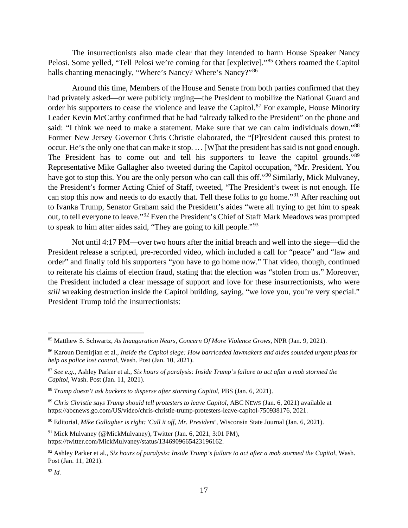The insurrectionists also made clear that they intended to harm House Speaker Nancy Pelosi. Some yelled, "Tell Pelosi we're coming for that [expletive]."[85](#page-20-0) Others roamed the Capitol halls chanting menacingly, "Where's Nancy? Where's Nancy?"<sup>[86](#page-20-1)</sup>

Around this time, Members of the House and Senate from both parties confirmed that they had privately asked—or were publicly urging—the President to mobilize the National Guard and order his supporters to cease the violence and leave the Capitol.<sup>[87](#page-20-2)</sup> For example, House Minority Leader Kevin McCarthy confirmed that he had "already talked to the President" on the phone and said: "I think we need to make a statement. Make sure that we can calm individuals down."<sup>[88](#page-20-3)</sup> Former New Jersey Governor Chris Christie elaborated, the "[P]resident caused this protest to occur. He's the only one that can make it stop. … [W]hat the president has said is not good enough. The President has to come out and tell his supporters to leave the capitol grounds."<sup>[89](#page-20-4)</sup> Representative Mike Gallagher also tweeted during the Capitol occupation, "Mr. President. You have got to stop this. You are the only person who can call this off."<sup>[90](#page-20-5)</sup> Similarly, Mick Mulvaney, the President's former Acting Chief of Staff, tweeted, "The President's tweet is not enough. He can stop this now and needs to do exactly that. Tell these folks to go home."[91](#page-20-6) After reaching out to Ivanka Trump, Senator Graham said the President's aides "were all trying to get him to speak out, to tell everyone to leave."[92](#page-20-7) Even the President's Chief of Staff Mark Meadows was prompted to speak to him after aides said, "They are going to kill people."<sup>[93](#page-20-8)</sup>

Not until 4:17 PM—over two hours after the initial breach and well into the siege—did the President release a scripted, pre-recorded video, which included a call for "peace" and "law and order" and finally told his supporters "you have to go home now." That video, though, continued to reiterate his claims of election fraud, stating that the election was "stolen from us." Moreover, the President included a clear message of support and love for these insurrectionists, who were *still* wreaking destruction inside the Capitol building, saying, "we love you, you're very special." President Trump told the insurrectionists:

<span id="page-20-0"></span><sup>85</sup> Matthew S. Schwartz, *As Inauguration Nears, Concern Of More Violence Grows*, NPR (Jan. 9, 2021).

<span id="page-20-1"></span><sup>86</sup> Karoun Demirjian et al., *Inside the Capitol siege: How barricaded lawmakers and aides sounded urgent pleas for help as police lost control*, Wash. Post (Jan. 10, 2021).

<span id="page-20-2"></span><sup>87</sup> *See e.g.,* Ashley Parker et al., *Six hours of paralysis: Inside Trump's failure to act after a mob stormed the Capitol*, Wash. Post (Jan. 11, 2021).

<span id="page-20-3"></span><sup>88</sup> *Trump doesn't ask backers to disperse after storming Capitol*, PBS (Jan. 6, 2021).

<span id="page-20-4"></span><sup>89</sup> *Chris Christie says Trump should tell protesters to leave Capitol*, ABC NEWS (Jan. 6, 2021) available at https://abcnews.go.com/US/video/chris-christie-trump-protesters-leave-capitol-750938176, 2021.

<span id="page-20-5"></span><sup>90</sup> Editorial, *Mike Gallagher is right: 'Call it off, Mr. President'*, Wisconsin State Journal (Jan. 6, 2021).

<span id="page-20-6"></span><sup>91</sup> Mick Mulvaney (@MickMulvaney), Twitter (Jan. 6, 2021, 3:01 PM), https://twitter.com/MickMulvaney/status/1346909665423196162.

<span id="page-20-7"></span><sup>92</sup> Ashley Parker et al., *Six hours of paralysis: Inside Trump's failure to act after a mob stormed the Capitol*, Wash. Post (Jan. 11, 2021).

<span id="page-20-8"></span><sup>93</sup> *Id.*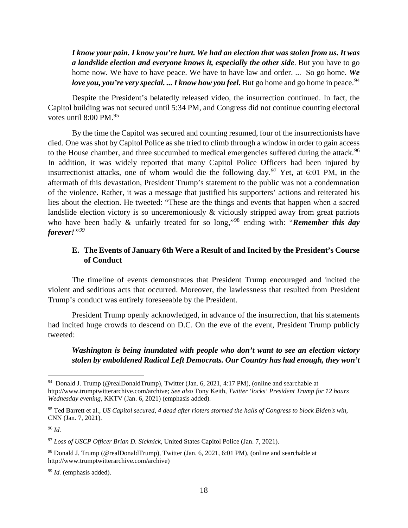*I know your pain. I know you're hurt. We had an election that was stolen from us. It was a landslide election and everyone knows it, especially the other side*. But you have to go home now. We have to have peace. We have to have law and order. ... So go home. *We love you, you're very special. ... I know how you feel.* But go home and go home in peace.<sup>[94](#page-21-1)</sup>

Despite the President's belatedly released video, the insurrection continued. In fact, the Capitol building was not secured until 5:34 PM, and Congress did not continue counting electoral votes until  $8:00 \text{ PM.}^{95}$ 

By the time the Capitol was secured and counting resumed, four of the insurrectionists have died. One was shot by Capitol Police as she tried to climb through a window in order to gain access to the House chamber, and three succumbed to medical emergencies suffered during the attack.<sup>[96](#page-21-3)</sup> In addition, it was widely reported that many Capitol Police Officers had been injured by insurrectionist attacks, one of whom would die the following day.<sup>[97](#page-21-4)</sup> Yet, at 6:01 PM, in the aftermath of this devastation, President Trump's statement to the public was not a condemnation of the violence. Rather, it was a message that justified his supporters' actions and reiterated his lies about the election. He tweeted: "These are the things and events that happen when a sacred landslide election victory is so unceremoniously & viciously stripped away from great patriots who have been badly & unfairly treated for so long,"[98](#page-21-5) ending with: "*Remember this day forever!"[99](#page-21-6)*

# <span id="page-21-0"></span>**E. The Events of January 6th Were a Result of and Incited by the President's Course of Conduct**

 The timeline of events demonstrates that President Trump encouraged and incited the violent and seditious acts that occurred. Moreover, the lawlessness that resulted from President Trump's conduct was entirely foreseeable by the President.

 President Trump openly acknowledged, in advance of the insurrection, that his statements had incited huge crowds to descend on D.C. On the eve of the event, President Trump publicly tweeted:

# *Washington is being inundated with people who don't want to see an election victory stolen by emboldened Radical Left Democrats. Our Country has had enough, they won't*

<span id="page-21-1"></span><sup>&</sup>lt;sup>94</sup> Donald J. Trump (@realDonaldTrump), Twitter (Jan. 6, 2021, 4:17 PM), (online and searchable at http://www.trumptwitterarchive.com/archive; *See also* Tony Keith, *Twitter 'locks' President Trump for 12 hours Wednesday evening*, KKTV (Jan. 6, 2021) (emphasis added).

<span id="page-21-2"></span><sup>95</sup> Ted Barrett et al., *US Capitol secured, 4 dead after rioters stormed the halls of Congress to block Biden's win*, CNN (Jan. 7, 2021).

<span id="page-21-3"></span><sup>96</sup> *Id.* 

<span id="page-21-4"></span><sup>97</sup> *Loss of USCP Officer Brian D. Sicknick*, United States Capitol Police (Jan. 7, 2021).

<span id="page-21-5"></span><sup>98</sup> Donald J. Trump (@realDonaldTrump), Twitter (Jan. 6, 2021, 6:01 PM), (online and searchable at http://www.trumptwitterarchive.com/archive)

<span id="page-21-6"></span><sup>99</sup> *Id.* (emphasis added).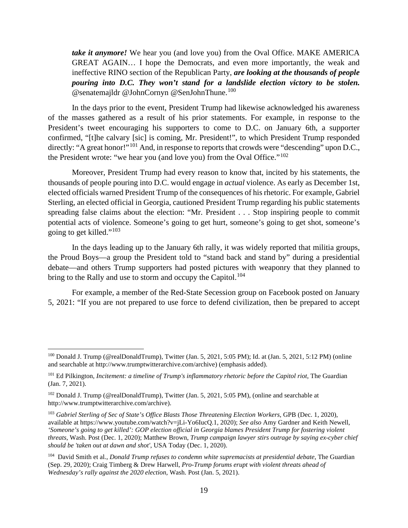*take it anymore!* We hear you (and love you) from the Oval Office. MAKE AMERICA GREAT AGAIN… I hope the Democrats, and even more importantly, the weak and ineffective RINO section of the Republican Party, *are looking at the thousands of people pouring into D.C. They won't stand for a landslide election victory to be stolen.*  @senatemajldr @JohnCornyn @SenJohnThune.[100](#page-22-0)

In the days prior to the event, President Trump had likewise acknowledged his awareness of the masses gathered as a result of his prior statements. For example, in response to the President's tweet encouraging his supporters to come to D.C. on January 6th, a supporter confirmed, "[t]he calvary [sic] is coming, Mr. President!", to which President Trump responded directly: "A great honor!"<sup>[101](#page-22-1)</sup> And, in response to reports that crowds were "descending" upon D.C., the President wrote: "we hear you (and love you) from the Oval Office."[102](#page-22-2)

Moreover, President Trump had every reason to know that, incited by his statements, the thousands of people pouring into D.C. would engage in *actual* violence. As early as December 1st, elected officials warned President Trump of the consequences of his rhetoric. For example, Gabriel Sterling, an elected official in Georgia, cautioned President Trump regarding his public statements spreading false claims about the election: "Mr. President . . . Stop inspiring people to commit potential acts of violence. Someone's going to get hurt, someone's going to get shot, someone's going to get killed."<sup>[103](#page-22-3)</sup>

In the days leading up to the January 6th rally, it was widely reported that militia groups, the Proud Boys—a group the President told to "stand back and stand by" during a presidential debate—and others Trump supporters had posted pictures with weaponry that they planned to bring to the Rally and use to storm and occupy the Capitol.<sup>[104](#page-22-4)</sup>

For example, a member of the Red-State Secession group on Facebook posted on January 5, 2021: "If you are not prepared to use force to defend civilization, then be prepared to accept

<span id="page-22-0"></span><sup>100</sup> Donald J. Trump (@realDonaldTrump), Twitter (Jan. 5, 2021, 5:05 PM); Id. at (Jan. 5, 2021, 5:12 PM) (online and searchable at http://www.trumptwitterarchive.com/archive) (emphasis added).

<span id="page-22-1"></span><sup>101</sup> Ed Pilkington, *Incitement: a timeline of Trump's inflammatory rhetoric before the Capitol riot*, The Guardian (Jan. 7, 2021).

<span id="page-22-2"></span><sup>102</sup> Donald J. Trump (@realDonaldTrump), Twitter (Jan. 5, 2021, 5:05 PM), (online and searchable at http://www.trumptwitterarchive.com/archive).

<span id="page-22-3"></span><sup>103</sup> *Gabriel Sterling of Sec of State's Office Blasts Those Threatening Election Workers*, GPB (Dec. 1, 2020), available at https://www.youtube.com/watch?v=jLi-Yo6IucQ.1, 2020); *See also* Amy Gardner and Keith Newell, *'Someone's going to get killed': GOP election official in Georgia blames President Trump for fostering violent threats*, Wash. Post (Dec. 1, 2020); Matthew Brown, *Trump campaign lawyer stirs outrage by saying ex-cyber chief should be 'taken out at dawn and shot'*, USA Today (Dec. 1, 2020).

<span id="page-22-4"></span><sup>104</sup> David Smith et al., *Donald Trump refuses to condemn white supremacists at presidential debate*, The Guardian (Sep. 29, 2020); Craig Timberg & Drew Harwell, *Pro-Trump forums erupt with violent threats ahead of Wednesday's rally against the 2020 election*, Wash. Post (Jan. 5, 2021).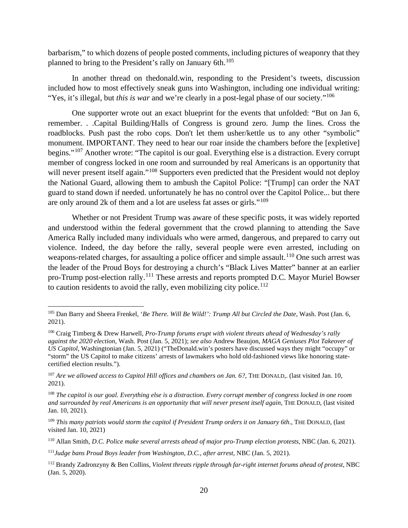barbarism," to which dozens of people posted comments, including pictures of weaponry that they planned to bring to the President's rally on January 6th.<sup>[105](#page-23-0)</sup>

In another thread on thedonald.win, responding to the President's tweets, discussion included how to most effectively sneak guns into Washington, including one individual writing: "Yes, it's illegal, but *this is war* and we're clearly in a post-legal phase of our society."<sup>[106](#page-23-1)</sup>

One supporter wrote out an exact blueprint for the events that unfolded: "But on Jan 6, remember. . .Capital Building/Halls of Congress is ground zero. Jump the lines. Cross the roadblocks. Push past the robo cops. Don't let them usher/kettle us to any other "symbolic" monument. IMPORTANT. They need to hear our roar inside the chambers before the [expletive] begins."[107](#page-23-2) Another wrote: "The capitol is our goal. Everything else is a distraction. Every corrupt member of congress locked in one room and surrounded by real Americans is an opportunity that will never present itself again."<sup>[108](#page-23-3)</sup> Supporters even predicted that the President would not deploy the National Guard, allowing them to ambush the Capitol Police: "[Trump] can order the NAT guard to stand down if needed. unfortunately he has no control over the Capitol Police... but there are only around 2k of them and a lot are useless fat asses or girls."[109](#page-23-4)

Whether or not President Trump was aware of these specific posts, it was widely reported and understood within the federal government that the crowd planning to attending the Save America Rally included many individuals who were armed, dangerous, and prepared to carry out violence. Indeed, the day before the rally, several people were even arrested, including on weapons-related charges, for assaulting a police officer and simple assault.<sup>[110](#page-23-5)</sup> One such arrest was the leader of the Proud Boys for destroying a church's "Black Lives Matter" banner at an earlier pro-Trump post-election rally.<sup>[111](#page-23-6)</sup> These arrests and reports prompted D.C. Mayor Muriel Bowser to caution residents to avoid the rally, even mobilizing city police.<sup>112</sup>

<span id="page-23-0"></span><sup>105</sup> Dan Barry and Sheera Frenkel, '*Be There. Will Be Wild!': Trump All but Circled the Date*, Wash. Post (Jan. 6, 2021).

<span id="page-23-1"></span><sup>106</sup> Craig Timberg & Drew Harwell, *Pro-Trump forums erupt with violent threats ahead of Wednesday's rally against the 2020 election,* Wash. Post (Jan. 5, 2021); *see also* Andrew Beaujon, *MAGA Geniuses Plot Takeover of US Capitol*, Washingtonian (Jan. 5, 2021) ("TheDonald.win's posters have discussed ways they might "occupy" or "storm" the US Capitol to make citizens' arrests of lawmakers who hold old-fashioned views like honoring statecertified election results.").

<span id="page-23-2"></span><sup>107</sup> *Are we allowed access to Capitol Hill offices and chambers on Jan. 6?*, THE DONALD,. (last visited Jan. 10, 2021).

<span id="page-23-3"></span><sup>108</sup> *The capitol is our goal. Everything else is a distraction. Every corrupt member of congress locked in one room and surrounded by real Americans is an opportunity that will never present itself again*, THE DONALD, (last visited Jan. 10, 2021).

<span id="page-23-4"></span><sup>109</sup> *This many patriots would storm the capitol if President Trump orders it on January 6th*., THE DONALD, (last visited Jan. 10, 2021)

<span id="page-23-5"></span><sup>110</sup> Allan Smith, *D.C. Police make several arrests ahead of major pro-Trump election protests*, NBC (Jan. 6, 2021).

<span id="page-23-6"></span><sup>111</sup>*Judge bans Proud Boys leader from Washington, D.C., after arrest*, NBC (Jan. 5, 2021).

<span id="page-23-7"></span><sup>112</sup> Brandy Zadronzyny & Ben Collins, *Violent threats ripple through far-right internet forums ahead of protest*, NBC (Jan. 5, 2020).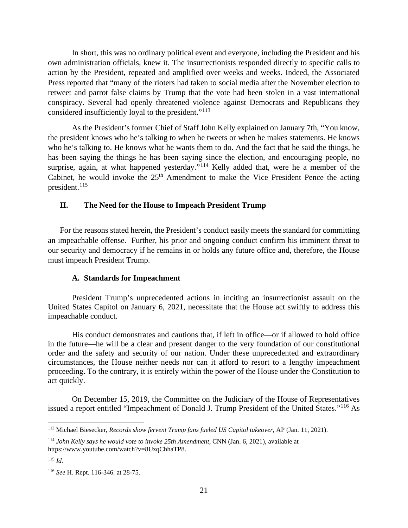In short, this was no ordinary political event and everyone, including the President and his own administration officials, knew it. The insurrectionists responded directly to specific calls to action by the President, repeated and amplified over weeks and weeks. Indeed, the Associated Press reported that "many of the rioters had taken to social media after the November election to retweet and parrot false claims by Trump that the vote had been stolen in a vast international conspiracy. Several had openly threatened violence against Democrats and Republicans they considered insufficiently loyal to the president."[113](#page-24-2)

As the President's former Chief of Staff John Kelly explained on January 7th, "You know, the president knows who he's talking to when he tweets or when he makes statements. He knows who he's talking to. He knows what he wants them to do. And the fact that he said the things, he has been saying the things he has been saying since the election, and encouraging people, no surprise, again, at what happened yesterday."<sup>[114](#page-24-3)</sup> Kelly added that, were he a member of the Cabinet, he would invoke the 25<sup>th</sup> Amendment to make the Vice President Pence the acting president.<sup>[115](#page-24-4)</sup>

## <span id="page-24-0"></span>**II. The Need for the House to Impeach President Trump**

For the reasons stated herein, the President's conduct easily meets the standard for committing an impeachable offense. Further, his prior and ongoing conduct confirm his imminent threat to our security and democracy if he remains in or holds any future office and, therefore, the House must impeach President Trump.

### **A. Standards for Impeachment**

<span id="page-24-1"></span>President Trump's unprecedented actions in inciting an insurrectionist assault on the United States Capitol on January 6, 2021, necessitate that the House act swiftly to address this impeachable conduct.

His conduct demonstrates and cautions that, if left in office—or if allowed to hold office in the future—he will be a clear and present danger to the very foundation of our constitutional order and the safety and security of our nation. Under these unprecedented and extraordinary circumstances, the House neither needs nor can it afford to resort to a lengthy impeachment proceeding. To the contrary, it is entirely within the power of the House under the Constitution to act quickly.

On December 15, 2019, the Committee on the Judiciary of the House of Representatives issued a report entitled "Impeachment of Donald J. Trump President of the United States."[116](#page-24-5) As

<span id="page-24-2"></span><sup>113</sup> Michael Biesecker, *Records show fervent Trump fans fueled US Capitol takeover*, AP (Jan. 11, 2021).

<span id="page-24-3"></span><sup>114</sup> *John Kelly says he would vote to invoke 25th Amendment*, CNN (Jan. 6, 2021), available at https://www.youtube.com/watch?v=8UzqChhaTP8.

<span id="page-24-4"></span> $^{115}$  *Id.* 

<span id="page-24-5"></span><sup>116</sup> *See* H. Rept. 116-346*.* at 28-75.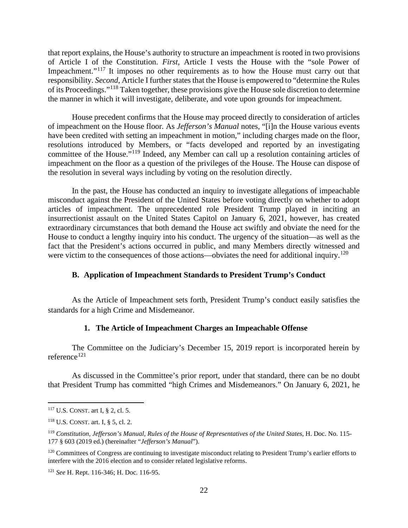that report explains, the House's authority to structure an impeachment is rooted in two provisions of Article I of the Constitution. *First*, Article I vests the House with the "sole Power of Impeachment."<sup>[117](#page-25-2)</sup> It imposes no other requirements as to how the House must carry out that responsibility. *Second*, Article I further states that the House is empowered to "determine the Rules of its Proceedings."[118](#page-25-3) Taken together, these provisions give the House sole discretion to determine the manner in which it will investigate, deliberate, and vote upon grounds for impeachment.

House precedent confirms that the House may proceed directly to consideration of articles of impeachment on the House floor. As *Jefferson's Manual* notes, "[i]n the House various events have been credited with setting an impeachment in motion," including charges made on the floor, resolutions introduced by Members, or "facts developed and reported by an investigating committee of the House."[119](#page-25-4) Indeed, any Member can call up a resolution containing articles of impeachment on the floor as a question of the privileges of the House. The House can dispose of the resolution in several ways including by voting on the resolution directly.

In the past, the House has conducted an inquiry to investigate allegations of impeachable misconduct against the President of the United States before voting directly on whether to adopt articles of impeachment. The unprecedented role President Trump played in inciting an insurrectionist assault on the United States Capitol on January 6, 2021, however, has created extraordinary circumstances that both demand the House act swiftly and obviate the need for the House to conduct a lengthy inquiry into his conduct. The urgency of the situation—as well as the fact that the President's actions occurred in public, and many Members directly witnessed and were victim to the consequences of those actions—obviates the need for additional inquiry.<sup>[120](#page-25-5)</sup>

## <span id="page-25-0"></span>**B. Application of Impeachment Standards to President Trump's Conduct**

As the Article of Impeachment sets forth, President Trump's conduct easily satisfies the standards for a high Crime and Misdemeanor.

### **1. The Article of Impeachment Charges an Impeachable Offense**

<span id="page-25-1"></span>The Committee on the Judiciary's December 15, 2019 report is incorporated herein by reference<sup>[121](#page-25-6)</sup>

As discussed in the Committee's prior report, under that standard, there can be no doubt that President Trump has committed "high Crimes and Misdemeanors." On January 6, 2021, he

<span id="page-25-2"></span><sup>117</sup> U.S. CONST. art I, § 2, cl. 5.

<span id="page-25-3"></span><sup>118</sup> U.S. CONST. art. I, § 5, cl. 2.

<span id="page-25-4"></span><sup>119</sup> *Constitution, Jefferson's Manual, Rules of the House of Representatives of the United States*, H. Doc. No. 115- 177 § 603 (2019 ed.) (hereinafter "*Jefferson's Manual*").

<span id="page-25-5"></span><sup>&</sup>lt;sup>120</sup> Committees of Congress are continuing to investigate misconduct relating to President Trump's earlier efforts to interfere with the 2016 election and to consider related legislative reforms.

<span id="page-25-6"></span><sup>121</sup> *See* H. Rept. 116-346; H. Doc. 116-95.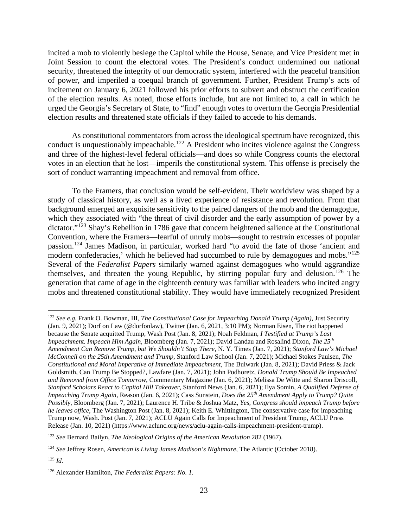incited a mob to violently besiege the Capitol while the House, Senate, and Vice President met in Joint Session to count the electoral votes. The President's conduct undermined our national security, threatened the integrity of our democratic system, interfered with the peaceful transition of power, and imperiled a coequal branch of government. Further, President Trump's acts of incitement on January 6, 2021 followed his prior efforts to subvert and obstruct the certification of the election results. As noted, those efforts include, but are not limited to, a call in which he urged the Georgia's Secretary of State, to "find" enough votes to overturn the Georgia Presidential election results and threatened state officials if they failed to accede to his demands.

As constitutional commentators from across the ideological spectrum have recognized, this conduct is unquestionably impeachable.[122](#page-26-0) A President who incites violence against the Congress and three of the highest-level federal officials—and does so while Congress counts the electoral votes in an election that he lost—imperils the constitutional system. This offense is precisely the sort of conduct warranting impeachment and removal from office.

To the Framers, that conclusion would be self-evident. Their worldview was shaped by a study of classical history, as well as a lived experience of resistance and revolution. From that background emerged an exquisite sensitivity to the paired dangers of the mob and the demagogue, which they associated with "the threat of civil disorder and the early assumption of power by a dictator."<sup>123</sup> Shay's Rebellion in 1786 gave that concern heightened salience at the Constitutional Convention, where the Framers—fearful of unruly mobs—sought to restrain excesses of popular passion.[124](#page-26-2) James Madison, in particular, worked hard "to avoid the fate of those 'ancient and modern confederacies,' which he believed had succumbed to rule by demagogues and mobs."<sup>[125](#page-26-3)</sup> Several of the *Federalist Papers* similarly warned against demagogues who would aggrandize themselves, and threaten the young Republic, by stirring popular fury and delusion.<sup>[126](#page-26-4)</sup> The generation that came of age in the eighteenth century was familiar with leaders who incited angry mobs and threatened constitutional stability. They would have immediately recognized President

<span id="page-26-0"></span><sup>122</sup> *See e.g.* Frank O. Bowman, III, *The Constitutional Case for Impeaching Donald Trump (Again)*, Just Security (Jan. 9, 2021); Dorf on Law (@dorfonlaw), Twitter (Jan. 6, 2021, 3:10 PM); Norman Eisen, The riot happened because the Senate acquitted Trump, Wash Post (Jan. 8, 2021); Noah Feldman, *I Testified at Trump's Last Impeachment. Impeach Him Again*, Bloomberg (Jan. 7, 2021); David Landau and Rosalind Dixon, *The 25th Amendment Can Remove Trump, but We Shouldn't Stop There*, N. Y. Times (Jan. 7, 2021); *Stanford Law's Michael McConnell on the 25th Amendment and Trump*, Stanford Law School (Jan. 7, 2021); Michael Stokes Paulsen, *The Constitutional and Moral Imperative of Immediate Impeachment*, The Bulwark (Jan. 8, 2021); David Priess & Jack Goldsmith, Can Trump Be Stopped?, Lawfare (Jan. 7, 2021); John Podhoretz, *Donald Trump Should Be Impeached and Removed from Office Tomorrow*, Commentary Magazine (Jan. 6, 2021); Melissa De Witte and Sharon Driscoll, *Stanford Scholars React to Capitol Hill Takeover*, Stanford News (Jan. 6, 2021); Ilya Somin, *A Qualified Defense of Impeaching Trump Again*, Reason (Jan. 6, 2021); Cass Sunstein, *Does the 25th Amendment Apply to Trump? Quite Possibly*, Bloomberg (Jan. 7, 2021); Laurence H. Tribe & Joshua Matz, *Yes, Congress should impeach Trump before he leaves office*, The Washington Post (Jan. 8, 2021); Keith E. Whittington, The conservative case for impeaching Trump now, Wash. Post (Jan. 7, 2021); ACLU Again Calls for Impeachment of President Trump, ACLU Press Release (Jan. 10, 2021) (https://www.aclunc.org/news/aclu-again-calls-impeachment-president-trump).

<span id="page-26-1"></span><sup>123</sup> *See* Bernard Bailyn, *The Ideological Origins of the American Revolution* 282 (1967).

<span id="page-26-2"></span><sup>124</sup> *See* Jeffrey Rosen, *American is Living James Madison's Nightmare*, The Atlantic (October 2018).

<span id="page-26-3"></span><sup>125</sup> *Id.*

<span id="page-26-4"></span><sup>126</sup> Alexander Hamilton, *The Federalist Papers: No. 1.*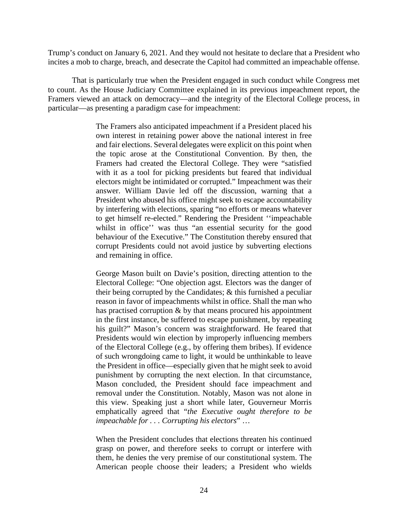Trump's conduct on January 6, 2021. And they would not hesitate to declare that a President who incites a mob to charge, breach, and desecrate the Capitol had committed an impeachable offense.

That is particularly true when the President engaged in such conduct while Congress met to count. As the House Judiciary Committee explained in its previous impeachment report, the Framers viewed an attack on democracy—and the integrity of the Electoral College process, in particular—as presenting a paradigm case for impeachment:

> The Framers also anticipated impeachment if a President placed his own interest in retaining power above the national interest in free and fair elections. Several delegates were explicit on this point when the topic arose at the Constitutional Convention. By then, the Framers had created the Electoral College. They were "satisfied with it as a tool for picking presidents but feared that individual electors might be intimidated or corrupted." Impeachment was their answer. William Davie led off the discussion, warning that a President who abused his office might seek to escape accountability by interfering with elections, sparing "no efforts or means whatever to get himself re-elected." Rendering the President ''impeachable whilst in office'' was thus "an essential security for the good behaviour of the Executive." The Constitution thereby ensured that corrupt Presidents could not avoid justice by subverting elections and remaining in office.

> George Mason built on Davie's position, directing attention to the Electoral College: "One objection agst. Electors was the danger of their being corrupted by the Candidates; & this furnished a peculiar reason in favor of impeachments whilst in office. Shall the man who has practised corruption & by that means procured his appointment in the first instance, be suffered to escape punishment, by repeating his guilt?" Mason's concern was straightforward. He feared that Presidents would win election by improperly influencing members of the Electoral College (e.g., by offering them bribes). If evidence of such wrongdoing came to light, it would be unthinkable to leave the President in office—especially given that he might seek to avoid punishment by corrupting the next election. In that circumstance, Mason concluded, the President should face impeachment and removal under the Constitution. Notably, Mason was not alone in this view. Speaking just a short while later, Gouverneur Morris emphatically agreed that "*the Executive ought therefore to be impeachable for . . . Corrupting his electors*" …

> When the President concludes that elections threaten his continued grasp on power, and therefore seeks to corrupt or interfere with them, he denies the very premise of our constitutional system. The American people choose their leaders; a President who wields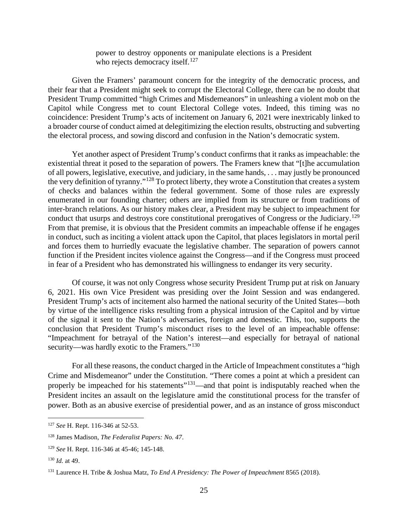power to destroy opponents or manipulate elections is a President who rejects democracy itself. $127$ 

Given the Framers' paramount concern for the integrity of the democratic process, and their fear that a President might seek to corrupt the Electoral College, there can be no doubt that President Trump committed "high Crimes and Misdemeanors" in unleashing a violent mob on the Capitol while Congress met to count Electoral College votes. Indeed, this timing was no coincidence: President Trump's acts of incitement on January 6, 2021 were inextricably linked to a broader course of conduct aimed at delegitimizing the election results, obstructing and subverting the electoral process, and sowing discord and confusion in the Nation's democratic system.

Yet another aspect of President Trump's conduct confirms that it ranks as impeachable: the existential threat it posed to the separation of powers. The Framers knew that "[t]he accumulation of all powers, legislative, executive, and judiciary, in the same hands, . . . may justly be pronounced the very definition of tyranny."[128](#page-28-1) To protect liberty, they wrote a Constitution that creates a system of checks and balances within the federal government. Some of those rules are expressly enumerated in our founding charter; others are implied from its structure or from traditions of inter-branch relations. As our history makes clear, a President may be subject to impeachment for conduct that usurps and destroys core constitutional prerogatives of Congress or the Judiciary.<sup>[129](#page-28-2)</sup> From that premise, it is obvious that the President commits an impeachable offense if he engages in conduct, such as inciting a violent attack upon the Capitol, that places legislators in mortal peril and forces them to hurriedly evacuate the legislative chamber. The separation of powers cannot function if the President incites violence against the Congress—and if the Congress must proceed in fear of a President who has demonstrated his willingness to endanger its very security.

Of course, it was not only Congress whose security President Trump put at risk on January 6, 2021. His own Vice President was presiding over the Joint Session and was endangered. President Trump's acts of incitement also harmed the national security of the United States—both by virtue of the intelligence risks resulting from a physical intrusion of the Capitol and by virtue of the signal it sent to the Nation's adversaries, foreign and domestic. This, too, supports the conclusion that President Trump's misconduct rises to the level of an impeachable offense: "Impeachment for betrayal of the Nation's interest—and especially for betrayal of national security—was hardly exotic to the Framers."<sup>[130](#page-28-3)</sup>

For all these reasons, the conduct charged in the Article of Impeachment constitutes a "high Crime and Misdemeanor" under the Constitution. "There comes a point at which a president can properly be impeached for his statements<sup>"131</sup>—and that point is indisputably reached when the President incites an assault on the legislature amid the constitutional process for the transfer of power. Both as an abusive exercise of presidential power, and as an instance of gross misconduct

<span id="page-28-0"></span><sup>127</sup> *See* H. Rept. 116-346 at 52-53.

<span id="page-28-1"></span><sup>128</sup> James Madison, *The Federalist Papers: No. 47*.

<span id="page-28-2"></span><sup>129</sup> *See* H. Rept. 116-346 at 45-46; 145-148.

<span id="page-28-3"></span><sup>130</sup> *Id.* at 49.

<span id="page-28-4"></span><sup>131</sup> Laurence H. Tribe & Joshua Matz, *To End A Presidency: The Power of Impeachment* 8565 (2018).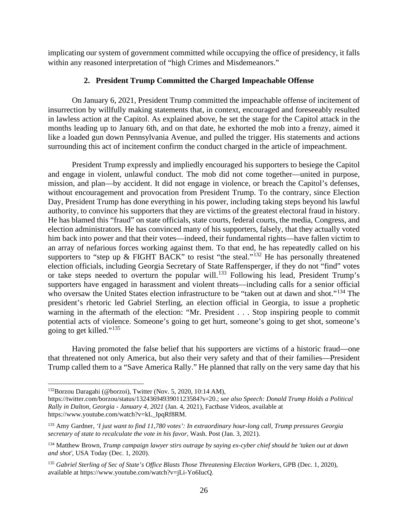implicating our system of government committed while occupying the office of presidency, it falls within any reasoned interpretation of "high Crimes and Misdemeanors."

## **2. President Trump Committed the Charged Impeachable Offense**

<span id="page-29-0"></span>On January 6, 2021, President Trump committed the impeachable offense of incitement of insurrection by willfully making statements that, in context, encouraged and foreseeably resulted in lawless action at the Capitol. As explained above, he set the stage for the Capitol attack in the months leading up to January 6th, and on that date, he exhorted the mob into a frenzy, aimed it like a loaded gun down Pennsylvania Avenue, and pulled the trigger. His statements and actions surrounding this act of incitement confirm the conduct charged in the article of impeachment.

President Trump expressly and impliedly encouraged his supporters to besiege the Capitol and engage in violent, unlawful conduct. The mob did not come together—united in purpose, mission, and plan—by accident. It did not engage in violence, or breach the Capitol's defenses, without encouragement and provocation from President Trump. To the contrary, since Election Day, President Trump has done everything in his power, including taking steps beyond his lawful authority, to convince his supporters that they are victims of the greatest electoral fraud in history. He has blamed this "fraud" on state officials, state courts, federal courts, the media, Congress, and election administrators. He has convinced many of his supporters, falsely, that they actually voted him back into power and that their votes—indeed, their fundamental rights—have fallen victim to an array of nefarious forces working against them. To that end, he has repeatedly called on his supporters to "step up & FIGHT BACK" to resist "the steal."<sup>[132](#page-29-1)</sup> He has personally threatened election officials, including Georgia Secretary of State Raffensperger, if they do not "find" votes or take steps needed to overturn the popular will.<sup>[133](#page-29-2)</sup> Following his lead, President Trump's supporters have engaged in harassment and violent threats—including calls for a senior official who oversaw the United States election infrastructure to be "taken out at dawn and shot."<sup>[134](#page-29-3)</sup> The president's rhetoric led Gabriel Sterling, an election official in Georgia, to issue a prophetic warning in the aftermath of the election: "Mr. President . . . Stop inspiring people to commit potential acts of violence. Someone's going to get hurt, someone's going to get shot, someone's going to get killed."[135](#page-29-4)

Having promoted the false belief that his supporters are victims of a historic fraud—one that threatened not only America, but also their very safety and that of their families—President Trump called them to a "Save America Rally." He planned that rally on the very same day that his

<span id="page-29-1"></span><sup>132</sup>Borzou Daragahi (@borzoi), Twitter (Nov. 5, 2020, 10:14 AM),

https://twitter.com/borzou/status/1324369493901123584?s=20.; *see also Speech: Donald Trump Holds a Political Rally in Dalton, Georgia - January 4, 2021* (Jan. 4, 2021), Factbase Videos, available at https://www.youtube.com/watch?v=kL\_IpqRf8RM.

<span id="page-29-2"></span><sup>133</sup> Amy Gardner, *'I just want to find 11,780 votes': In extraordinary hour-long call, Trump pressures Georgia secretary of state to recalculate the vote in his favor*, Wash. Post (Jan. 3, 2021).

<span id="page-29-3"></span><sup>134</sup> Matthew Brown, *Trump campaign lawyer stirs outrage by saying ex-cyber chief should be 'taken out at dawn and shot'*, USA Today (Dec. 1, 2020).

<span id="page-29-4"></span><sup>135</sup> *Gabriel Sterling of Sec of State's Office Blasts Those Threatening Election Workers*, GPB (Dec. 1, 2020), available at https://www.youtube.com/watch?v=jLi-Yo6IucQ.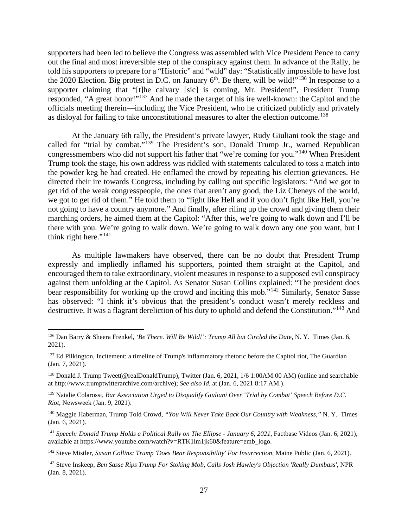supporters had been led to believe the Congress was assembled with Vice President Pence to carry out the final and most irreversible step of the conspiracy against them. In advance of the Rally, he told his supporters to prepare for a "Historic" and "wild" day: "Statistically impossible to have lost the 2020 Election. Big protest in D.C. on January  $6<sup>th</sup>$ . Be there, will be wild!"<sup>[136](#page-30-0)</sup> In response to a supporter claiming that "[t]he calvary [sic] is coming, Mr. President!", President Trump responded, "A great honor!"[137](#page-30-1) And he made the target of his ire well-known: the Capitol and the officials meeting therein—including the Vice President, who he criticized publicly and privately as disloyal for failing to take unconstitutional measures to alter the election outcome.<sup>[138](#page-30-2)</sup>

At the January 6th rally, the President's private lawyer, Rudy Giuliani took the stage and called for "trial by combat."<sup>[139](#page-30-3)</sup> The President's son, Donald Trump Jr., warned Republican congressmembers who did not support his father that "we're coming for you."[140](#page-30-4) When President Trump took the stage, his own address was riddled with statements calculated to toss a match into the powder keg he had created. He enflamed the crowd by repeating his election grievances. He directed their ire towards Congress, including by calling out specific legislators: "And we got to get rid of the weak congresspeople, the ones that aren't any good, the Liz Cheneys of the world, we got to get rid of them." He told them to "fight like Hell and if you don't fight like Hell, you're not going to have a country anymore." And finally, after riling up the crowd and giving them their marching orders, he aimed them at the Capitol: "After this, we're going to walk down and I'll be there with you. We're going to walk down. We're going to walk down any one you want, but I think right here." $141$ 

As multiple lawmakers have observed, there can be no doubt that President Trump expressly and impliedly inflamed his supporters, pointed them straight at the Capitol, and encouraged them to take extraordinary, violent measures in response to a supposed evil conspiracy against them unfolding at the Capitol. As Senator Susan Collins explained: "The president does bear responsibility for working up the crowd and inciting this mob.<sup>"[142](#page-30-6)</sup> Similarly, Senator Sasse has observed: "I think it's obvious that the president's conduct wasn't merely reckless and destructive. It was a flagrant dereliction of his duty to uphold and defend the Constitution."[143](#page-30-7) And

<span id="page-30-0"></span><sup>&</sup>lt;sup>136</sup> Dan Barry & Sheera Frenkel, *'Be There. Will Be Wild!': Trump All but Circled the Date*, N. Y. Times (Jan. 6, 2021).

<span id="page-30-1"></span><sup>&</sup>lt;sup>137</sup> Ed Pilkington, Incitement: a timeline of Trump's inflammatory rhetoric before the Capitol riot, The Guardian (Jan. 7, 2021).

<span id="page-30-2"></span><sup>&</sup>lt;sup>138</sup> Donald J. Trump Tweet(@realDonaldTrump), Twitter (Jan. 6, 2021, 1/6 1:00AM:00 AM) (online and searchable at http://www.trumptwitterarchive.com/archive); *See also Id.* at (Jan. 6, 2021 8:17 AM.).

<span id="page-30-3"></span><sup>139</sup> Natalie Colarossi, *Bar Association Urged to Disqualify Giuliani Over 'Trial by Combat' Speech Before D.C. Riot*, Newsweek (Jan. 9, 2021).

<span id="page-30-4"></span><sup>140</sup> Maggie Haberman, Trump Told Crowd, *"You Will Never Take Back Our Country with Weakness,"* N. Y. Times (Jan. 6, 2021).

<span id="page-30-5"></span><sup>141</sup> *Speech: Donald Trump Holds a Political Rally on The Ellipse - January 6, 2021*, Factbase Videos (Jan. 6, 2021), available at https://www.youtube.com/watch?v=RTK1lm1jk60&feature=emb\_logo.

<span id="page-30-6"></span><sup>142</sup> Steve Mistler, *Susan Collins: Trump 'Does Bear Responsibility' For Insurrection*, Maine Public (Jan. 6, 2021).

<span id="page-30-7"></span><sup>143</sup> Steve Inskeep, *Ben Sasse Rips Trump For Stoking Mob, Calls Josh Hawley's Objection 'Really Dumbass'*, NPR (Jan. 8, 2021).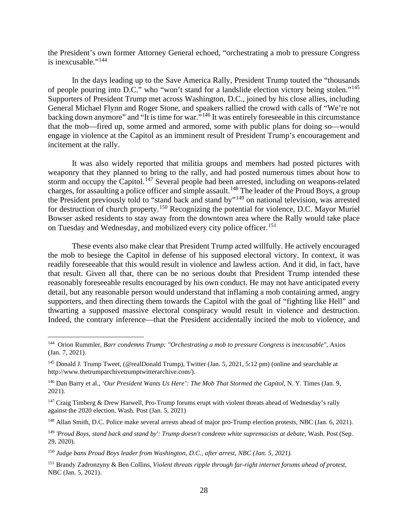the President's own former Attorney General echoed, "orchestrating a mob to pressure Congress is inexcusable." $144$ 

In the days leading up to the Save America Rally, President Trump touted the "thousands of people pouring into D.C." who "won't stand for a landslide election victory being stolen."[145](#page-31-1) Supporters of President Trump met across Washington, D.C., joined by his close allies, including General Michael Flynn and Roger Stone, and speakers rallied the crowd with calls of "We're not backing down anymore" and "It is time for war."[146](#page-31-2) It was entirely foreseeable in this circumstance that the mob—fired up, some armed and armored, some with public plans for doing so—would engage in violence at the Capitol as an imminent result of President Trump's encouragement and incitement at the rally.

It was also widely reported that militia groups and members had posted pictures with weaponry that they planned to bring to the rally, and had posted numerous times about how to storm and occupy the Capitol.<sup>[147](#page-31-3)</sup> Several people had been arrested, including on weapons-related charges, for assaulting a police officer and simple assault.<sup>[148](#page-31-4)</sup> The leader of the Proud Boys, a group the President previously told to "stand back and stand by"[149](#page-31-5) on national television, was arrested for destruction of church property.[150](#page-31-6) Recognizing the potential for violence, D.C. Mayor Muriel Bowser asked residents to stay away from the downtown area where the Rally would take place on Tuesday and Wednesday, and mobilized every city police officer.<sup>151</sup>

These events also make clear that President Trump acted willfully. He actively encouraged the mob to besiege the Capitol in defense of his supposed electoral victory. In context, it was readily foreseeable that this would result in violence and lawless action. And it did, in fact, have that result. Given all that, there can be no serious doubt that President Trump intended these reasonably foreseeable results encouraged by his own conduct. He may not have anticipated every detail, but any reasonable person would understand that inflaming a mob containing armed, angry supporters, and then directing them towards the Capitol with the goal of "fighting like Hell" and thwarting a supposed massive electoral conspiracy would result in violence and destruction. Indeed, the contrary inference—that the President accidentally incited the mob to violence, and

<span id="page-31-0"></span><sup>144</sup> Orion Rummler, *Barr condemns Trump: "Orchestrating a mob to pressure Congress is inexcusable"*, Axios (Jan. 7, 2021).

<span id="page-31-1"></span><sup>&</sup>lt;sup>145</sup> Donald J. Trump Tweet, (@realDonald Trump), Twitter (Jan. 5, 2021, 5:12 pm) (online and searchable at http://www.thetrumparchivetrumptwitterarchive.com/).

<span id="page-31-2"></span><sup>146</sup> Dan Barry et al., *'Our President Wants Us Here': The Mob That Stormed the Capitol*, N. Y. Times (Jan. 9, 2021).

<span id="page-31-3"></span> $147$  Craig Timberg & Drew Harwell, Pro-Trump forums erupt with violent threats ahead of Wednesday's rally against the 2020 election, Wash. Post (Jan. 5, 2021)

<span id="page-31-4"></span><sup>&</sup>lt;sup>148</sup> Allan Smith, D.C. Police make several arrests ahead of major pro-Trump election protests, NBC (Jan. 6, 2021).

<span id="page-31-5"></span><sup>&</sup>lt;sup>149</sup> *'Proud Boys, stand back and stand by': Trump doesn't condemn white supremacists at debate, Wash. Post (Sep.* 29, 2020).

<span id="page-31-6"></span><sup>150</sup> *Judge bans Proud Boys leader from Washington, D.C., after arrest, NBC (Jan. 5, 2021).*

<span id="page-31-7"></span><sup>151</sup> Brandy Zadronzyny & Ben Collins, *Violent threats ripple through far-right internet forums ahead of protest*, NBC (Jan. 5, 2021).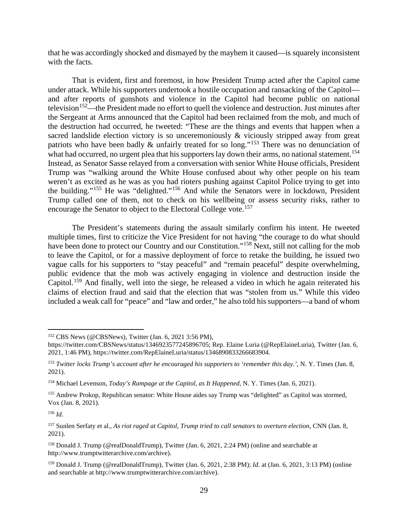that he was accordingly shocked and dismayed by the mayhem it caused—is squarely inconsistent with the facts.

That is evident, first and foremost, in how President Trump acted after the Capitol came under attack. While his supporters undertook a hostile occupation and ransacking of the Capitol and after reports of gunshots and violence in the Capitol had become public on national television<sup>[152](#page-32-0)</sup>—the President made no effort to quell the violence and destruction. Just minutes after the Sergeant at Arms announced that the Capitol had been reclaimed from the mob, and much of the destruction had occurred, he tweeted: "These are the things and events that happen when a sacred landslide election victory is so unceremoniously & viciously stripped away from great patriots who have been badly & unfairly treated for so long."[153](#page-32-1) There was no denunciation of what had occurred, no urgent plea that his supporters lay down their arms, no national statement.<sup>[154](#page-32-2)</sup> Instead, as Senator Sasse relayed from a conversation with senior White House officials, President Trump was "walking around the White House confused about why other people on his team weren't as excited as he was as you had rioters pushing against Capitol Police trying to get into the building."[155](#page-32-3) He was "delighted."[156](#page-32-4) And while the Senators were in lockdown, President Trump called one of them, not to check on his wellbeing or assess security risks, rather to encourage the Senator to object to the Electoral College vote.<sup>[157](#page-32-5)</sup>

The President's statements during the assault similarly confirm his intent. He tweeted multiple times, first to criticize the Vice President for not having "the courage to do what should have been done to protect our Country and our Constitution."<sup>[158](#page-32-6)</sup> Next, still not calling for the mob to leave the Capitol, or for a massive deployment of force to retake the building, he issued two vague calls for his supporters to "stay peaceful" and "remain peaceful" despite overwhelming, public evidence that the mob was actively engaging in violence and destruction inside the Capitol.<sup>[159](#page-32-7)</sup> And finally, well into the siege, he released a video in which he again reiterated his claims of election fraud and said that the election that was "stolen from us." While this video included a weak call for "peace" and "law and order," he also told his supporters—a band of whom

<span id="page-32-4"></span><sup>156</sup> *Id.*

<span id="page-32-0"></span><sup>152</sup> CBS News (@CBSNews), Twitter (Jan. 6, 2021 3:56 PM),

https://twitter.com/CBSNews/status/1346923577245896705; Rep. Elaine Luria (@RepElaineLuria), Twitter (Jan. 6, 2021, 1:46 PM), https://twitter.com/RepElaineLuria/status/1346890833266683904.

<span id="page-32-1"></span><sup>153</sup> *Twitter locks Trump's account after he encouraged his supporters to 'remember this day.'*, N. Y. Times (Jan. 8, 2021).

<span id="page-32-2"></span><sup>154</sup> Michael Levenson, *Today's Rampage at the Capitol, as It Happened*, N. Y. Times (Jan. 6, 2021).

<span id="page-32-3"></span><sup>155</sup> Andrew Prokop, Republican senator: White House aides say Trump was "delighted" as Capitol was stormed, Vox (Jan. 8, 2021).

<span id="page-32-5"></span><sup>&</sup>lt;sup>157</sup> Sunlen Serfaty et al., As riot raged at Capitol, Trump tried to call senators to overturn election, CNN (Jan. 8, 2021).

<span id="page-32-6"></span><sup>158</sup> Donald J. Trump (@realDonaldTrump), Twitter (Jan. 6, 2021, 2:24 PM) (online and searchable at http://www.trumptwitterarchive.com/archive).

<span id="page-32-7"></span><sup>159</sup> Donald J. Trump (@realDonaldTrump), Twitter (Jan. 6, 2021, 2:38 PM); *Id.* at (Jan. 6, 2021, 3:13 PM) (online and searchable at http://www.trumptwitterarchive.com/archive).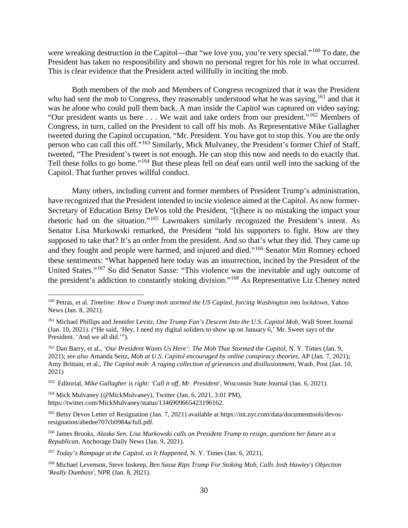were wreaking destruction in the Capitol—that "we love you, you're very special."<sup>[160](#page-33-0)</sup> To date, the President has taken no responsibility and shown no personal regret for his role in what occurred. This is clear evidence that the President acted willfully in inciting the mob.

Both members of the mob and Members of Congress recognized that it was the President who had sent the mob to Congress, they reasonably understood what he was saying,<sup>[161](#page-33-1)</sup> and that it was he alone who could pull them back. A man inside the Capitol was captured on video saying: "Our president wants us here . . . We wait and take orders from our president."[162](#page-33-2) Members of Congress, in turn, called on the President to call off his mob. As Representative Mike Gallagher tweeted during the Capitol occupation, "Mr. President. You have got to stop this. You are the only person who can call this off."[163](#page-33-3) Similarly, Mick Mulvaney, the President's former Chief of Staff, tweeted, "The President's tweet is not enough. He can stop this now and needs to do exactly that. Tell these folks to go home."[164](#page-33-4) But these pleas fell on deaf ears until well into the sacking of the Capitol. That further proves willful conduct.

Many others, including current and former members of President Trump's administration, have recognized that the President intended to incite violence aimed at the Capitol. As now former-Secretary of Education Betsy DeVos told the President, "[t]here is no mistaking the impact your rhetoric had on the situation."[165](#page-33-5) Lawmakers similarly recognized the President's intent. As Senator Lisa Murkowski remarked, the President "told his supporters to fight. How are they supposed to take that? It's an order from the president. And so that's what they did. They came up and they fought and people were harmed, and injured and died."[166](#page-33-6) Senator Mitt Romney echoed these sentiments: "What happened here today was an insurrection, incited by the President of the United States."[167](#page-33-7) So did Senator Sasse: "This violence was the inevitable and ugly outcome of the president's addiction to constantly stoking division."[168](#page-33-8) As Representative Liz Cheney noted

<span id="page-33-2"></span><sup>162</sup> Dan Barry, et al., *'Our President Wants Us Here': The Mob That Stormed the Capitol*, N. Y. Times (Jan. 9, 2021); *see also* Amanda Seitz, *Mob at U.S. Capitol encouraged by online conspiracy theories*, AP (Jan. 7, 2021); Amy Brittain, et al., *The Capitol mob: A raging collection of grievances and disillusionment,* Wash. Post (Jan. 10, 2021)

<span id="page-33-3"></span>163 Editorial, *Mike Gallagher is right: 'Call it off, Mr. President'*, Wisconsin State Journal (Jan. 6, 2021).

<span id="page-33-4"></span><sup>164</sup> Mick Mulvaney (@MickMulvaney), Twitter (Jan. 6, 2021, 3:01 PM), https://twitter.com/MickMulvaney/status/1346909665423196162.

<span id="page-33-5"></span><sup>165</sup> Betsy Devos Letter of Resignation (Jan. 7, 2021) available at https://int.nyt.com/data/documenttools/devosresignation/abedee707cb0984a/full.pdf.

<span id="page-33-6"></span><sup>166</sup> James Brooks, *Alaska Sen. Lisa Murkowski calls on President Trump to resign, questions her future as a Republican*, Anchorage Daily News (Jan. 9, 2021).

<span id="page-33-7"></span><sup>167</sup> *Today's Rampage at the Capitol, as It Happened*, N. Y. Times (Jan. 6, 2021).

<span id="page-33-8"></span><sup>168</sup> Michael Levenson, Steve Inskeep, *Ben Sasse Rips Trump For Stoking Mob, Calls Josh Hawley's Objection 'Really Dumbass'*, NPR (Jan. 8, 2021).

<span id="page-33-0"></span><sup>160</sup> Petras, et al. *Timeline: How a Trump mob stormed the US Capitol, forcing Washington into lockdown*, Yahoo News (Jan. 8, 2021).

<span id="page-33-1"></span><sup>161</sup> Michael Phillips and Jennifer Levitz, *One Trump Fan's Descent Into the U.S. Capitol Mob*, Wall Street Journal (Jan. 10, 2021). ("He said, 'Hey, I need my digital soliders to show up on January 6,' Mr. Sweet says of the President. 'And we all did.'").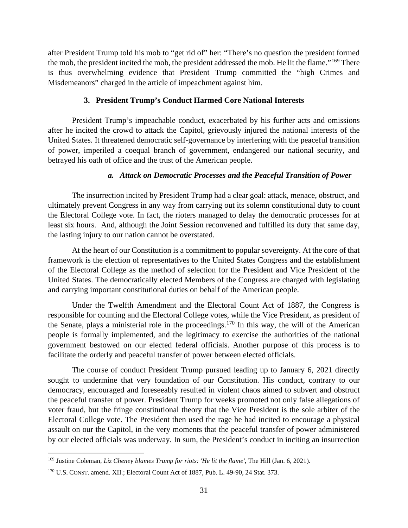after President Trump told his mob to "get rid of" her: "There's no question the president formed the mob, the president incited the mob, the president addressed the mob. He lit the flame."[169](#page-34-1) There is thus overwhelming evidence that President Trump committed the "high Crimes and Misdemeanors" charged in the article of impeachment against him.

## **3. President Trump's Conduct Harmed Core National Interests**

<span id="page-34-0"></span>President Trump's impeachable conduct, exacerbated by his further acts and omissions after he incited the crowd to attack the Capitol, grievously injured the national interests of the United States. It threatened democratic self-governance by interfering with the peaceful transition of power, imperiled a coequal branch of government, endangered our national security, and betrayed his oath of office and the trust of the American people.

### *a. Attack on Democratic Processes and the Peaceful Transition of Power*

The insurrection incited by President Trump had a clear goal: attack, menace, obstruct, and ultimately prevent Congress in any way from carrying out its solemn constitutional duty to count the Electoral College vote. In fact, the rioters managed to delay the democratic processes for at least six hours. And, although the Joint Session reconvened and fulfilled its duty that same day, the lasting injury to our nation cannot be overstated.

At the heart of our Constitution is a commitment to popular sovereignty. At the core of that framework is the election of representatives to the United States Congress and the establishment of the Electoral College as the method of selection for the President and Vice President of the United States. The democratically elected Members of the Congress are charged with legislating and carrying important constitutional duties on behalf of the American people.

Under the Twelfth Amendment and the Electoral Count Act of 1887, the Congress is responsible for counting and the Electoral College votes, while the Vice President, as president of the Senate, plays a ministerial role in the proceedings.<sup>[170](#page-34-2)</sup> In this way, the will of the American people is formally implemented, and the legitimacy to exercise the authorities of the national government bestowed on our elected federal officials. Another purpose of this process is to facilitate the orderly and peaceful transfer of power between elected officials.

The course of conduct President Trump pursued leading up to January 6, 2021 directly sought to undermine that very foundation of our Constitution. His conduct, contrary to our democracy, encouraged and foreseeably resulted in violent chaos aimed to subvert and obstruct the peaceful transfer of power. President Trump for weeks promoted not only false allegations of voter fraud, but the fringe constitutional theory that the Vice President is the sole arbiter of the Electoral College vote. The President then used the rage he had incited to encourage a physical assault on our the Capitol, in the very moments that the peaceful transfer of power administered by our elected officials was underway. In sum, the President's conduct in inciting an insurrection

<span id="page-34-1"></span><sup>169</sup> Justine Coleman, *Liz Cheney blames Trump for riots: 'He lit the flame'*, The Hill (Jan. 6, 2021).

<span id="page-34-2"></span><sup>170</sup> U.S. CONST. amend. XII.; Electoral Count Act of 1887, Pub. L. 49-90, 24 Stat. 373.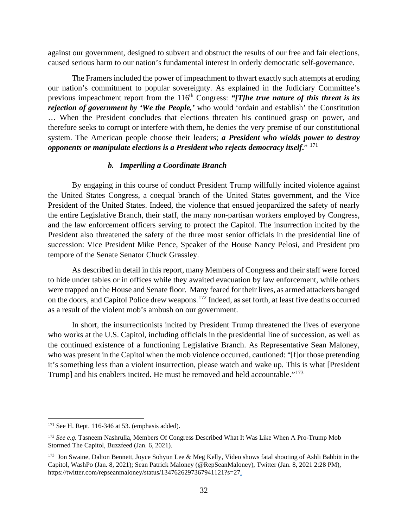against our government, designed to subvert and obstruct the results of our free and fair elections, caused serious harm to our nation's fundamental interest in orderly democratic self-governance.

The Framers included the power of impeachment to thwart exactly such attempts at eroding our nation's commitment to popular sovereignty. As explained in the Judiciary Committee's previous impeachment report from the 116<sup>th</sup> Congress: "[T]he true nature of this threat is its *rejection of government by 'We the People,'* who would 'ordain and establish' the Constitution … When the President concludes that elections threaten his continued grasp on power, and therefore seeks to corrupt or interfere with them, he denies the very premise of our constitutional system. The American people choose their leaders; *a President who wields power to destroy opponents or manipulate elections is a President who rejects democracy itself***.**" [171](#page-35-0)

### *b. Imperiling a Coordinate Branch*

By engaging in this course of conduct President Trump willfully incited violence against the United States Congress, a coequal branch of the United States government, and the Vice President of the United States. Indeed, the violence that ensued jeopardized the safety of nearly the entire Legislative Branch, their staff, the many non-partisan workers employed by Congress, and the law enforcement officers serving to protect the Capitol. The insurrection incited by the President also threatened the safety of the three most senior officials in the presidential line of succession: Vice President Mike Pence, Speaker of the House Nancy Pelosi, and President pro tempore of the Senate Senator Chuck Grassley.

As described in detail in this report, many Members of Congress and their staff were forced to hide under tables or in offices while they awaited evacuation by law enforcement, while others were trapped on the House and Senate floor. Many feared for their lives, as armed attackers banged on the doors, and Capitol Police drew weapons.[172](#page-35-1) Indeed, as set forth, at least five deaths occurred as a result of the violent mob's ambush on our government.

In short, the insurrectionists incited by President Trump threatened the lives of everyone who works at the U.S. Capitol, including officials in the presidential line of succession, as well as the continued existence of a functioning Legislative Branch. As Representative Sean Maloney, who was present in the Capitol when the mob violence occurred, cautioned: "[f]or those pretending it's something less than a violent insurrection, please watch and wake up. This is what [President Trump] and his enablers incited. He must be removed and held accountable."[173](#page-35-2)

<span id="page-35-0"></span> $171$  See H. Rept. 116-346 at 53. (emphasis added).

<span id="page-35-1"></span><sup>172</sup> *See e.g.* Tasneem Nashrulla, Members Of Congress Described What It Was Like When A Pro-Trump Mob Stormed The Capitol, Buzzfeed (Jan. 6, 2021).

<span id="page-35-2"></span><sup>&</sup>lt;sup>173</sup> Jon Swaine, Dalton Bennett, Joyce Sohyun Lee & Meg Kelly, Video shows fatal shooting of Ashli Babbitt in the Capitol, WashPo (Jan. 8, 2021); Sean Patrick Maloney (@RepSeanMaloney), Twitter (Jan. 8, 2021 2:28 PM), https://twitter.com/repseanmaloney/status/1347626297367941121?s=27.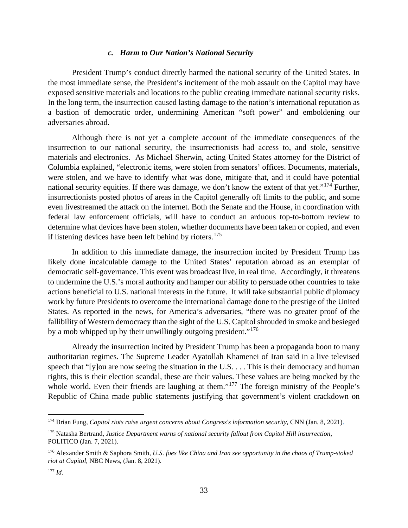#### *c. Harm to Our Nation's National Security*

President Trump's conduct directly harmed the national security of the United States. In the most immediate sense, the President's incitement of the mob assault on the Capitol may have exposed sensitive materials and locations to the public creating immediate national security risks. In the long term, the insurrection caused lasting damage to the nation's international reputation as a bastion of democratic order, undermining American "soft power" and emboldening our adversaries abroad.

Although there is not yet a complete account of the immediate consequences of the insurrection to our national security, the insurrectionists had access to, and stole, sensitive materials and electronics. As Michael Sherwin, acting United States attorney for the District of Columbia explained, "electronic items, were stolen from senators' offices. Documents, materials, were stolen, and we have to identify what was done, mitigate that, and it could have potential national security equities. If there was damage, we don't know the extent of that yet."<sup>174</sup> Further, insurrectionists posted photos of areas in the Capitol generally off limits to the public, and some even livestreamed the attack on the internet. Both the Senate and the House, in coordination with federal law enforcement officials, will have to conduct an arduous top-to-bottom review to determine what devices have been stolen, whether documents have been taken or copied, and even if listening devices have been left behind by rioters.<sup>[175](#page-36-1)</sup>

In addition to this immediate damage, the insurrection incited by President Trump has likely done incalculable damage to the United States' reputation abroad as an exemplar of democratic self-governance. This event was broadcast live, in real time. Accordingly, it threatens to undermine the U.S.'s moral authority and hamper our ability to persuade other countries to take actions beneficial to U.S. national interests in the future. It will take substantial public diplomacy work by future Presidents to overcome the international damage done to the prestige of the United States. As reported in the news, for America's adversaries, "there was no greater proof of the fallibility of Western democracy than the sight of the U.S. Capitol shrouded in smoke and besieged by a mob whipped up by their unwillingly outgoing president."<sup>[176](#page-36-2)</sup>

Already the insurrection incited by President Trump has been a propaganda boon to many authoritarian regimes. The Supreme Leader Ayatollah Khamenei of Iran said in a live televised speech that "[y]ou are now seeing the situation in the U.S. . . . This is their democracy and human rights, this is their election scandal, these are their values. These values are being mocked by the whole world. Even their friends are laughing at them."<sup>[177](#page-36-3)</sup> The foreign ministry of the People's Republic of China made public statements justifying that government's violent crackdown on

<span id="page-36-0"></span><sup>&</sup>lt;sup>174</sup> Brian Fung, *Capitol riots raise urgent concerns about Congress's information security*, CNN (Jan. 8, 2021).

<span id="page-36-1"></span><sup>175</sup> Natasha Bertrand, *Justice Department warns of national security fallout from Capitol Hill insurrection*, POLITICO (Jan. 7, 2021).

<span id="page-36-2"></span><sup>176</sup> Alexander Smith & Saphora Smith*, U.S. foes like China and Iran see opportunity in the chaos of Trump-stoked riot at Capitol*, NBC News, (Jan. 8, 2021).

<span id="page-36-3"></span><sup>177</sup> *Id*.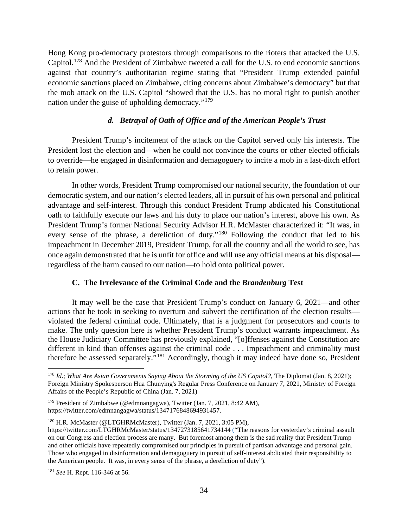Hong Kong pro-democracy protestors through comparisons to the rioters that attacked the U.S. Capitol.[178](#page-37-0) And the President of Zimbabwe tweeted a call for the U.S. to end economic sanctions against that country's authoritarian regime stating that "President Trump extended painful economic sanctions placed on Zimbabwe, citing concerns about Zimbabwe's democracy" but that the mob attack on the U.S. Capitol "showed that the U.S. has no moral right to punish another nation under the guise of upholding democracy."[179](#page-37-1)

### *d. Betrayal of Oath of Office and of the American People's Trust*

President Trump's incitement of the attack on the Capitol served only his interests. The President lost the election and—when he could not convince the courts or other elected officials to override—he engaged in disinformation and demagoguery to incite a mob in a last-ditch effort to retain power.

In other words, President Trump compromised our national security, the foundation of our democratic system, and our nation's elected leaders, all in pursuit of his own personal and political advantage and self-interest. Through this conduct President Trump abdicated his Constitutional oath to faithfully execute our laws and his duty to place our nation's interest, above his own. As President Trump's former National Security Advisor H.R. McMaster characterized it: "It was, in every sense of the phrase, a dereliction of duty."<sup>[180](#page-37-2)</sup> Following the conduct that led to his impeachment in December 2019, President Trump, for all the country and all the world to see, has once again demonstrated that he is unfit for office and will use any official means at his disposal regardless of the harm caused to our nation—to hold onto political power.

### **C. The Irrelevance of the Criminal Code and the** *Brandenburg* **Test**

It may well be the case that President Trump's conduct on January 6, 2021—and other actions that he took in seeking to overturn and subvert the certification of the election results violated the federal criminal code. Ultimately, that is a judgment for prosecutors and courts to make. The only question here is whether President Trump's conduct warrants impeachment. As the House Judiciary Committee has previously explained, "[o]ffenses against the Constitution are different in kind than offenses against the criminal code . . . Impeachment and criminality must therefore be assessed separately."<sup>181</sup> Accordingly, though it may indeed have done so, President

<span id="page-37-0"></span><sup>178</sup> *Id*.; *What Are Asian Governments Saying About the Storming of the US Capitol?*, The Diplomat (Jan. 8, 2021); Foreign Ministry Spokesperson Hua Chunying's Regular Press Conference on January 7, 2021, Ministry of Foreign Affairs of the People's Republic of China (Jan. 7, 2021)

<span id="page-37-1"></span><sup>179</sup> President of Zimbabwe (@edmnangagwa), Twitter (Jan. 7, 2021, 8:42 AM), https://twitter.com/edmnangagwa/status/1347176848694931457.

<span id="page-37-2"></span><sup>180</sup> H.R. McMaster (@LTGHRMcMaster), Twitter (Jan. 7, 2021, 3:05 PM),

https://twitter.com/LTGHRMcMaster/status/1347273185641734144 ("The reasons for yesterday's criminal assault on our Congress and election process are many. But foremost among them is the sad reality that President Trump and other officials have repeatedly compromised our principles in pursuit of partisan advantage and personal gain. Those who engaged in disinformation and demagoguery in pursuit of self-interest abdicated their responsibility to the American people. It was, in every sense of the phrase, a dereliction of duty").

<span id="page-37-3"></span><sup>181</sup> *See* H. Rept. 116-346 at 56.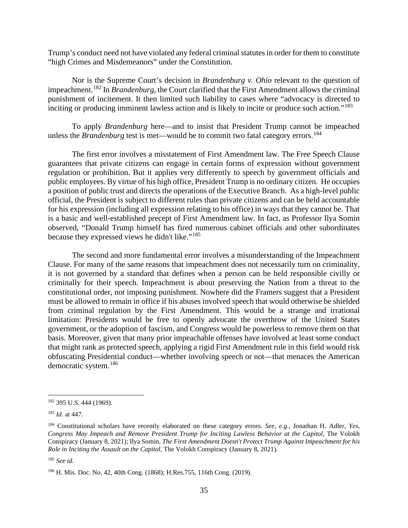Trump's conduct need not have violated any federal criminal statutes in order for them to constitute "high Crimes and Misdemeanors" under the Constitution.

Nor is the Supreme Court's decision in *Brandenburg v. Ohio* relevant to the question of impeachment.[182](#page-38-0) In *Brandenburg*, the Court clarified that the First Amendment allows the criminal punishment of incitement. It then limited such liability to cases where "advocacy is directed to inciting or producing imminent lawless action and is likely to incite or produce such action."<sup>183</sup>

To apply *Brandenburg* here—and to insist that President Trump cannot be impeached unless the *Brandenburg* test is met—would be to commit two fatal category errors.<sup>184</sup>

The first error involves a misstatement of First Amendment law. The Free Speech Clause guarantees that private citizens can engage in certain forms of expression without government regulation or prohibition. But it applies very differently to speech by government officials and public employees. By virtue of his high office, President Trump is no ordinary citizen. He occupies a position of public trust and directs the operations of the Executive Branch. As a high-level public official, the President is subject to different rules than private citizens and can be held accountable for his expression (including all expression relating to his office) in ways that they cannot be. That is a basic and well-established precept of First Amendment law. In fact, as Professor Ilya Somin observed, "Donald Trump himself has fired numerous cabinet officials and other subordinates because they expressed views he didn't like."[185](#page-38-3)

The second and more fundamental error involves a misunderstanding of the Impeachment Clause. For many of the same reasons that impeachment does not necessarily turn on criminality, it is not governed by a standard that defines when a person can be held responsible civilly or criminally for their speech. Impeachment is about preserving the Nation from a threat to the constitutional order, not imposing punishment. Nowhere did the Framers suggest that a President must be allowed to remain in office if his abuses involved speech that would otherwise be shielded from criminal regulation by the First Amendment. This would be a strange and irrational limitation: Presidents would be free to openly advocate the overthrow of the United States government, or the adoption of fascism, and Congress would be powerless to remove them on that basis. Moreover, given that many prior impeachable offenses have involved at least some conduct that might rank as protected speech, applying a rigid First Amendment rule in this field would risk obfuscating Presidential conduct—whether involving speech or not—that menaces the American democratic system.[186](#page-38-4)

<span id="page-38-0"></span><sup>&</sup>lt;sup>182</sup> 395 U.S. 444 (1969).

<span id="page-38-1"></span><sup>183</sup> *Id.* at 447.

<span id="page-38-2"></span><sup>184</sup> Constitutional scholars have recently elaborated on these category errors. *See, e.g.*, Jonathan H. Adler, *Yes, Congress May Impeach and Remove President Trump for Inciting Lawless Behavior at the Capitol*, The Volokh Conspiracy (January 8, 2021); Ilya Somin, *The First Amendment Doesn't Protect Trump Against Impeachment for his Role in Inciting the Assault on the Capitol*, The Volokh Conspiracy (January 8, 2021).

<span id="page-38-3"></span><sup>185</sup> *See id.*

<span id="page-38-4"></span><sup>186</sup> H. Mis. Doc. No. 42, 40th Cong. (1868); H.Res.755, 116th Cong. (2019).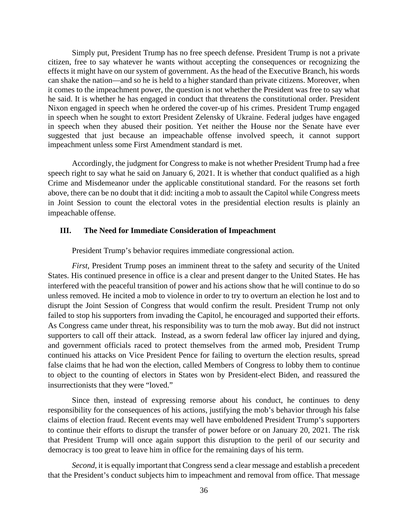Simply put, President Trump has no free speech defense. President Trump is not a private citizen, free to say whatever he wants without accepting the consequences or recognizing the effects it might have on our system of government. As the head of the Executive Branch, his words can shake the nation—and so he is held to a higher standard than private citizens. Moreover, when it comes to the impeachment power, the question is not whether the President was free to say what he said. It is whether he has engaged in conduct that threatens the constitutional order. President Nixon engaged in speech when he ordered the cover-up of his crimes. President Trump engaged in speech when he sought to extort President Zelensky of Ukraine. Federal judges have engaged in speech when they abused their position. Yet neither the House nor the Senate have ever suggested that just because an impeachable offense involved speech, it cannot support impeachment unless some First Amendment standard is met.

Accordingly, the judgment for Congress to make is not whether President Trump had a free speech right to say what he said on January 6, 2021. It is whether that conduct qualified as a high Crime and Misdemeanor under the applicable constitutional standard. For the reasons set forth above, there can be no doubt that it did: inciting a mob to assault the Capitol while Congress meets in Joint Session to count the electoral votes in the presidential election results is plainly an impeachable offense.

### **III. The Need for Immediate Consideration of Impeachment**

President Trump's behavior requires immediate congressional action.

*First*, President Trump poses an imminent threat to the safety and security of the United States. His continued presence in office is a clear and present danger to the United States. He has interfered with the peaceful transition of power and his actions show that he will continue to do so unless removed. He incited a mob to violence in order to try to overturn an election he lost and to disrupt the Joint Session of Congress that would confirm the result. President Trump not only failed to stop his supporters from invading the Capitol, he encouraged and supported their efforts. As Congress came under threat, his responsibility was to turn the mob away. But did not instruct supporters to call off their attack. Instead, as a sworn federal law officer lay injured and dying, and government officials raced to protect themselves from the armed mob, President Trump continued his attacks on Vice President Pence for failing to overturn the election results, spread false claims that he had won the election, called Members of Congress to lobby them to continue to object to the counting of electors in States won by President-elect Biden, and reassured the insurrectionists that they were "loved."

Since then, instead of expressing remorse about his conduct, he continues to deny responsibility for the consequences of his actions, justifying the mob's behavior through his false claims of election fraud. Recent events may well have emboldened President Trump's supporters to continue their efforts to disrupt the transfer of power before or on January 20, 2021. The risk that President Trump will once again support this disruption to the peril of our security and democracy is too great to leave him in office for the remaining days of his term.

*Second*, it is equally important that Congress send a clear message and establish a precedent that the President's conduct subjects him to impeachment and removal from office. That message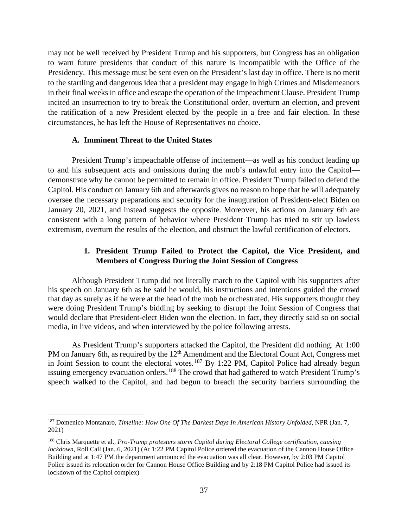may not be well received by President Trump and his supporters, but Congress has an obligation to warn future presidents that conduct of this nature is incompatible with the Office of the Presidency. This message must be sent even on the President's last day in office. There is no merit to the startling and dangerous idea that a president may engage in high Crimes and Misdemeanors in their final weeks in office and escape the operation of the Impeachment Clause. President Trump incited an insurrection to try to break the Constitutional order, overturn an election, and prevent the ratification of a new President elected by the people in a free and fair election. In these circumstances, he has left the House of Representatives no choice.

### **A. Imminent Threat to the United States**

President Trump's impeachable offense of incitement—as well as his conduct leading up to and his subsequent acts and omissions during the mob's unlawful entry into the Capitol demonstrate why he cannot be permitted to remain in office. President Trump failed to defend the Capitol. His conduct on January 6th and afterwards gives no reason to hope that he will adequately oversee the necessary preparations and security for the inauguration of President-elect Biden on January 20, 2021, and instead suggests the opposite. Moreover, his actions on January 6th are consistent with a long pattern of behavior where President Trump has tried to stir up lawless extremism, overturn the results of the election, and obstruct the lawful certification of electors.

## **1. President Trump Failed to Protect the Capitol, the Vice President, and Members of Congress During the Joint Session of Congress**

Although President Trump did not literally march to the Capitol with his supporters after his speech on January 6th as he said he would, his instructions and intentions guided the crowd that day as surely as if he were at the head of the mob he orchestrated. His supporters thought they were doing President Trump's bidding by seeking to disrupt the Joint Session of Congress that would declare that President-elect Biden won the election. In fact, they directly said so on social media, in live videos, and when interviewed by the police following arrests.

As President Trump's supporters attacked the Capitol, the President did nothing. At 1:00 PM on January 6th, as required by the 12<sup>th</sup> Amendment and the Electoral Count Act, Congress met in Joint Session to count the electoral votes.<sup>[187](#page-40-0)</sup> By 1:22 PM, Capitol Police had already begun issuing emergency evacuation orders.<sup>[188](#page-40-1)</sup> The crowd that had gathered to watch President Trump's speech walked to the Capitol, and had begun to breach the security barriers surrounding the

<span id="page-40-0"></span><sup>187</sup> Domenico Montanaro, *Timeline: How One Of The Darkest Days In American History Unfolded*, NPR (Jan. 7, 2021)

<span id="page-40-1"></span><sup>188</sup> Chris Marquette et al., *Pro-Trump protesters storm Capitol during Electoral College certification, causing lockdown*, Roll Call (Jan. 6, 2021) (At 1:22 PM Capitol Police ordered the evacuation of the Cannon House Office Building and at 1:47 PM the department announced the evacuation was all clear. However, by 2:03 PM Capitol Police issued its relocation order for Cannon House Office Building and by 2:18 PM Capitol Police had issued its lockdown of the Capitol complex)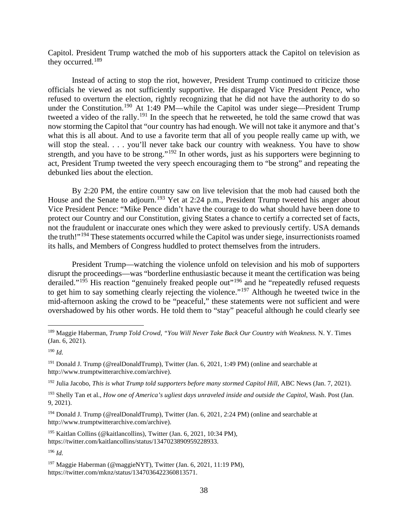Capitol. President Trump watched the mob of his supporters attack the Capitol on television as they occurred.<sup>[189](#page-41-0)</sup>

Instead of acting to stop the riot, however, President Trump continued to criticize those officials he viewed as not sufficiently supportive. He disparaged Vice President Pence, who refused to overturn the election, rightly recognizing that he did not have the authority to do so under the Constitution.<sup>[190](#page-41-1)</sup> At 1:49 PM—while the Capitol was under siege—President Trump tweeted a video of the rally.<sup>[191](#page-41-2)</sup> In the speech that he retweeted, he told the same crowd that was now storming the Capitol that "our country has had enough. We will not take it anymore and that's what this is all about. And to use a favorite term that all of you people really came up with, we will stop the steal. . . . you'll never take back our country with weakness. You have to show strength, and you have to be strong."<sup>[192](#page-41-3)</sup> In other words, just as his supporters were beginning to act, President Trump tweeted the very speech encouraging them to "be strong" and repeating the debunked lies about the election.

By 2:20 PM, the entire country saw on live television that the mob had caused both the House and the Senate to adjourn.<sup>[193](#page-41-4)</sup> Yet at 2:24 p.m., President Trump tweeted his anger about Vice President Pence: "Mike Pence didn't have the courage to do what should have been done to protect our Country and our Constitution, giving States a chance to certify a corrected set of facts, not the fraudulent or inaccurate ones which they were asked to previously certify. USA demands the truth!"[194](#page-41-5) These statements occurred while the Capitol was under siege, insurrectionists roamed its halls, and Members of Congress huddled to protect themselves from the intruders.

President Trump—watching the violence unfold on television and his mob of supporters disrupt the proceedings—was "borderline enthusiastic because it meant the certification was being derailed."<sup>[195](#page-41-6)</sup> His reaction "genuinely freaked people out"<sup>[196](#page-41-7)</sup> and he "repeatedly refused requests to get him to say something clearly rejecting the violence."<sup>[197](#page-41-8)</sup> Although he tweeted twice in the mid-afternoon asking the crowd to be "peaceful," these statements were not sufficient and were overshadowed by his other words. He told them to "stay" peaceful although he could clearly see

<span id="page-41-0"></span><sup>189</sup> Maggie Haberman, *Trump Told Crowd, "You Will Never Take Back Our Country with Weakness.* N. Y. Times (Jan. 6, 2021).

<span id="page-41-1"></span><sup>190</sup> *Id.*

<span id="page-41-2"></span><sup>&</sup>lt;sup>191</sup> Donald J. Trump (@realDonaldTrump), Twitter (Jan. 6, 2021, 1:49 PM) (online and searchable at http://www.trumptwitterarchive.com/archive).

<span id="page-41-3"></span><sup>&</sup>lt;sup>192</sup> Julia Jacobo, *This is what Trump told supporters before many stormed Capitol Hill*, ABC News (Jan. 7, 2021).

<span id="page-41-4"></span><sup>193</sup> Shelly Tan et al., *How one of America's ugliest days unraveled inside and outside the Capitol*, Wash. Post (Jan. 9, 2021).

<span id="page-41-5"></span><sup>194</sup> Donald J. Trump (@realDonaldTrump), Twitter (Jan. 6, 2021, 2:24 PM) (online and searchable at http://www.trumptwitterarchive.com/archive).

<span id="page-41-6"></span><sup>195</sup> Kaitlan Collins (@kaitlancollins), Twitter (Jan. 6, 2021, 10:34 PM), https://twitter.com/kaitlancollins/status/1347023890959228933.

<span id="page-41-7"></span><sup>196</sup> *Id.* 

<span id="page-41-8"></span><sup>&</sup>lt;sup>197</sup> Maggie Haberman (@maggieNYT), Twitter (Jan. 6, 2021, 11:19 PM), https://twitter.com/mknz/status/1347036422360813571.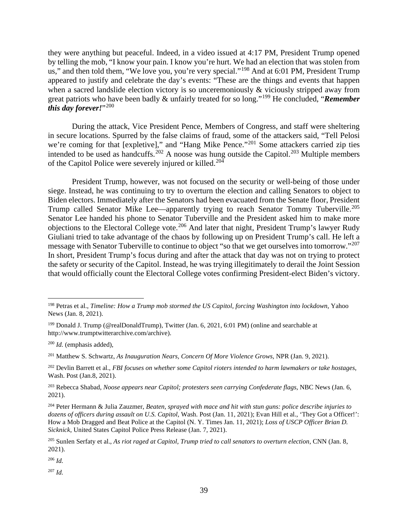they were anything but peaceful. Indeed, in a video issued at 4:17 PM, President Trump opened by telling the mob, "I know your pain. I know you're hurt. We had an election that was stolen from us," and then told them, "We love you, you're very special."<sup>[198](#page-42-0)</sup> And at 6:01 PM, President Trump appeared to justify and celebrate the day's events: "These are the things and events that happen when a sacred landslide election victory is so unceremoniously & viciously stripped away from great patriots who have been badly & unfairly treated for so long."[199](#page-42-1) He concluded, "*Remember this day forever!"*<sup>[200](#page-42-2)</sup>

During the attack, Vice President Pence, Members of Congress, and staff were sheltering in secure locations. Spurred by the false claims of fraud, some of the attackers said, "Tell Pelosi we're coming for that [expletive]," and "Hang Mike Pence."<sup>[201](#page-42-3)</sup> Some attackers carried zip ties intended to be used as handcuffs.<sup>[202](#page-42-4)</sup> A noose was hung outside the Capitol.<sup>203</sup> Multiple members of the Capitol Police were severely injured or killed.<sup>[204](#page-42-6)</sup>

President Trump, however, was not focused on the security or well-being of those under siege. Instead, he was continuing to try to overturn the election and calling Senators to object to Biden electors. Immediately after the Senators had been evacuated from the Senate floor, President Trump called Senator Mike Lee—apparently trying to reach Senator Tommy Tuberville.<sup>[205](#page-42-7)</sup> Senator Lee handed his phone to Senator Tuberville and the President asked him to make more objections to the Electoral College vote.[206](#page-42-8) And later that night, President Trump's lawyer Rudy Giuliani tried to take advantage of the chaos by following up on President Trump's call. He left a message with Senator Tuberville to continue to object "so that we get ourselves into tomorrow."<sup>[207](#page-42-9)</sup> In short, President Trump's focus during and after the attack that day was not on trying to protect the safety or security of the Capitol. Instead, he was trying illegitimately to derail the Joint Session that would officially count the Electoral College votes confirming President-elect Biden's victory.

<span id="page-42-2"></span><sup>200</sup> *Id.* (emphasis added),

<span id="page-42-8"></span> $206$  *Id.* 

<span id="page-42-9"></span><sup>207</sup> *Id.*

<span id="page-42-0"></span><sup>198</sup> Petras et al., *Timeline: How a Trump mob stormed the US Capitol, forcing Washington into lockdown*, Yahoo News (Jan. 8, 2021).

<span id="page-42-1"></span><sup>199</sup> Donald J. Trump (@realDonaldTrump), Twitter (Jan. 6, 2021, 6:01 PM) (online and searchable at http://www.trumptwitterarchive.com/archive).

<span id="page-42-3"></span><sup>201</sup> Matthew S. Schwartz, *As Inauguration Nears, Concern Of More Violence Grows*, NPR (Jan. 9, 2021).

<span id="page-42-4"></span><sup>202</sup> Devlin Barrett et al., *FBI focuses on whether some Capitol rioters intended to harm lawmakers or take hostages*, Wash. Post (Jan.8, 2021).

<span id="page-42-5"></span><sup>203</sup> Rebecca Shabad, *Noose appears near Capitol; protesters seen carrying Confederate flags*, NBC News (Jan. 6, 2021).

<span id="page-42-6"></span><sup>204</sup> Peter Hermann & Julia Zauzmer, *Beaten, sprayed with mace and hit with stun guns: police describe injuries to dozens of officers during assault on U.S. Capitol*, Wash. Post (Jan. 11, 2021); Evan Hill et al., 'They Got a Officer!': How a Mob Dragged and Beat Police at the Capitol (N. Y. Times Jan. 11, 2021); *Loss of USCP Officer Brian D. Sicknick*, United States Capitol Police Press Release (Jan. 7, 2021).

<span id="page-42-7"></span><sup>205</sup> Sunlen Serfaty et al., *As riot raged at Capitol, Trump tried to call senators to overturn election*, CNN (Jan. 8, 2021).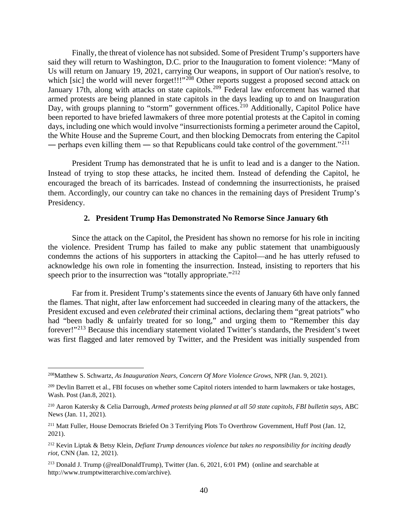Finally, the threat of violence has not subsided. Some of President Trump's supporters have said they will return to Washington, D.C. prior to the Inauguration to foment violence: "Many of Us will return on January 19, 2021, carrying Our weapons, in support of Our nation's resolve, to which [sic] the world will never forget!!!"<sup>[208](#page-43-0)</sup> Other reports suggest a proposed second attack on January 17th, along with attacks on state capitols.<sup>[209](#page-43-1)</sup> Federal law enforcement has warned that armed protests are being planned in state capitols in the days leading up to and on Inauguration Day, with groups planning to "storm" government offices.<sup>[210](#page-43-2)</sup> Additionally, Capitol Police have been reported to have briefed lawmakers of three more potential protests at the Capitol in coming days, including one which would involve "insurrectionists forming a perimeter around the Capitol, the White House and the Supreme Court, and then blocking Democrats from entering the Capitol — perhaps even killing them — so that Republicans could take control of the government.<sup>"[211](#page-43-3)</sup>

President Trump has demonstrated that he is unfit to lead and is a danger to the Nation. Instead of trying to stop these attacks, he incited them. Instead of defending the Capitol, he encouraged the breach of its barricades. Instead of condemning the insurrectionists, he praised them. Accordingly, our country can take no chances in the remaining days of President Trump's Presidency.

### **2. President Trump Has Demonstrated No Remorse Since January 6th**

Since the attack on the Capitol, the President has shown no remorse for his role in inciting the violence. President Trump has failed to make any public statement that unambiguously condemns the actions of his supporters in attacking the Capitol—and he has utterly refused to acknowledge his own role in fomenting the insurrection. Instead, insisting to reporters that his speech prior to the insurrection was "totally appropriate."<sup>212</sup>

Far from it. President Trump's statements since the events of January 6th have only fanned the flames. That night, after law enforcement had succeeded in clearing many of the attackers, the President excused and even *celebrated* their criminal actions, declaring them "great patriots" who had "been badly & unfairly treated for so long," and urging them to "Remember this day forever!"<sup>[213](#page-43-5)</sup> Because this incendiary statement violated Twitter's standards, the President's tweet was first flagged and later removed by Twitter, and the President was initially suspended from

<span id="page-43-0"></span><sup>208</sup>Matthew S. Schwartz, *As Inauguration Nears, Concern Of More Violence Grows*, NPR (Jan. 9, 2021).

<span id="page-43-1"></span><sup>&</sup>lt;sup>209</sup> Devlin Barrett et al., FBI focuses on whether some Capitol rioters intended to harm lawmakers or take hostages, Wash. Post (Jan.8, 2021).

<span id="page-43-2"></span><sup>210</sup> Aaron Katersky & Celia Darrough, *Armed protests being planned at all 50 state capitols, FBI bulletin says*, ABC News (Jan. 11, 2021).

<span id="page-43-3"></span><sup>211</sup> Matt Fuller, House Democrats Briefed On 3 Terrifying Plots To Overthrow Government, Huff Post (Jan. 12, 2021).

<span id="page-43-4"></span><sup>212</sup> Kevin Liptak & Betsy Klein, *Defiant Trump denounces violence but takes no responsibility for inciting deadly riot,* CNN (Jan. 12, 2021).

<span id="page-43-5"></span><sup>&</sup>lt;sup>213</sup> Donald J. Trump (@realDonaldTrump), Twitter (Jan. 6, 2021, 6:01 PM) (online and searchable at http://www.trumptwitterarchive.com/archive).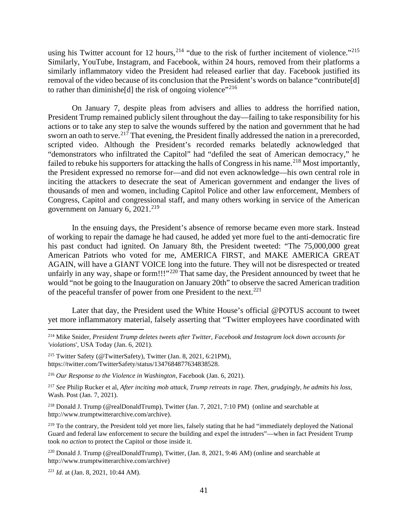using his Twitter account for 12 hours,  $2^{14}$  "due to the risk of further incitement of violence." $2^{15}$ Similarly, YouTube, Instagram, and Facebook, within 24 hours, removed from their platforms a similarly inflammatory video the President had released earlier that day. Facebook justified its removal of the video because of its conclusion that the President's words on balance "contribute[d] to rather than diminished the risk of ongoing violence"<sup>[216](#page-44-2)</sup>

On January 7, despite pleas from advisers and allies to address the horrified nation, President Trump remained publicly silent throughout the day—failing to take responsibility for his actions or to take any step to salve the wounds suffered by the nation and government that he had sworn an oath to serve.<sup>[217](#page-44-3)</sup> That evening, the President finally addressed the nation in a prerecorded, scripted video. Although the President's recorded remarks belatedly acknowledged that "demonstrators who infiltrated the Capitol" had "defiled the seat of American democracy," he failed to rebuke his supporters for attacking the halls of Congress in his name.<sup>[218](#page-44-4)</sup> Most importantly, the President expressed no remorse for—and did not even acknowledge—his own central role in inciting the attackers to desecrate the seat of American government and endanger the lives of thousands of men and women, including Capitol Police and other law enforcement, Members of Congress, Capitol and congressional staff, and many others working in service of the American government on January 6,  $2021.^{219}$  $2021.^{219}$  $2021.^{219}$ 

In the ensuing days, the President's absence of remorse became even more stark. Instead of working to repair the damage he had caused, he added yet more fuel to the anti-democratic fire his past conduct had ignited. On January 8th, the President tweeted: "The 75,000,000 great American Patriots who voted for me, AMERICA FIRST, and MAKE AMERICA GREAT AGAIN, will have a GIANT VOICE long into the future. They will not be disrespected or treated unfairly in any way, shape or form!!!"<sup>[220](#page-44-6)</sup> That same day, the President announced by tweet that he would "not be going to the Inauguration on January 20th" to observe the sacred American tradition of the peaceful transfer of power from one President to the next.<sup>221</sup>

Later that day, the President used the White House's official @POTUS account to tweet yet more inflammatory material, falsely asserting that "Twitter employees have coordinated with

<span id="page-44-1"></span><sup>215</sup> Twitter Safety (@TwitterSafety), Twitter (Jan. 8, 2021, 6:21PM), https://twitter.com/TwitterSafety/status/1347684877634838528.

<span id="page-44-2"></span><sup>216</sup> *Our Response to the Violence in Washington,* Facebook (Jan. 6, 2021).

<span id="page-44-3"></span><sup>217</sup> *See* Philip Rucker et al, *After inciting mob attack, Trump retreats in rage. Then, grudgingly, he admits his loss*, Wash. Post (Jan. 7, 2021).

<span id="page-44-4"></span><sup>218</sup> Donald J. Trump (@realDonaldTrump), Twitter (Jan. 7, 2021, 7:10 PM) (online and searchable at http://www.trumptwitterarchive.com/archive).

<span id="page-44-5"></span><sup>219</sup> To the contrary, the President told yet more lies, falsely stating that he had "immediately deployed the National Guard and federal law enforcement to secure the building and expel the intruders"—when in fact President Trump took *no action* to protect the Capitol or those inside it.

<span id="page-44-6"></span><sup>220</sup> Donald J. Trump (@realDonaldTrump), Twitter, (Jan. 8, 2021, 9:46 AM) (online and searchable at http://www.trumptwitterarchive.com/archive)

<span id="page-44-7"></span><sup>221</sup> *Id.* at (Jan. 8, 2021, 10:44 AM).

<span id="page-44-0"></span><sup>214</sup> Mike Snider*, President Trump deletes tweets after Twitter, Facebook and Instagram lock down accounts for 'violations'*, USA Today (Jan. 6, 2021).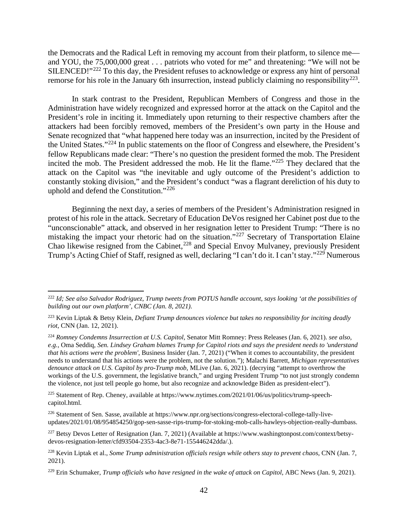the Democrats and the Radical Left in removing my account from their platform, to silence me and YOU, the 75,000,000 great . . . patriots who voted for me" and threatening: "We will not be SILENCED!"<sup>[222](#page-45-0)</sup> To this day, the President refuses to acknowledge or express any hint of personal remorse for his role in the January 6th insurrection, instead publicly claiming no responsibility<sup>[223](#page-45-1)</sup>.

In stark contrast to the President, Republican Members of Congress and those in the Administration have widely recognized and expressed horror at the attack on the Capitol and the President's role in inciting it. Immediately upon returning to their respective chambers after the attackers had been forcibly removed, members of the President's own party in the House and Senate recognized that "what happened here today was an insurrection, incited by the President of the United States."[224](#page-45-2) In public statements on the floor of Congress and elsewhere, the President's fellow Republicans made clear: "There's no question the president formed the mob. The President incited the mob. The President addressed the mob. He lit the flame."<sup>[225](#page-45-3)</sup> They declared that the attack on the Capitol was "the inevitable and ugly outcome of the President's addiction to constantly stoking division," and the President's conduct "was a flagrant dereliction of his duty to uphold and defend the Constitution."[226](#page-45-4)

Beginning the next day, a series of members of the President's Administration resigned in protest of his role in the attack. Secretary of Education DeVos resigned her Cabinet post due to the "unconscionable" attack, and observed in her resignation letter to President Trump: "There is no mistaking the impact your rhetoric had on the situation."[227](#page-45-5) Secretary of Transportation Elaine Chao likewise resigned from the Cabinet,<sup>[228](#page-45-6)</sup> and Special Envoy Mulvaney, previously President Trump's Acting Chief of Staff, resigned as well, declaring "I can't do it. I can't stay."[229](#page-45-7) Numerous

<span id="page-45-3"></span><sup>225</sup> Statement of Rep. Cheney, available at https://www.nytimes.com/2021/01/06/us/politics/trump-speechcapitol.html.

<span id="page-45-0"></span><sup>222</sup> *Id; See also Salvador Rodriguez, Trump tweets from POTUS handle account, says looking 'at the possibilities of building out our own platform', CNBC (Jan. 8, 2021).*

<span id="page-45-1"></span><sup>223</sup> Kevin Liptak & Betsy Klein, *Defiant Trump denounces violence but takes no responsibility for inciting deadly riot,* CNN (Jan. 12, 2021).

<span id="page-45-2"></span><sup>224</sup> *Romney Condemns Insurrection at U.S. Capitol*, Senator Mitt Romney: Press Releases (Jan. 6, 2021). *see also*, *e.g.,* Oma Seddiq, *Sen. Lindsey Graham blames Trump for Capitol riots and says the president needs to 'understand that his actions were the problem'*, Business Insider (Jan. 7, 2021) ("When it comes to accountability, the president needs to understand that his actions were the problem, not the solution."); Malachi Barrett, *Michigan representatives denounce attack on U.S. Capitol by pro-Trump mob*, MLive (Jan. 6, 2021). (decrying "attempt to overthrow the workings of the U.S. government, the legislative branch," and urging President Trump "to not just strongly condemn the violence, not just tell people go home, but also recognize and acknowledge Biden as president-elect").

<span id="page-45-4"></span><sup>226</sup> Statement of Sen. Sasse, available at https://www.npr.org/sections/congress-electoral-college-tally-liveupdates/2021/01/08/954854250/gop-sen-sasse-rips-trump-for-stoking-mob-calls-hawleys-objection-really-dumbass.

<span id="page-45-5"></span><sup>&</sup>lt;sup>227</sup> Betsy Devos Letter of Resignation (Jan. 7, 2021) (Available at https://www.washingtonpost.com/context/betsydevos-resignation-letter/cfd93504-2353-4ac3-8e71-155446242dda/.).

<span id="page-45-6"></span><sup>228</sup> Kevin Liptak et al., *Some Trump administration officials resign while others stay to prevent chaos*, CNN (Jan. 7, 2021).

<span id="page-45-7"></span><sup>229</sup> Erin Schumaker, *Trump officials who have resigned in the wake of attack on Capitol*, ABC News (Jan. 9, 2021).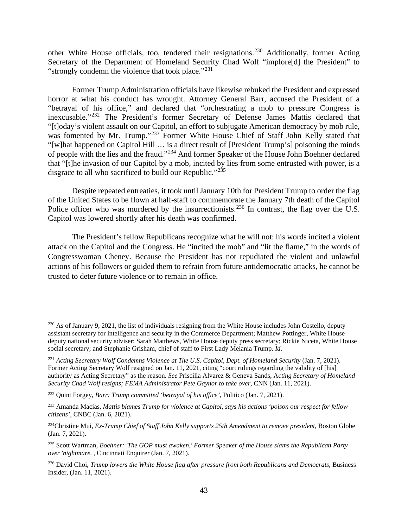other White House officials, too, tendered their resignations.[230](#page-46-0) Additionally, former Acting Secretary of the Department of Homeland Security Chad Wolf "implore[d] the President" to "strongly condemn the violence that took place."<sup>231</sup>

Former Trump Administration officials have likewise rebuked the President and expressed horror at what his conduct has wrought. Attorney General Barr, accused the President of a "betrayal of his office," and declared that "orchestrating a mob to pressure Congress is inexcusable."[232](#page-46-2) The President's former Secretary of Defense James Mattis declared that "[t]oday's violent assault on our Capitol, an effort to subjugate American democracy by mob rule, was fomented by Mr. Trump."<sup>[233](#page-46-3)</sup> Former White House Chief of Staff John Kelly stated that "[w]hat happened on Capitol Hill … is a direct result of [President Trump's] poisoning the minds of people with the lies and the fraud."[234](#page-46-4) And former Speaker of the House John Boehner declared that "[t]he invasion of our Capitol by a mob, incited by lies from some entrusted with power, is a disgrace to all who sacrificed to build our Republic."<sup>[235](#page-46-5)</sup>

Despite repeated entreaties, it took until January 10th for President Trump to order the flag of the United States to be flown at half-staff to commemorate the January 7th death of the Capitol Police officer who was murdered by the insurrectionists.<sup>[236](#page-46-6)</sup> In contrast, the flag over the U.S. Capitol was lowered shortly after his death was confirmed.

The President's fellow Republicans recognize what he will not: his words incited a violent attack on the Capitol and the Congress. He "incited the mob" and "lit the flame," in the words of Congresswoman Cheney. Because the President has not repudiated the violent and unlawful actions of his followers or guided them to refrain from future antidemocratic attacks, he cannot be trusted to deter future violence or to remain in office.

<span id="page-46-0"></span><sup>&</sup>lt;sup>230</sup> As of January 9, 2021, the list of individuals resigning from the White House includes John Costello, deputy assistant secretary for intelligence and security in the Commerce Department; Matthew Pottinger, White House deputy national security adviser; Sarah Matthews, White House deputy press secretary; Rickie Niceta, White House social secretary; and Stephanie Grisham, chief of staff to First Lady Melania Trump. *Id*.

<span id="page-46-1"></span><sup>231</sup> *Acting Secretary Wolf Condemns Violence at The U.S. Capitol, Dept. of Homeland Security* (Jan. 7, 2021). Former Acting Secretary Wolf resigned on Jan. 11, 2021, citing "court rulings regarding the validity of [his] authority as Acting Secretary" as the reason. *See* Priscilla Alvarez & Geneva Sands, A*cting Secretary of Homeland Security Chad Wolf resigns; FEMA Administrator Pete Gaynor to take over*, CNN (Jan. 11, 2021).

<span id="page-46-2"></span><sup>232</sup> Quint Forgey, *Barr: Trump committed 'betrayal of his office'*, Politico (Jan. 7, 2021).

<span id="page-46-3"></span><sup>233</sup> Amanda Macias, *Mattis blames Trump for violence at Capitol, says his actions 'poison our respect for fellow citizens'*, CNBC (Jan. 6, 2021).

<span id="page-46-4"></span><sup>234</sup>Christine Mui, *Ex-Trump Chief of Staff John Kelly supports 25th Amendment to remove president*, Boston Globe (Jan. 7, 2021).

<span id="page-46-5"></span><sup>235</sup> Scott Wartman, *Boehner: 'The GOP must awaken.' Former Speaker of the House slams the Republican Party over 'nightmare.',* Cincinnati Enquirer (Jan. 7, 2021).

<span id="page-46-6"></span><sup>236</sup> David Choi, *Trump lowers the White House flag after pressure from both Republicans and Democrats*, Business Insider, (Jan. 11, 2021).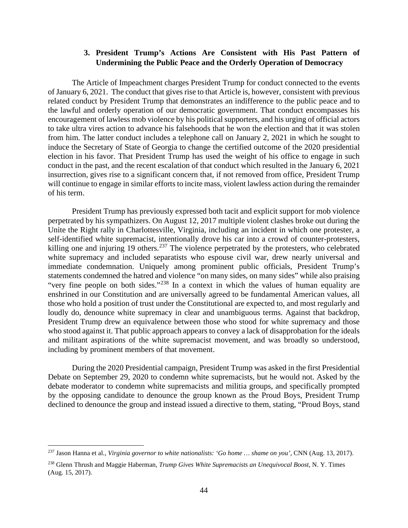## **3. President Trump's Actions Are Consistent with His Past Pattern of Undermining the Public Peace and the Orderly Operation of Democracy**

The Article of Impeachment charges President Trump for conduct connected to the events of January 6, 2021. The conduct that gives rise to that Article is, however, consistent with previous related conduct by President Trump that demonstrates an indifference to the public peace and to the lawful and orderly operation of our democratic government. That conduct encompasses his encouragement of lawless mob violence by his political supporters, and his urging of official actors to take ultra vires action to advance his falsehoods that he won the election and that it was stolen from him. The latter conduct includes a telephone call on January 2, 2021 in which he sought to induce the Secretary of State of Georgia to change the certified outcome of the 2020 presidential election in his favor. That President Trump has used the weight of his office to engage in such conduct in the past, and the recent escalation of that conduct which resulted in the January 6, 2021 insurrection, gives rise to a significant concern that, if not removed from office, President Trump will continue to engage in similar efforts to incite mass, violent lawless action during the remainder of his term.

President Trump has previously expressed both tacit and explicit support for mob violence perpetrated by his sympathizers. On August 12, 2017 multiple violent clashes broke out during the Unite the Right rally in Charlottesville, Virginia, including an incident in which one protester, a self-identified white supremacist, intentionally drove his car into a crowd of counter-protesters, killing one and injuring 19 others.<sup>[237](#page-47-0)</sup> The violence perpetrated by the protesters, who celebrated white supremacy and included separatists who espouse civil war, drew nearly universal and immediate condemnation. Uniquely among prominent public officials, President Trump's statements condemned the hatred and violence "on many sides, on many sides" while also praising "very fine people on both sides."<sup>[238](#page-47-1)</sup> In a context in which the values of human equality are enshrined in our Constitution and are universally agreed to be fundamental American values, all those who hold a position of trust under the Constitutional are expected to, and most regularly and loudly do, denounce white supremacy in clear and unambiguous terms. Against that backdrop, President Trump drew an equivalence between those who stood for white supremacy and those who stood against it. That public approach appears to convey a lack of disapprobation for the ideals and militant aspirations of the white supremacist movement, and was broadly so understood, including by prominent members of that movement.

During the 2020 Presidential campaign, President Trump was asked in the first Presidential Debate on September 29, 2020 to condemn white supremacists, but he would not. Asked by the debate moderator to condemn white supremacists and militia groups, and specifically prompted by the opposing candidate to denounce the group known as the Proud Boys, President Trump declined to denounce the group and instead issued a directive to them, stating, "Proud Boys, stand

<span id="page-47-0"></span><sup>237</sup> Jason Hanna et al., *Virginia governor to white nationalists: 'Go home … shame on you'*, CNN (Aug. 13, 2017).

<span id="page-47-1"></span><sup>238</sup> Glenn Thrush and Maggie Haberman, *Trump Gives White Supremacists an Unequivocal Boost*, N. Y. Times (Aug. 15, 2017).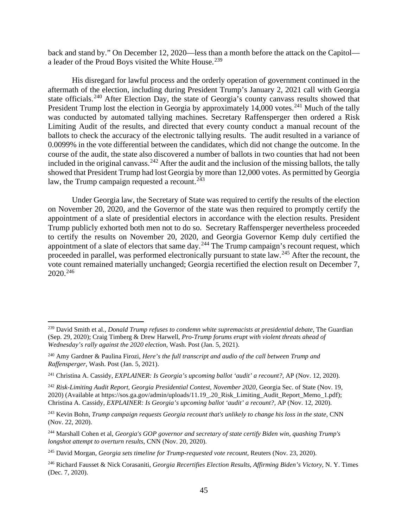back and stand by." On December 12, 2020—less than a month before the attack on the Capitol— a leader of the Proud Boys visited the White House.<sup>[239](#page-48-0)</sup>

His disregard for lawful process and the orderly operation of government continued in the aftermath of the election, including during President Trump's January 2, 2021 call with Georgia state officials.<sup>[240](#page-48-1)</sup> After Election Day, the state of Georgia's county canvass results showed that President Trump lost the election in Georgia by approximately  $14,000$  votes.<sup>[241](#page-48-2)</sup> Much of the tally was conducted by automated tallying machines. Secretary Raffensperger then ordered a Risk Limiting Audit of the results, and directed that every county conduct a manual recount of the ballots to check the accuracy of the electronic tallying results. The audit resulted in a variance of 0.0099% in the vote differential between the candidates, which did not change the outcome. In the course of the audit, the state also discovered a number of ballots in two counties that had not been included in the original canvass.<sup>[242](#page-48-3)</sup> After the audit and the inclusion of the missing ballots, the tally showed that President Trump had lost Georgia by more than 12,000 votes. As permitted by Georgia law, the Trump campaign requested a recount.  $243$ 

Under Georgia law, the Secretary of State was required to certify the results of the election on November 20, 2020, and the Governor of the state was then required to promptly certify the appointment of a slate of presidential electors in accordance with the election results. President Trump publicly exhorted both men not to do so. Secretary Raffensperger nevertheless proceeded to certify the results on November 20, 2020, and Georgia Governor Kemp duly certified the appointment of a slate of electors that same day.<sup>[244](#page-48-5)</sup> The Trump campaign's recount request, which proceeded in parallel, was performed electronically pursuant to state law.<sup>[245](#page-48-6)</sup> After the recount, the vote count remained materially unchanged; Georgia recertified the election result on December 7, 2020.[246](#page-48-7) 

<span id="page-48-0"></span><sup>239</sup> David Smith et al., *Donald Trump refuses to condemn white supremacists at presidential debate*, The Guardian (Sep. 29, 2020); Craig Timberg & Drew Harwell, *Pro-Trump forums erupt with violent threats ahead of Wednesday's rally against the 2020 election*, Wash. Post (Jan. 5, 2021).

<span id="page-48-1"></span><sup>240</sup> Amy Gardner & Paulina Firozi, *Here's the full transcript and audio of the call between Trump and Raffensperger*, Wash. Post (Jan. 5, 2021).

<span id="page-48-2"></span><sup>241</sup> Christina A. Cassidy, *EXPLAINER: Is Georgia's upcoming ballot 'audit' a recount?,* AP (Nov. 12, 2020).

<span id="page-48-3"></span><sup>242</sup> *Risk-Limiting Audit Report, Georgia Presidential Contest, November 2020*, Georgia Sec. of State (Nov. 19, 2020) (Available at https://sos.ga.gov/admin/uploads/11.19\_.20\_Risk\_Limiting\_Audit\_Report\_Memo\_1.pdf); Christina A. Cassidy, *EXPLAINER: Is Georgia's upcoming ballot 'audit' a recount?,* AP (Nov. 12, 2020).

<span id="page-48-4"></span><sup>&</sup>lt;sup>243</sup> Kevin Bohn, *Trump campaign requests Georgia recount that's unlikely to change his loss in the state*, CNN (Nov. 22, 2020).

<span id="page-48-5"></span><sup>244</sup> Marshall Cohen et al, *Georgia's GOP governor and secretary of state certify Biden win, quashing Trump's longshot attempt to overturn results*, CNN (Nov. 20, 2020).

<span id="page-48-6"></span><sup>&</sup>lt;sup>245</sup> David Morgan, *Georgia sets timeline for Trump-requested vote recount*, Reuters (Nov. 23, 2020).

<span id="page-48-7"></span><sup>246</sup> Richard Fausset & Nick Corasaniti, *Georgia Recertifies Election Results, Affirming Biden's Victory*, N. Y. Times (Dec. 7, 2020).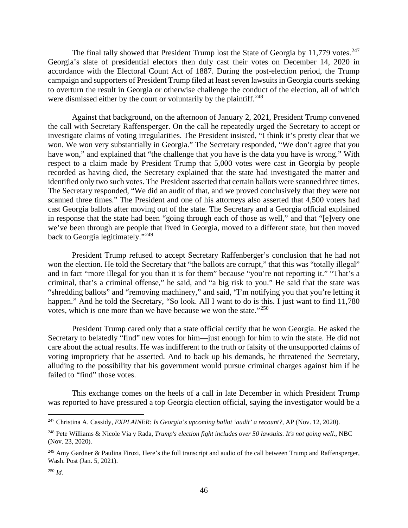The final tally showed that President Trump lost the State of Georgia by 11,779 votes.<sup>[247](#page-49-0)</sup> Georgia's slate of presidential electors then duly cast their votes on December 14, 2020 in accordance with the Electoral Count Act of 1887. During the post-election period, the Trump campaign and supporters of President Trump filed at least seven lawsuits in Georgia courts seeking to overturn the result in Georgia or otherwise challenge the conduct of the election, all of which were dismissed either by the court or voluntarily by the plaintiff.<sup>[248](#page-49-1)</sup>

Against that background, on the afternoon of January 2, 2021, President Trump convened the call with Secretary Raffensperger. On the call he repeatedly urged the Secretary to accept or investigate claims of voting irregularities. The President insisted, "I think it's pretty clear that we won. We won very substantially in Georgia." The Secretary responded, "We don't agree that you have won," and explained that "the challenge that you have is the data you have is wrong." With respect to a claim made by President Trump that 5,000 votes were cast in Georgia by people recorded as having died, the Secretary explained that the state had investigated the matter and identified only two such votes. The President asserted that certain ballots were scanned three times. The Secretary responded, "We did an audit of that, and we proved conclusively that they were not scanned three times." The President and one of his attorneys also asserted that 4,500 voters had cast Georgia ballots after moving out of the state. The Secretary and a Georgia official explained in response that the state had been "going through each of those as well," and that "[e]very one we've been through are people that lived in Georgia, moved to a different state, but then moved back to Georgia legitimately."[249](#page-49-2)

President Trump refused to accept Secretary Raffenberger's conclusion that he had not won the election. He told the Secretary that "the ballots are corrupt," that this was "totally illegal" and in fact "more illegal for you than it is for them" because "you're not reporting it." "That's a criminal, that's a criminal offense," he said, and "a big risk to you." He said that the state was "shredding ballots" and "removing machinery," and said, "I'm notifying you that you're letting it happen." And he told the Secretary, "So look. All I want to do is this. I just want to find 11,780 votes, which is one more than we have because we won the state."[250](#page-49-3)

President Trump cared only that a state official certify that he won Georgia. He asked the Secretary to belatedly "find" new votes for him—just enough for him to win the state. He did not care about the actual results. He was indifferent to the truth or falsity of the unsupported claims of voting impropriety that he asserted. And to back up his demands, he threatened the Secretary, alluding to the possibility that his government would pursue criminal charges against him if he failed to "find" those votes.

This exchange comes on the heels of a call in late December in which President Trump was reported to have pressured a top Georgia election official, saying the investigator would be a

<span id="page-49-0"></span><sup>247</sup> Christina A. Cassidy, *EXPLAINER: Is Georgia's upcoming ballot 'audit' a recount?,* AP (Nov. 12, 2020).

<span id="page-49-1"></span><sup>&</sup>lt;sup>248</sup> Pete Williams & Nicole Via y Rada, *Trump's election fight includes over 50 lawsuits. It's not going well.*, NBC (Nov. 23, 2020).

<span id="page-49-2"></span><sup>&</sup>lt;sup>249</sup> Amy Gardner & Paulina Firozi, Here's the full transcript and audio of the call between Trump and Raffensperger, Wash. Post (Jan. 5, 2021).

<span id="page-49-3"></span><sup>250</sup> *Id.*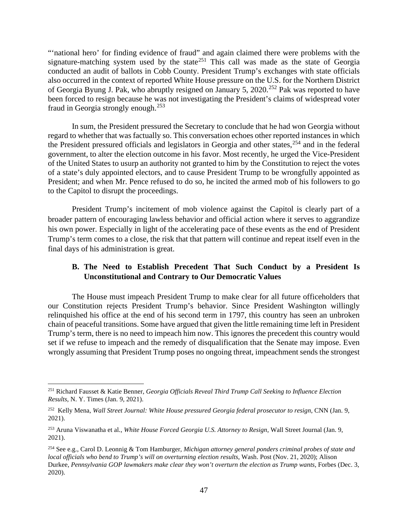"'national hero' for finding evidence of fraud" and again claimed there were problems with the signature-matching system used by the state<sup>[251](#page-50-0)</sup> This call was made as the state of Georgia conducted an audit of ballots in Cobb County. President Trump's exchanges with state officials also occurred in the context of reported White House pressure on the U.S. for the Northern District of Georgia Byung J. Pak, who abruptly resigned on January 5, 2020.[252](#page-50-1) Pak was reported to have been forced to resign because he was not investigating the President's claims of widespread voter fraud in Georgia strongly enough.[253](#page-50-2)

In sum, the President pressured the Secretary to conclude that he had won Georgia without regard to whether that was factually so. This conversation echoes other reported instances in which the President pressured officials and legislators in Georgia and other states,  $254$  and in the federal government, to alter the election outcome in his favor. Most recently, he urged the Vice-President of the United States to usurp an authority not granted to him by the Constitution to reject the votes of a state's duly appointed electors, and to cause President Trump to be wrongfully appointed as President; and when Mr. Pence refused to do so, he incited the armed mob of his followers to go to the Capitol to disrupt the proceedings.

President Trump's incitement of mob violence against the Capitol is clearly part of a broader pattern of encouraging lawless behavior and official action where it serves to aggrandize his own power. Especially in light of the accelerating pace of these events as the end of President Trump's term comes to a close, the risk that that pattern will continue and repeat itself even in the final days of his administration is great.

# **B. The Need to Establish Precedent That Such Conduct by a President Is Unconstitutional and Contrary to Our Democratic Values**

The House must impeach President Trump to make clear for all future officeholders that our Constitution rejects President Trump's behavior. Since President Washington willingly relinquished his office at the end of his second term in 1797, this country has seen an unbroken chain of peaceful transitions. Some have argued that given the little remaining time left in President Trump's term, there is no need to impeach him now. This ignores the precedent this country would set if we refuse to impeach and the remedy of disqualification that the Senate may impose. Even wrongly assuming that President Trump poses no ongoing threat, impeachment sends the strongest

<span id="page-50-0"></span><sup>251</sup> Richard Fausset & Katie Benner, *Georgia Officials Reveal Third Trump Call Seeking to Influence Election Results,* N. Y. Times (Jan. 9, 2021).

<span id="page-50-1"></span><sup>252</sup> Kelly Mena, *Wall Street Journal: White House pressured Georgia federal prosecutor to resign*, CNN (Jan. 9, 2021).

<span id="page-50-2"></span><sup>253</sup> Aruna Viswanatha et al., *White House Forced Georgia U.S. Attorney to Resign*, Wall Street Journal (Jan. 9, 2021).

<span id="page-50-3"></span><sup>254</sup> See e.g., Carol D. Leonnig & Tom Hamburger, *Michigan attorney general ponders criminal probes of state and local officials who bend to Trump's will on overturning election results*, Wash. Post (Nov. 21, 2020); Alison Durkee, *Pennsylvania GOP lawmakers make clear they won't overturn the election as Trump wants*, Forbes (Dec. 3, 2020).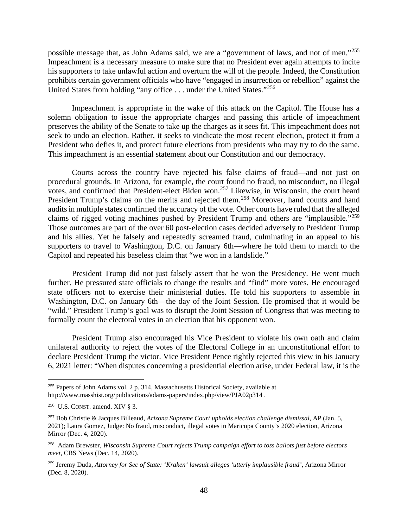possible message that, as John Adams said, we are a "government of laws, and not of men."[255](#page-51-0) Impeachment is a necessary measure to make sure that no President ever again attempts to incite his supporters to take unlawful action and overturn the will of the people. Indeed, the Constitution prohibits certain government officials who have "engaged in insurrection or rebellion" against the United States from holding "any office . . . under the United States."<sup>[256](#page-51-1)</sup>

Impeachment is appropriate in the wake of this attack on the Capitol. The House has a solemn obligation to issue the appropriate charges and passing this article of impeachment preserves the ability of the Senate to take up the charges as it sees fit. This impeachment does not seek to undo an election. Rather, it seeks to vindicate the most recent election, protect it from a President who defies it, and protect future elections from presidents who may try to do the same. This impeachment is an essential statement about our Constitution and our democracy.

Courts across the country have rejected his false claims of fraud—and not just on procedural grounds. In Arizona, for example, the court found no fraud, no misconduct, no illegal votes, and confirmed that President-elect Biden won.<sup>[257](#page-51-2)</sup> Likewise, in Wisconsin, the court heard President Trump's claims on the merits and rejected them.<sup>[258](#page-51-3)</sup> Moreover, hand counts and hand audits in multiple states confirmed the accuracy of the vote. Other courts have ruled that the alleged claims of rigged voting machines pushed by President Trump and others are "implausible."[259](#page-51-4) Those outcomes are part of the over 60 post-election cases decided adversely to President Trump and his allies. Yet he falsely and repeatedly screamed fraud, culminating in an appeal to his supporters to travel to Washington, D.C. on January 6th—where he told them to march to the Capitol and repeated his baseless claim that "we won in a landslide."

President Trump did not just falsely assert that he won the Presidency. He went much further. He pressured state officials to change the results and "find" more votes. He encouraged state officers not to exercise their ministerial duties. He told his supporters to assemble in Washington, D.C. on January 6th—the day of the Joint Session. He promised that it would be "wild." President Trump's goal was to disrupt the Joint Session of Congress that was meeting to formally count the electoral votes in an election that his opponent won.

President Trump also encouraged his Vice President to violate his own oath and claim unilateral authority to reject the votes of the Electoral College in an unconstitutional effort to declare President Trump the victor. Vice President Pence rightly rejected this view in his January 6, 2021 letter: "When disputes concerning a presidential election arise, under Federal law, it is the

<span id="page-51-0"></span><sup>255</sup> Papers of John Adams vol. 2 p. 314, Massachusetts Historical Society, available at

http://www.masshist.org/publications/adams-papers/index.php/view/PJA02p314 .

<span id="page-51-1"></span><sup>&</sup>lt;sup>256</sup> U.S. CONST. amend. XIV  $\S$  3.

<span id="page-51-2"></span><sup>257</sup> Bob Christie & Jacques Billeaud, *Arizona Supreme Court upholds election challenge dismissal*, AP (Jan. 5, 2021); Laura Gomez, Judge: No fraud, misconduct, illegal votes in Maricopa County's 2020 election, Arizona Mirror (Dec. 4, 2020).

<span id="page-51-3"></span><sup>258</sup> Adam Brewster, *Wisconsin Supreme Court rejects Trump campaign effort to toss ballots just before electors meet*, CBS News (Dec. 14, 2020).

<span id="page-51-4"></span><sup>259</sup> Jeremy Duda, *Attorney for Sec of State: 'Kraken' lawsuit alleges 'utterly implausible fraud'*, Arizona Mirror (Dec. 8, 2020).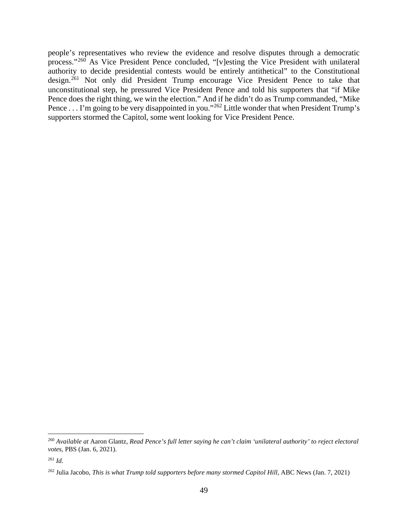people's representatives who review the evidence and resolve disputes through a democratic process."<sup>[260](#page-52-0)</sup> As Vice President Pence concluded, "[v]esting the Vice President with unilateral authority to decide presidential contests would be entirely antithetical" to the Constitutional design.[261](#page-52-1) Not only did President Trump encourage Vice President Pence to take that unconstitutional step, he pressured Vice President Pence and told his supporters that "if Mike Pence does the right thing, we win the election." And if he didn't do as Trump commanded, "Mike Pence . . . I'm going to be very disappointed in you."<sup>[262](#page-52-2)</sup> Little wonder that when President Trump's supporters stormed the Capitol, some went looking for Vice President Pence.

<span id="page-52-0"></span><sup>260</sup> *Available at* Aaron Glantz, *Read Pence's full letter saying he can't claim 'unilateral authority' to reject electoral votes*, PBS (Jan. 6, 2021).

<span id="page-52-1"></span><sup>261</sup> *Id.*

<span id="page-52-2"></span><sup>262</sup> Julia Jacobo, *This is what Trump told supporters before many stormed Capitol Hill*, ABC News (Jan. 7, 2021)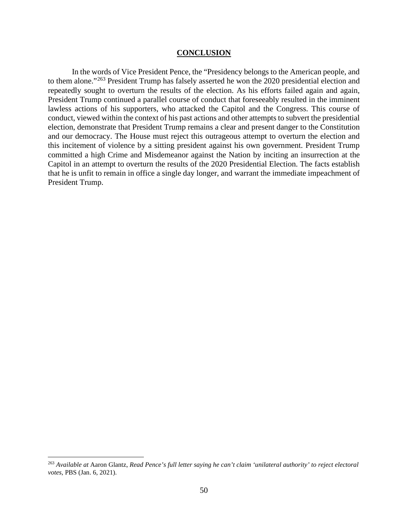#### **CONCLUSION**

In the words of Vice President Pence, the "Presidency belongs to the American people, and to them alone."[263](#page-53-0) President Trump has falsely asserted he won the 2020 presidential election and repeatedly sought to overturn the results of the election. As his efforts failed again and again, President Trump continued a parallel course of conduct that foreseeably resulted in the imminent lawless actions of his supporters, who attacked the Capitol and the Congress. This course of conduct, viewed within the context of his past actions and other attempts to subvert the presidential election, demonstrate that President Trump remains a clear and present danger to the Constitution and our democracy. The House must reject this outrageous attempt to overturn the election and this incitement of violence by a sitting president against his own government. President Trump committed a high Crime and Misdemeanor against the Nation by inciting an insurrection at the Capitol in an attempt to overturn the results of the 2020 Presidential Election. The facts establish that he is unfit to remain in office a single day longer, and warrant the immediate impeachment of President Trump.

<span id="page-53-0"></span><sup>263</sup> *Available at* Aaron Glantz, *Read Pence's full letter saying he can't claim 'unilateral authority' to reject electoral votes*, PBS (Jan. 6, 2021).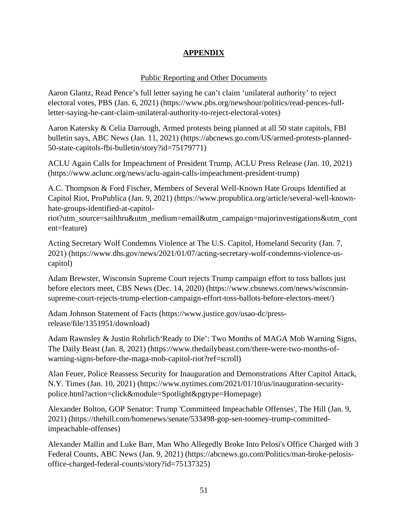# **APPENDIX**

# Public Reporting and Other Documents

Aaron Glantz, Read Pence's full letter saying he can't claim 'unilateral authority' to reject electoral votes, PBS (Jan. 6, 2021) (https://www.pbs.org/newshour/politics/read-pences-fullletter-saying-he-cant-claim-unilateral-authority-to-reject-electoral-votes)

Aaron Katersky & Celia Darrough, Armed protests being planned at all 50 state capitols, FBI bulletin says, ABC News (Jan. 11, 2021) (https://abcnews.go.com/US/armed-protests-planned-50-state-capitols-fbi-bulletin/story?id=75179771)

ACLU Again Calls for Impeachment of President Trump, ACLU Press Release (Jan. 10, 2021) (https://www.aclunc.org/news/aclu-again-calls-impeachment-president-trump)

A.C. Thompson & Ford Fischer, Members of Several Well-Known Hate Groups Identified at Capitol Riot, ProPublica (Jan. 9, 2021) (https://www.propublica.org/article/several-well-knownhate-groups-identified-at-capitol-

riot?utm\_source=sailthru&utm\_medium=email&utm\_campaign=majorinvestigations&utm\_cont ent=feature)

Acting Secretary Wolf Condemns Violence at The U.S. Capitol, Homeland Security (Jan. 7, 2021) (https://www.dhs.gov/news/2021/01/07/acting-secretary-wolf-condemns-violence-uscapitol)

Adam Brewster, Wisconsin Supreme Court rejects Trump campaign effort to toss ballots just before electors meet, CBS News (Dec. 14, 2020) (https://www.cbsnews.com/news/wisconsinsupreme-court-rejects-trump-election-campaign-effort-toss-ballots-before-electors-meet/)

Adam Johnson Statement of Facts (https://www.justice.gov/usao-dc/pressrelease/file/1351951/download)

Adam Rawnsley & Justin Rohrlich'Ready to Die': Two Months of MAGA Mob Warning Signs, The Daily Beast (Jan. 8, 2021) (https://www.thedailybeast.com/there-were-two-months-ofwarning-signs-before-the-maga-mob-capitol-riot?ref=scroll)

Alan Feuer, Police Reassess Security for Inauguration and Demonstrations After Capitol Attack, N.Y. Times (Jan. 10, 2021) (https://www.nytimes.com/2021/01/10/us/inauguration-securitypolice.html?action=click&module=Spotlight&pgtype=Homepage)

Alexander Bolton, GOP Senator: Trump 'Committeed Impeachable Offenses', The Hill (Jan. 9, 2021) (https://thehill.com/homenews/senate/533498-gop-sen-toomey-trump-committedimpeachable-offenses)

Alexander Mallin and Luke Barr, Man Who Allegedly Broke Into Pelosi's Office Charged with 3 Federal Counts, ABC News (Jan. 9, 2021) (https://abcnews.go.com/Politics/man-broke-pelosisoffice-charged-federal-counts/story?id=75137325)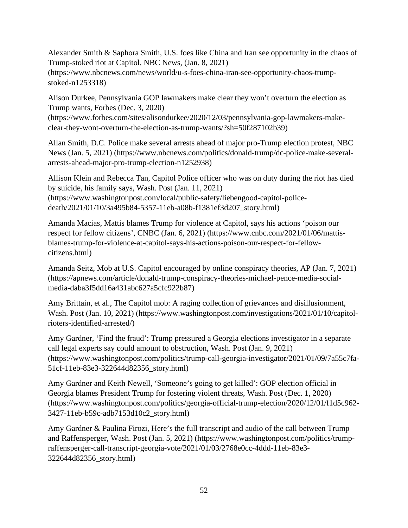Alexander Smith & Saphora Smith, U.S. foes like China and Iran see opportunity in the chaos of Trump-stoked riot at Capitol, NBC News, (Jan. 8, 2021)

(https://www.nbcnews.com/news/world/u-s-foes-china-iran-see-opportunity-chaos-trumpstoked-n1253318)

Alison Durkee, Pennsylvania GOP lawmakers make clear they won't overturn the election as Trump wants, Forbes (Dec. 3, 2020)

(https://www.forbes.com/sites/alisondurkee/2020/12/03/pennsylvania-gop-lawmakers-makeclear-they-wont-overturn-the-election-as-trump-wants/?sh=50f287102b39)

Allan Smith, D.C. Police make several arrests ahead of major pro-Trump election protest, NBC News (Jan. 5, 2021) (https://www.nbcnews.com/politics/donald-trump/dc-police-make-severalarrests-ahead-major-pro-trump-election-n1252938)

Allison Klein and Rebecca Tan, Capitol Police officer who was on duty during the riot has died by suicide, his family says, Wash. Post (Jan. 11, 2021) (https://www.washingtonpost.com/local/public-safety/liebengood-capitol-policedeath/2021/01/10/3a495b84-5357-11eb-a08b-f1381ef3d207\_story.html)

Amanda Macias, Mattis blames Trump for violence at Capitol, says his actions 'poison our respect for fellow citizens', CNBC (Jan. 6, 2021) (https://www.cnbc.com/2021/01/06/mattisblames-trump-for-violence-at-capitol-says-his-actions-poison-our-respect-for-fellowcitizens.html)

Amanda Seitz, Mob at U.S. Capitol encouraged by online conspiracy theories, AP (Jan. 7, 2021) (https://apnews.com/article/donald-trump-conspiracy-theories-michael-pence-media-socialmedia-daba3f5dd16a431abc627a5cfc922b87)

Amy Brittain, et al., The Capitol mob: A raging collection of grievances and disillusionment, Wash. Post (Jan. 10, 2021) (https://www.washingtonpost.com/investigations/2021/01/10/capitolrioters-identified-arrested/)

Amy Gardner, 'Find the fraud': Trump pressured a Georgia elections investigator in a separate call legal experts say could amount to obstruction, Wash. Post (Jan. 9, 2021) (https://www.washingtonpost.com/politics/trump-call-georgia-investigator/2021/01/09/7a55c7fa-51cf-11eb-83e3-322644d82356\_story.html)

Amy Gardner and Keith Newell, 'Someone's going to get killed': GOP election official in Georgia blames President Trump for fostering violent threats, Wash. Post (Dec. 1, 2020) (https://www.washingtonpost.com/politics/georgia-official-trump-election/2020/12/01/f1d5c962- 3427-11eb-b59c-adb7153d10c2\_story.html)

Amy Gardner & Paulina Firozi, Here's the full transcript and audio of the call between Trump and Raffensperger, Wash. Post (Jan. 5, 2021) (https://www.washingtonpost.com/politics/trumpraffensperger-call-transcript-georgia-vote/2021/01/03/2768e0cc-4ddd-11eb-83e3- 322644d82356\_story.html)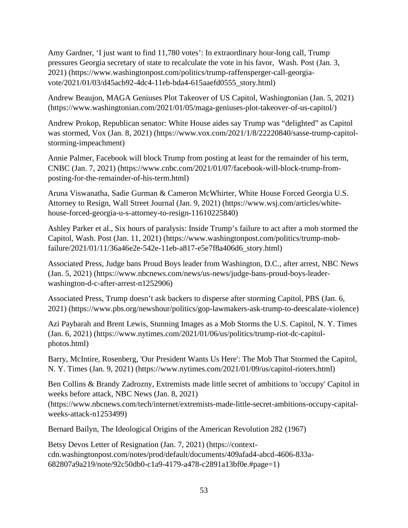Amy Gardner, 'I just want to find 11,780 votes': In extraordinary hour-long call, Trump pressures Georgia secretary of state to recalculate the vote in his favor, Wash. Post (Jan. 3, 2021) (https://www.washingtonpost.com/politics/trump-raffensperger-call-georgiavote/2021/01/03/d45acb92-4dc4-11eb-bda4-615aaefd0555\_story.html)

Andrew Beaujon, MAGA Geniuses Plot Takeover of US Capitol, Washingtonian (Jan. 5, 2021) (https://www.washingtonian.com/2021/01/05/maga-geniuses-plot-takeover-of-us-capitol/)

Andrew Prokop, Republican senator: White House aides say Trump was "delighted" as Capitol was stormed, Vox (Jan. 8, 2021) (https://www.vox.com/2021/1/8/22220840/sasse-trump-capitolstorming-impeachment)

Annie Palmer, Facebook will block Trump from posting at least for the remainder of his term, CNBC (Jan. 7, 2021) (https://www.cnbc.com/2021/01/07/facebook-will-block-trump-fromposting-for-the-remainder-of-his-term.html)

Aruna Viswanatha, Sadie Gurman & Cameron McWhirter, White House Forced Georgia U.S. Attorney to Resign, Wall Street Journal (Jan. 9, 2021) (https://www.wsj.com/articles/whitehouse-forced-georgia-u-s-attorney-to-resign-11610225840)

Ashley Parker et al., Six hours of paralysis: Inside Trump's failure to act after a mob stormed the Capitol, Wash. Post (Jan. 11, 2021) (https://www.washingtonpost.com/politics/trump-mobfailure/2021/01/11/36a46e2e-542e-11eb-a817-e5e7f8a406d6\_story.html)

Associated Press, Judge bans Proud Boys leader from Washington, D.C., after arrest, NBC News (Jan. 5, 2021) (https://www.nbcnews.com/news/us-news/judge-bans-proud-boys-leaderwashington-d-c-after-arrest-n1252906)

Associated Press, Trump doesn't ask backers to disperse after storming Capitol, PBS (Jan. 6, 2021) (https://www.pbs.org/newshour/politics/gop-lawmakers-ask-trump-to-deescalate-violence)

Azi Paybarah and Brent Lewis, Stunning Images as a Mob Storms the U.S. Capitol, N. Y. Times (Jan. 6, 2021) (https://www.nytimes.com/2021/01/06/us/politics/trump-riot-dc-capitolphotos.html)

Barry, McIntire, Rosenberg, 'Our President Wants Us Here': The Mob That Stormed the Capitol, N. Y. Times (Jan. 9, 2021) (https://www.nytimes.com/2021/01/09/us/capitol-rioters.html)

Ben Collins & Brandy Zadrozny, Extremists made little secret of ambitions to 'occupy' Capitol in weeks before attack, NBC News (Jan. 8, 2021)

(https://www.nbcnews.com/tech/internet/extremists-made-little-secret-ambitions-occupy-capitalweeks-attack-n1253499)

Bernard Bailyn, The Ideological Origins of the American Revolution 282 (1967)

Betsy Devos Letter of Resignation (Jan. 7, 2021) (https://contextcdn.washingtonpost.com/notes/prod/default/documents/409afad4-abcd-4606-833a-682807a9a219/note/92c50db0-c1a9-4179-a478-c2891a13bf0e.#page=1)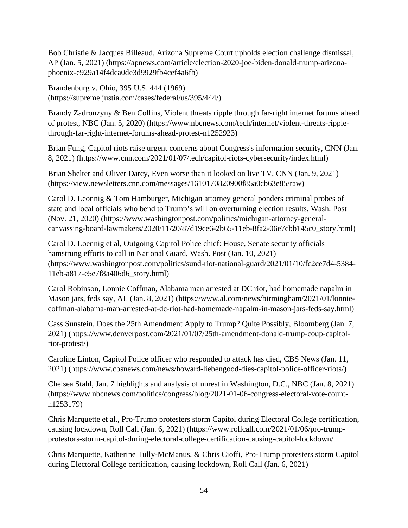Bob Christie & Jacques Billeaud, Arizona Supreme Court upholds election challenge dismissal, AP (Jan. 5, 2021) (https://apnews.com/article/election-2020-joe-biden-donald-trump-arizonaphoenix-e929a14f4dca0de3d9929fb4cef4a6fb)

Brandenburg v. Ohio, 395 U.S. 444 (1969) (https://supreme.justia.com/cases/federal/us/395/444/)

Brandy Zadronzyny & Ben Collins, Violent threats ripple through far-right internet forums ahead of protest, NBC (Jan. 5, 2020) (https://www.nbcnews.com/tech/internet/violent-threats-ripplethrough-far-right-internet-forums-ahead-protest-n1252923)

Brian Fung, Capitol riots raise urgent concerns about Congress's information security, CNN (Jan. 8, 2021) (https://www.cnn.com/2021/01/07/tech/capitol-riots-cybersecurity/index.html)

Brian Shelter and Oliver Darcy, Even worse than it looked on live TV, CNN (Jan. 9, 2021) (https://view.newsletters.cnn.com/messages/1610170820900f85a0cb63e85/raw)

Carol D. Leonnig & Tom Hamburger, Michigan attorney general ponders criminal probes of state and local officials who bend to Trump's will on overturning election results, Wash. Post (Nov. 21, 2020) (https://www.washingtonpost.com/politics/michigan-attorney-generalcanvassing-board-lawmakers/2020/11/20/87d19ce6-2b65-11eb-8fa2-06e7cbb145c0\_story.html)

Carol D. Loennig et al, Outgoing Capitol Police chief: House, Senate security officials hamstrung efforts to call in National Guard, Wash. Post (Jan. 10, 2021) (https://www.washingtonpost.com/politics/sund-riot-national-guard/2021/01/10/fc2ce7d4-5384- 11eb-a817-e5e7f8a406d6\_story.html)

Carol Robinson, Lonnie Coffman, Alabama man arrested at DC riot, had homemade napalm in Mason jars, feds say, AL (Jan. 8, 2021) (https://www.al.com/news/birmingham/2021/01/lonniecoffman-alabama-man-arrested-at-dc-riot-had-homemade-napalm-in-mason-jars-feds-say.html)

Cass Sunstein, Does the 25th Amendment Apply to Trump? Quite Possibly, Bloomberg (Jan. 7, 2021) (https://www.denverpost.com/2021/01/07/25th-amendment-donald-trump-coup-capitolriot-protest/)

Caroline Linton, Capitol Police officer who responded to attack has died, CBS News (Jan. 11, 2021) (https://www.cbsnews.com/news/howard-liebengood-dies-capitol-police-officer-riots/)

Chelsea Stahl, Jan. 7 highlights and analysis of unrest in Washington, D.C., NBC (Jan. 8, 2021) (https://www.nbcnews.com/politics/congress/blog/2021-01-06-congress-electoral-vote-countn1253179)

Chris Marquette et al., Pro-Trump protesters storm Capitol during Electoral College certification, causing lockdown, Roll Call (Jan. 6, 2021) (https://www.rollcall.com/2021/01/06/pro-trumpprotestors-storm-capitol-during-electoral-college-certification-causing-capitol-lockdown/

Chris Marquette, Katherine Tully-McManus, & Chris Cioffi, Pro-Trump protesters storm Capitol during Electoral College certification, causing lockdown, Roll Call (Jan. 6, 2021)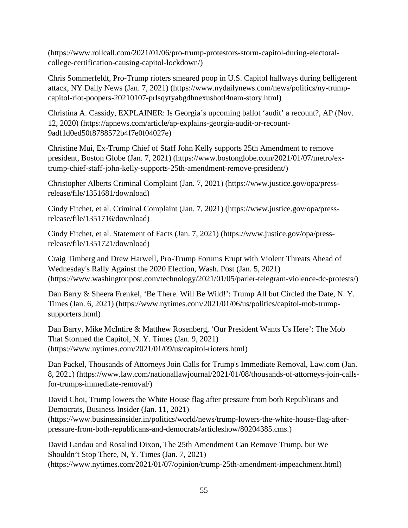(https://www.rollcall.com/2021/01/06/pro-trump-protestors-storm-capitol-during-electoralcollege-certification-causing-capitol-lockdown/)

Chris Sommerfeldt, Pro-Trump rioters smeared poop in U.S. Capitol hallways during belligerent attack, NY Daily News (Jan. 7, 2021) (https://www.nydailynews.com/news/politics/ny-trumpcapitol-riot-poopers-20210107-prlsqytyabgdhnexushotl4nam-story.html)

Christina A. Cassidy, EXPLAINER: Is Georgia's upcoming ballot 'audit' a recount?, AP (Nov. 12, 2020) (https://apnews.com/article/ap-explains-georgia-audit-or-recount-9adf1d0ed50f8788572b4f7e0f04027e)

Christine Mui, Ex-Trump Chief of Staff John Kelly supports 25th Amendment to remove president, Boston Globe (Jan. 7, 2021) (https://www.bostonglobe.com/2021/01/07/metro/extrump-chief-staff-john-kelly-supports-25th-amendment-remove-president/)

Christopher Alberts Criminal Complaint (Jan. 7, 2021) (https://www.justice.gov/opa/pressrelease/file/1351681/download)

Cindy Fitchet, et al. Criminal Complaint (Jan. 7, 2021) (https://www.justice.gov/opa/pressrelease/file/1351716/download)

Cindy Fitchet, et al. Statement of Facts (Jan. 7, 2021) (https://www.justice.gov/opa/pressrelease/file/1351721/download)

Craig Timberg and Drew Harwell, Pro-Trump Forums Erupt with Violent Threats Ahead of Wednesday's Rally Against the 2020 Election, Wash. Post (Jan. 5, 2021) (https://www.washingtonpost.com/technology/2021/01/05/parler-telegram-violence-dc-protests/)

Dan Barry & Sheera Frenkel, 'Be There. Will Be Wild!': Trump All but Circled the Date, N. Y. Times (Jan. 6, 2021) (https://www.nytimes.com/2021/01/06/us/politics/capitol-mob-trumpsupporters.html)

Dan Barry, Mike McIntire & Matthew Rosenberg, 'Our President Wants Us Here': The Mob That Stormed the Capitol, N. Y. Times (Jan. 9, 2021) (https://www.nytimes.com/2021/01/09/us/capitol-rioters.html)

Dan Packel, Thousands of Attorneys Join Calls for Trump's Immediate Removal, Law.com (Jan. 8, 2021) (https://www.law.com/nationallawjournal/2021/01/08/thousands-of-attorneys-join-callsfor-trumps-immediate-removal/)

David Choi, Trump lowers the White House flag after pressure from both Republicans and Democrats, Business Insider (Jan. 11, 2021)

(https://www.businessinsider.in/politics/world/news/trump-lowers-the-white-house-flag-afterpressure-from-both-republicans-and-democrats/articleshow/80204385.cms.)

David Landau and Rosalind Dixon, The 25th Amendment Can Remove Trump, but We Shouldn't Stop There, N, Y. Times (Jan. 7, 2021) (https://www.nytimes.com/2021/01/07/opinion/trump-25th-amendment-impeachment.html)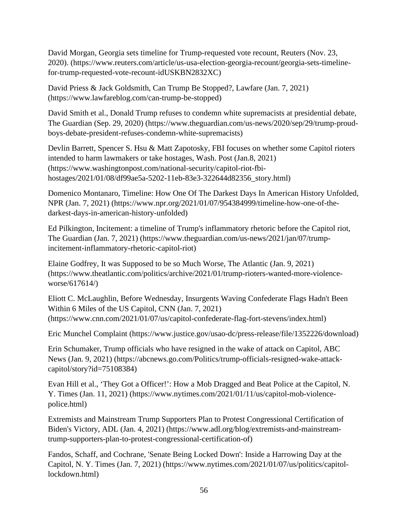David Morgan, Georgia sets timeline for Trump-requested vote recount, Reuters (Nov. 23, 2020). (https://www.reuters.com/article/us-usa-election-georgia-recount/georgia-sets-timelinefor-trump-requested-vote-recount-idUSKBN2832XC)

David Priess & Jack Goldsmith, Can Trump Be Stopped?, Lawfare (Jan. 7, 2021) (https://www.lawfareblog.com/can-trump-be-stopped)

David Smith et al., Donald Trump refuses to condemn white supremacists at presidential debate, The Guardian (Sep. 29, 2020) (https://www.theguardian.com/us-news/2020/sep/29/trump-proudboys-debate-president-refuses-condemn-white-supremacists)

Devlin Barrett, Spencer S. Hsu & Matt Zapotosky, FBI focuses on whether some Capitol rioters intended to harm lawmakers or take hostages, Wash. Post (Jan.8, 2021) (https://www.washingtonpost.com/national-security/capitol-riot-fbihostages/2021/01/08/df99ae5a-5202-11eb-83e3-322644d82356\_story.html)

Domenico Montanaro, Timeline: How One Of The Darkest Days In American History Unfolded, NPR (Jan. 7, 2021) (https://www.npr.org/2021/01/07/954384999/timeline-how-one-of-thedarkest-days-in-american-history-unfolded)

Ed Pilkington, Incitement: a timeline of Trump's inflammatory rhetoric before the Capitol riot, The Guardian (Jan. 7, 2021) (https://www.theguardian.com/us-news/2021/jan/07/trumpincitement-inflammatory-rhetoric-capitol-riot)

Elaine Godfrey, It was Supposed to be so Much Worse, The Atlantic (Jan. 9, 2021) (https://www.theatlantic.com/politics/archive/2021/01/trump-rioters-wanted-more-violenceworse/617614/)

Eliott C. McLaughlin, Before Wednesday, Insurgents Waving Confederate Flags Hadn't Been Within 6 Miles of the US Capitol, CNN (Jan. 7, 2021) (https://www.cnn.com/2021/01/07/us/capitol-confederate-flag-fort-stevens/index.html)

Eric Munchel Complaint (https://www.justice.gov/usao-dc/press-release/file/1352226/download)

Erin Schumaker, Trump officials who have resigned in the wake of attack on Capitol, ABC News (Jan. 9, 2021) (https://abcnews.go.com/Politics/trump-officials-resigned-wake-attackcapitol/story?id=75108384)

Evan Hill et al., 'They Got a Officer!': How a Mob Dragged and Beat Police at the Capitol, N. Y. Times (Jan. 11, 2021) (https://www.nytimes.com/2021/01/11/us/capitol-mob-violencepolice.html)

Extremists and Mainstream Trump Supporters Plan to Protest Congressional Certification of Biden's Victory, ADL (Jan. 4, 2021) (https://www.adl.org/blog/extremists-and-mainstreamtrump-supporters-plan-to-protest-congressional-certification-of)

Fandos, Schaff, and Cochrane, 'Senate Being Locked Down': Inside a Harrowing Day at the Capitol, N. Y. Times (Jan. 7, 2021) (https://www.nytimes.com/2021/01/07/us/politics/capitollockdown.html)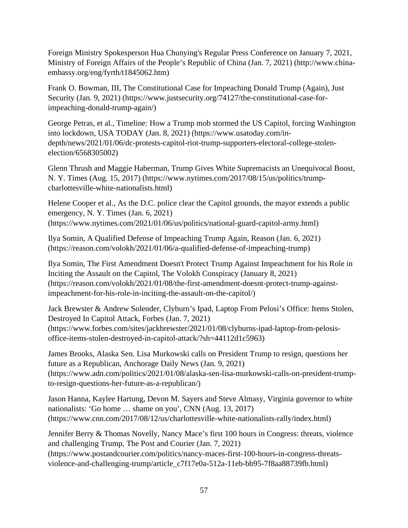Foreign Ministry Spokesperson Hua Chunying's Regular Press Conference on January 7, 2021, Ministry of Foreign Affairs of the People's Republic of China (Jan. 7, 2021) (http://www.chinaembassy.org/eng/fyrth/t1845062.htm)

Frank O. Bowman, III, The Constitutional Case for Impeaching Donald Trump (Again), Just Security (Jan. 9, 2021) (https://www.justsecurity.org/74127/the-constitutional-case-forimpeaching-donald-trump-again/)

George Petras, et al., Timeline: How a Trump mob stormed the US Capitol, forcing Washington into lockdown, USA TODAY (Jan. 8, 2021) (https://www.usatoday.com/indepth/news/2021/01/06/dc-protests-capitol-riot-trump-supporters-electoral-college-stolenelection/6568305002)

Glenn Thrush and Maggie Haberman, Trump Gives White Supremacists an Unequivocal Boost, N. Y. Times (Aug. 15, 2017) (https://www.nytimes.com/2017/08/15/us/politics/trumpcharlottesville-white-nationalists.html)

Helene Cooper et al., As the D.C. police clear the Capitol grounds, the mayor extends a public emergency, N. Y. Times (Jan. 6, 2021) (https://www.nytimes.com/2021/01/06/us/politics/national-guard-capitol-army.html)

Ilya Somin, A Qualified Defense of Impeaching Trump Again, Reason (Jan. 6, 2021) (https://reason.com/volokh/2021/01/06/a-qualified-defense-of-impeaching-trump)

Ilya Somin, The First Amendment Doesn't Protect Trump Against Impeachment for his Role in Inciting the Assault on the Capitol, The Volokh Conspiracy (January 8, 2021) (https://reason.com/volokh/2021/01/08/the-first-amendment-doesnt-protect-trump-againstimpeachment-for-his-role-in-inciting-the-assault-on-the-capitol/)

Jack Brewster & Andrew Solender, Clyburn's Ipad, Laptop From Pelosi's Office: Items Stolen, Destroyed In Capitol Attack, Forbes (Jan. 7, 2021) (https://www.forbes.com/sites/jackbrewster/2021/01/08/clyburns-ipad-laptop-from-pelosisoffice-items-stolen-destroyed-in-capitol-attack/?sh=44112d1c5963)

James Brooks, Alaska Sen. Lisa Murkowski calls on President Trump to resign, questions her future as a Republican, Anchorage Daily News (Jan. 9, 2021) (https://www.adn.com/politics/2021/01/08/alaska-sen-lisa-murkowski-calls-on-president-trumpto-resign-questions-her-future-as-a-republican/)

Jason Hanna, Kaylee Hartung, Devon M. Sayers and Steve Almasy, Virginia governor to white nationalists: 'Go home … shame on you', CNN (Aug. 13, 2017) (https://www.cnn.com/2017/08/12/us/charlottesville-white-nationalists-rally/index.html)

Jennifer Berry & Thomas Novelly, Nancy Mace's first 100 hours in Congress: threats, violence and challenging Trump, The Post and Courier (Jan. 7, 2021) (https://www.postandcourier.com/politics/nancy-maces-first-100-hours-in-congress-threatsviolence-and-challenging-trump/article\_c7f17e0a-512a-11eb-bb95-7f8aa88739fb.html)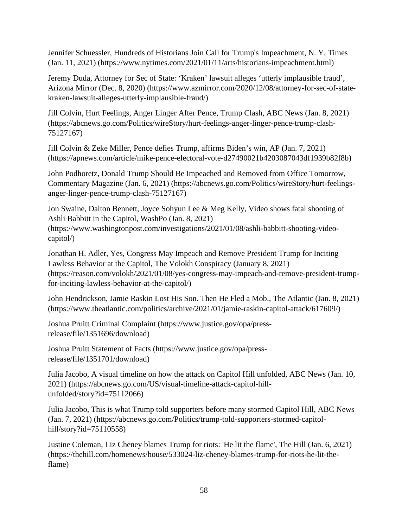Jennifer Schuessler, Hundreds of Historians Join Call for Trump's Impeachment, N. Y. Times (Jan. 11, 2021) (https://www.nytimes.com/2021/01/11/arts/historians-impeachment.html)

Jeremy Duda, Attorney for Sec of State: 'Kraken' lawsuit alleges 'utterly implausible fraud', Arizona Mirror (Dec. 8, 2020) (https://www.azmirror.com/2020/12/08/attorney-for-sec-of-statekraken-lawsuit-alleges-utterly-implausible-fraud/)

Jill Colvin, Hurt Feelings, Anger Linger After Pence, Trump Clash, ABC News (Jan. 8, 2021) (https://abcnews.go.com/Politics/wireStory/hurt-feelings-anger-linger-pence-trump-clash-75127167)

Jill Colvin & Zeke Miller, Pence defies Trump, affirms Biden's win, AP (Jan. 7, 2021) (https://apnews.com/article/mike-pence-electoral-vote-d27490021b4203087043df1939b82f8b)

John Podhoretz, Donald Trump Should Be Impeached and Removed from Office Tomorrow, Commentary Magazine (Jan. 6, 2021) (https://abcnews.go.com/Politics/wireStory/hurt-feelingsanger-linger-pence-trump-clash-75127167)

Jon Swaine, Dalton Bennett, Joyce Sohyun Lee & Meg Kelly, Video shows fatal shooting of Ashli Babbitt in the Capitol, WashPo (Jan. 8, 2021)

(https://www.washingtonpost.com/investigations/2021/01/08/ashli-babbitt-shooting-videocapitol/)

Jonathan H. Adler, Yes, Congress May Impeach and Remove President Trump for Inciting Lawless Behavior at the Capitol, The Volokh Conspiracy (January 8, 2021) (https://reason.com/volokh/2021/01/08/yes-congress-may-impeach-and-remove-president-trumpfor-inciting-lawless-behavior-at-the-capitol/)

John Hendrickson, Jamie Raskin Lost His Son. Then He Fled a Mob., The Atlantic (Jan. 8, 2021) (https://www.theatlantic.com/politics/archive/2021/01/jamie-raskin-capitol-attack/617609/)

Joshua Pruitt Criminal Complaint (https://www.justice.gov/opa/pressrelease/file/1351696/download)

Joshua Pruitt Statement of Facts (https://www.justice.gov/opa/pressrelease/file/1351701/download)

Julia Jacobo, A visual timeline on how the attack on Capitol Hill unfolded, ABC News (Jan. 10, 2021) (https://abcnews.go.com/US/visual-timeline-attack-capitol-hillunfolded/story?id=75112066)

Julia Jacobo, This is what Trump told supporters before many stormed Capitol Hill, ABC News (Jan. 7, 2021) (https://abcnews.go.com/Politics/trump-told-supporters-stormed-capitolhill/story?id=75110558)

Justine Coleman, Liz Cheney blames Trump for riots: 'He lit the flame', The Hill (Jan. 6, 2021) (https://thehill.com/homenews/house/533024-liz-cheney-blames-trump-for-riots-he-lit-theflame)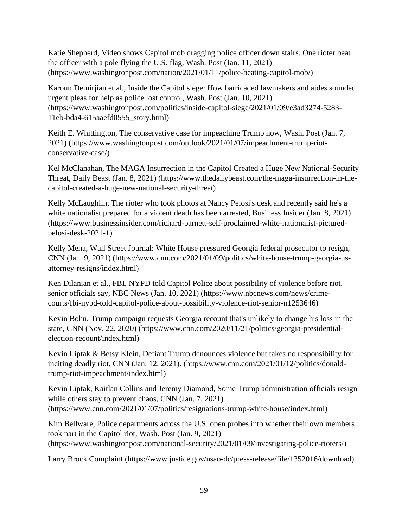Katie Shepherd, Video shows Capitol mob dragging police officer down stairs. One rioter beat the officer with a pole flying the U.S. flag, Wash. Post (Jan. 11, 2021) (https://www.washingtonpost.com/nation/2021/01/11/police-beating-capitol-mob/)

Karoun Demirjian et al., Inside the Capitol siege: How barricaded lawmakers and aides sounded urgent pleas for help as police lost control, Wash. Post (Jan. 10, 2021) (https://www.washingtonpost.com/politics/inside-capitol-siege/2021/01/09/e3ad3274-5283- 11eb-bda4-615aaefd0555\_story.html)

Keith E. Whittington, The conservative case for impeaching Trump now, Wash. Post (Jan. 7, 2021) (https://www.washingtonpost.com/outlook/2021/01/07/impeachment-trump-riotconservative-case/)

Kel McClanahan, The MAGA Insurrection in the Capitol Created a Huge New National-Security Threat, Daily Beast (Jan. 8, 2021) (https://www.thedailybeast.com/the-maga-insurrection-in-thecapitol-created-a-huge-new-national-security-threat)

Kelly McLaughlin, The rioter who took photos at Nancy Pelosi's desk and recently said he's a white nationalist prepared for a violent death has been arrested, Business Insider (Jan. 8, 2021) (https://www.businessinsider.com/richard-barnett-self-proclaimed-white-nationalist-picturedpelosi-desk-2021-1)

Kelly Mena, Wall Street Journal: White House pressured Georgia federal prosecutor to resign, CNN (Jan. 9, 2021) (https://www.cnn.com/2021/01/09/politics/white-house-trump-georgia-usattorney-resigns/index.html)

Ken Dilanian et al., FBI, NYPD told Capitol Police about possibility of violence before riot, senior officials say, NBC News (Jan. 10, 2021) (https://www.nbcnews.com/news/crimecourts/fbi-nypd-told-capitol-police-about-possibility-violence-riot-senior-n1253646)

Kevin Bohn, Trump campaign requests Georgia recount that's unlikely to change his loss in the state, CNN (Nov. 22, 2020) (https://www.cnn.com/2020/11/21/politics/georgia-presidentialelection-recount/index.html)

Kevin Liptak & Betsy Klein, Defiant Trump denounces violence but takes no responsibility for inciting deadly riot, CNN (Jan. 12, 2021). (https://www.cnn.com/2021/01/12/politics/donaldtrump-riot-impeachment/index.html)

Kevin Liptak, Kaitlan Collins and Jeremy Diamond, Some Trump administration officials resign while others stay to prevent chaos, CNN (Jan. 7, 2021) (https://www.cnn.com/2021/01/07/politics/resignations-trump-white-house/index.html)

Kim Bellware, Police departments across the U.S. open probes into whether their own members took part in the Capitol riot, Wash. Post (Jan. 9, 2021) (https://www.washingtonpost.com/national-security/2021/01/09/investigating-police-rioters/)

Larry Brock Complaint (https://www.justice.gov/usao-dc/press-release/file/1352016/download)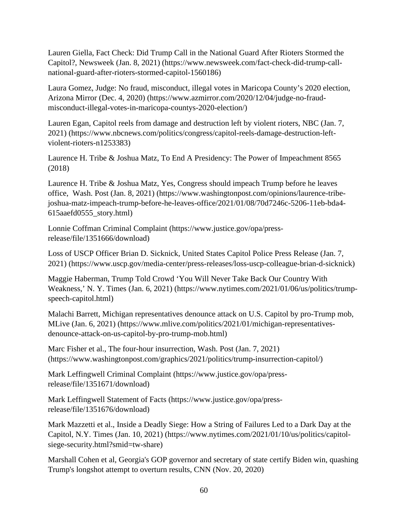Lauren Giella, Fact Check: Did Trump Call in the National Guard After Rioters Stormed the Capitol?, Newsweek (Jan. 8, 2021) (https://www.newsweek.com/fact-check-did-trump-callnational-guard-after-rioters-stormed-capitol-1560186)

Laura Gomez, Judge: No fraud, misconduct, illegal votes in Maricopa County's 2020 election, Arizona Mirror (Dec. 4, 2020) (https://www.azmirror.com/2020/12/04/judge-no-fraudmisconduct-illegal-votes-in-maricopa-countys-2020-election/)

Lauren Egan, Capitol reels from damage and destruction left by violent rioters, NBC (Jan. 7, 2021) (https://www.nbcnews.com/politics/congress/capitol-reels-damage-destruction-leftviolent-rioters-n1253383)

Laurence H. Tribe & Joshua Matz, To End A Presidency: The Power of Impeachment 8565 (2018)

Laurence H. Tribe & Joshua Matz, Yes, Congress should impeach Trump before he leaves office, Wash. Post (Jan. 8, 2021) (https://www.washingtonpost.com/opinions/laurence-tribejoshua-matz-impeach-trump-before-he-leaves-office/2021/01/08/70d7246c-5206-11eb-bda4- 615aaefd0555\_story.html)

Lonnie Coffman Criminal Complaint (https://www.justice.gov/opa/pressrelease/file/1351666/download)

Loss of USCP Officer Brian D. Sicknick, United States Capitol Police Press Release (Jan. 7, 2021) (https://www.uscp.gov/media-center/press-releases/loss-uscp-colleague-brian-d-sicknick)

Maggie Haberman, Trump Told Crowd 'You Will Never Take Back Our Country With Weakness,' N. Y. Times (Jan. 6, 2021) (https://www.nytimes.com/2021/01/06/us/politics/trumpspeech-capitol.html)

Malachi Barrett, Michigan representatives denounce attack on U.S. Capitol by pro-Trump mob, MLive (Jan. 6, 2021) (https://www.mlive.com/politics/2021/01/michigan-representativesdenounce-attack-on-us-capitol-by-pro-trump-mob.html)

Marc Fisher et al., The four-hour insurrection, Wash. Post (Jan. 7, 2021) (https://www.washingtonpost.com/graphics/2021/politics/trump-insurrection-capitol/)

Mark Leffingwell Criminal Complaint (https://www.justice.gov/opa/pressrelease/file/1351671/download)

Mark Leffingwell Statement of Facts (https://www.justice.gov/opa/pressrelease/file/1351676/download)

Mark Mazzetti et al., Inside a Deadly Siege: How a String of Failures Led to a Dark Day at the Capitol, N.Y. Times (Jan. 10, 2021) (https://www.nytimes.com/2021/01/10/us/politics/capitolsiege-security.html?smid=tw-share)

Marshall Cohen et al, Georgia's GOP governor and secretary of state certify Biden win, quashing Trump's longshot attempt to overturn results, CNN (Nov. 20, 2020)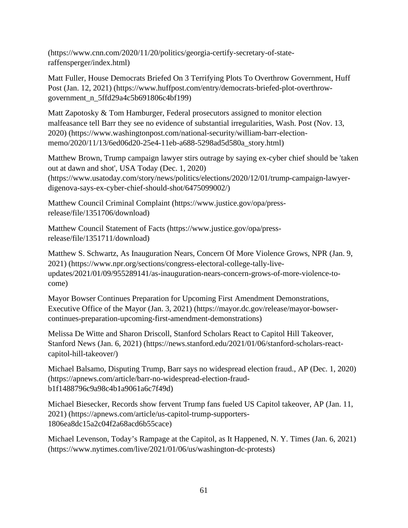(https://www.cnn.com/2020/11/20/politics/georgia-certify-secretary-of-stateraffensperger/index.html)

Matt Fuller, House Democrats Briefed On 3 Terrifying Plots To Overthrow Government, Huff Post (Jan. 12, 2021) (https://www.huffpost.com/entry/democrats-briefed-plot-overthrowgovernment\_n\_5ffd29a4c5b691806c4bf199)

Matt Zapotosky & Tom Hamburger, Federal prosecutors assigned to monitor election malfeasance tell Barr they see no evidence of substantial irregularities, Wash. Post (Nov. 13, 2020) (https://www.washingtonpost.com/national-security/william-barr-electionmemo/2020/11/13/6ed06d20-25e4-11eb-a688-5298ad5d580a\_story.html)

Matthew Brown, Trump campaign lawyer stirs outrage by saying ex-cyber chief should be 'taken out at dawn and shot', USA Today (Dec. 1, 2020) (https://www.usatoday.com/story/news/politics/elections/2020/12/01/trump-campaign-lawyerdigenova-says-ex-cyber-chief-should-shot/6475099002/)

Matthew Council Criminal Complaint (https://www.justice.gov/opa/pressrelease/file/1351706/download)

Matthew Council Statement of Facts (https://www.justice.gov/opa/pressrelease/file/1351711/download)

Matthew S. Schwartz, As Inauguration Nears, Concern Of More Violence Grows, NPR (Jan. 9, 2021) (https://www.npr.org/sections/congress-electoral-college-tally-liveupdates/2021/01/09/955289141/as-inauguration-nears-concern-grows-of-more-violence-tocome)

Mayor Bowser Continues Preparation for Upcoming First Amendment Demonstrations, Executive Office of the Mayor (Jan. 3, 2021) (https://mayor.dc.gov/release/mayor-bowsercontinues-preparation-upcoming-first-amendment-demonstrations)

Melissa De Witte and Sharon Driscoll, Stanford Scholars React to Capitol Hill Takeover, Stanford News (Jan. 6, 2021) (https://news.stanford.edu/2021/01/06/stanford-scholars-reactcapitol-hill-takeover/)

Michael Balsamo, Disputing Trump, Barr says no widespread election fraud., AP (Dec. 1, 2020) (https://apnews.com/article/barr-no-widespread-election-fraudb1f1488796c9a98c4b1a9061a6c7f49d)

Michael Biesecker, Records show fervent Trump fans fueled US Capitol takeover, AP (Jan. 11, 2021) (https://apnews.com/article/us-capitol-trump-supporters-1806ea8dc15a2c04f2a68acd6b55cace)

Michael Levenson, Today's Rampage at the Capitol, as It Happened, N. Y. Times (Jan. 6, 2021) (https://www.nytimes.com/live/2021/01/06/us/washington-dc-protests)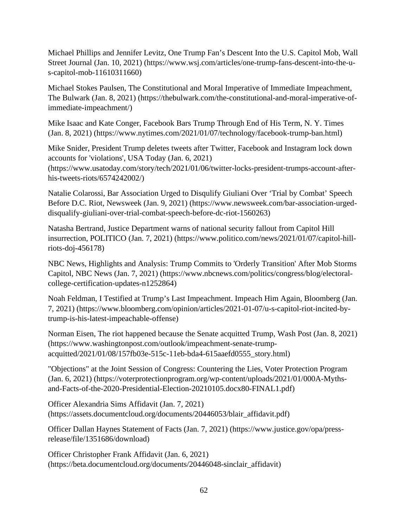Michael Phillips and Jennifer Levitz, One Trump Fan's Descent Into the U.S. Capitol Mob, Wall Street Journal (Jan. 10, 2021) (https://www.wsj.com/articles/one-trump-fans-descent-into-the-us-capitol-mob-11610311660)

Michael Stokes Paulsen, The Constitutional and Moral Imperative of Immediate Impeachment, The Bulwark (Jan. 8, 2021) (https://thebulwark.com/the-constitutional-and-moral-imperative-ofimmediate-impeachment/)

Mike Isaac and Kate Conger, Facebook Bars Trump Through End of His Term, N. Y. Times (Jan. 8, 2021) (https://www.nytimes.com/2021/01/07/technology/facebook-trump-ban.html)

Mike Snider, President Trump deletes tweets after Twitter, Facebook and Instagram lock down accounts for 'violations', USA Today (Jan. 6, 2021) (https://www.usatoday.com/story/tech/2021/01/06/twitter-locks-president-trumps-account-afterhis-tweets-riots/6574242002/)

Natalie Colarossi, Bar Association Urged to Disqulify Giuliani Over 'Trial by Combat' Speech Before D.C. Riot, Newsweek (Jan. 9, 2021) (https://www.newsweek.com/bar-association-urgeddisqualify-giuliani-over-trial-combat-speech-before-dc-riot-1560263)

Natasha Bertrand, Justice Department warns of national security fallout from Capitol Hill insurrection, POLITICO (Jan. 7, 2021) (https://www.politico.com/news/2021/01/07/capitol-hillriots-doj-456178)

NBC News, Highlights and Analysis: Trump Commits to 'Orderly Transition' After Mob Storms Capitol, NBC News (Jan. 7, 2021) (https://www.nbcnews.com/politics/congress/blog/electoralcollege-certification-updates-n1252864)

Noah Feldman, I Testified at Trump's Last Impeachment. Impeach Him Again, Bloomberg (Jan. 7, 2021) (https://www.bloomberg.com/opinion/articles/2021-01-07/u-s-capitol-riot-incited-bytrump-is-his-latest-impeachable-offense)

Norman Eisen, The riot happened because the Senate acquitted Trump, Wash Post (Jan. 8, 2021) (https://www.washingtonpost.com/outlook/impeachment-senate-trumpacquitted/2021/01/08/157fb03e-515c-11eb-bda4-615aaefd0555\_story.html)

"Objections" at the Joint Session of Congress: Countering the Lies, Voter Protection Program (Jan. 6, 2021) (https://voterprotectionprogram.org/wp-content/uploads/2021/01/000A-Mythsand-Facts-of-the-2020-Presidential-Election-20210105.docx80-FINAL1.pdf)

Officer Alexandria Sims Affidavit (Jan. 7, 2021) (https://assets.documentcloud.org/documents/20446053/blair\_affidavit.pdf)

Officer Dallan Haynes Statement of Facts (Jan. 7, 2021) (https://www.justice.gov/opa/pressrelease/file/1351686/download)

Officer Christopher Frank Affidavit (Jan. 6, 2021) (https://beta.documentcloud.org/documents/20446048-sinclair\_affidavit)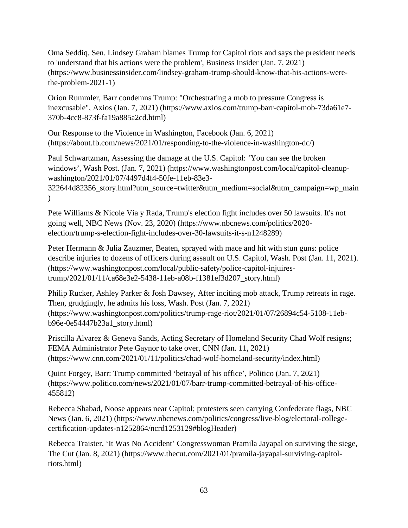Oma Seddiq, Sen. Lindsey Graham blames Trump for Capitol riots and says the president needs to 'understand that his actions were the problem', Business Insider (Jan. 7, 2021) (https://www.businessinsider.com/lindsey-graham-trump-should-know-that-his-actions-werethe-problem-2021-1)

Orion Rummler, Barr condemns Trump: "Orchestrating a mob to pressure Congress is inexcusable", Axios (Jan. 7, 2021) (https://www.axios.com/trump-barr-capitol-mob-73da61e7- 370b-4cc8-873f-fa19a885a2cd.html)

Our Response to the Violence in Washington, Facebook (Jan. 6, 2021) (https://about.fb.com/news/2021/01/responding-to-the-violence-in-washington-dc/)

Paul Schwartzman, Assessing the damage at the U.S. Capitol: 'You can see the broken windows', Wash Post. (Jan. 7, 2021) (https://www.washingtonpost.com/local/capitol-cleanupwashington/2021/01/07/4497d4f4-50fe-11eb-83e3-

322644d82356\_story.html?utm\_source=twitter&utm\_medium=social&utm\_campaign=wp\_main  $\mathcal{L}$ 

Pete Williams & Nicole Via y Rada, Trump's election fight includes over 50 lawsuits. It's not going well, NBC News (Nov. 23, 2020) (https://www.nbcnews.com/politics/2020 election/trump-s-election-fight-includes-over-30-lawsuits-it-s-n1248289)

Peter Hermann & Julia Zauzmer, Beaten, sprayed with mace and hit with stun guns: police describe injuries to dozens of officers during assault on U.S. Capitol, Wash. Post (Jan. 11, 2021). (https://www.washingtonpost.com/local/public-safety/police-capitol-injuirestrump/2021/01/11/ca68e3e2-5438-11eb-a08b-f1381ef3d207\_story.html)

Philip Rucker, Ashley Parker & Josh Dawsey, After inciting mob attack, Trump retreats in rage. Then, grudgingly, he admits his loss, Wash. Post (Jan. 7, 2021) (https://www.washingtonpost.com/politics/trump-rage-riot/2021/01/07/26894c54-5108-11ebb96e-0e54447b23a1\_story.html)

Priscilla Alvarez & Geneva Sands, Acting Secretary of Homeland Security Chad Wolf resigns; FEMA Administrator Pete Gaynor to take over, CNN (Jan. 11, 2021) (https://www.cnn.com/2021/01/11/politics/chad-wolf-homeland-security/index.html)

Quint Forgey, Barr: Trump committed 'betrayal of his office', Politico (Jan. 7, 2021) (https://www.politico.com/news/2021/01/07/barr-trump-committed-betrayal-of-his-office-455812)

Rebecca Shabad, Noose appears near Capitol; protesters seen carrying Confederate flags, NBC News (Jan. 6, 2021) (https://www.nbcnews.com/politics/congress/live-blog/electoral-collegecertification-updates-n1252864/ncrd1253129#blogHeader)

Rebecca Traister, 'It Was No Accident' Congresswoman Pramila Jayapal on surviving the siege, The Cut (Jan. 8, 2021) (https://www.thecut.com/2021/01/pramila-jayapal-surviving-capitolriots.html)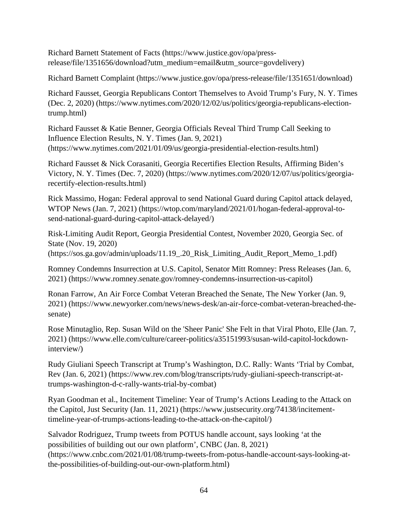Richard Barnett Statement of Facts (https://www.justice.gov/opa/pressrelease/file/1351656/download?utm\_medium=email&utm\_source=govdelivery)

Richard Barnett Complaint (https://www.justice.gov/opa/press-release/file/1351651/download)

Richard Fausset, Georgia Republicans Contort Themselves to Avoid Trump's Fury, N. Y. Times (Dec. 2, 2020) (https://www.nytimes.com/2020/12/02/us/politics/georgia-republicans-electiontrump.html)

Richard Fausset & Katie Benner, Georgia Officials Reveal Third Trump Call Seeking to Influence Election Results, N. Y. Times (Jan. 9, 2021) (https://www.nytimes.com/2021/01/09/us/georgia-presidential-election-results.html)

Richard Fausset & Nick Corasaniti, Georgia Recertifies Election Results, Affirming Biden's Victory, N. Y. Times (Dec. 7, 2020) (https://www.nytimes.com/2020/12/07/us/politics/georgiarecertify-election-results.html)

Rick Massimo, Hogan: Federal approval to send National Guard during Capitol attack delayed, WTOP News (Jan. 7, 2021) (https://wtop.com/maryland/2021/01/hogan-federal-approval-tosend-national-guard-during-capitol-attack-delayed/)

Risk-Limiting Audit Report, Georgia Presidential Contest, November 2020, Georgia Sec. of State (Nov. 19, 2020) (https://sos.ga.gov/admin/uploads/11.19\_.20\_Risk\_Limiting\_Audit\_Report\_Memo\_1.pdf)

Romney Condemns Insurrection at U.S. Capitol, Senator Mitt Romney: Press Releases (Jan. 6, 2021) (https://www.romney.senate.gov/romney-condemns-insurrection-us-capitol)

Ronan Farrow, An Air Force Combat Veteran Breached the Senate, The New Yorker (Jan. 9, 2021) (https://www.newyorker.com/news/news-desk/an-air-force-combat-veteran-breached-thesenate)

Rose Minutaglio, Rep. Susan Wild on the 'Sheer Panic' She Felt in that Viral Photo, Elle (Jan. 7, 2021) (https://www.elle.com/culture/career-politics/a35151993/susan-wild-capitol-lockdowninterview/)

Rudy Giuliani Speech Transcript at Trump's Washington, D.C. Rally: Wants 'Trial by Combat, Rev (Jan. 6, 2021) (https://www.rev.com/blog/transcripts/rudy-giuliani-speech-transcript-attrumps-washington-d-c-rally-wants-trial-by-combat)

Ryan Goodman et al., Incitement Timeline: Year of Trump's Actions Leading to the Attack on the Capitol, Just Security (Jan. 11, 2021) (https://www.justsecurity.org/74138/incitementtimeline-year-of-trumps-actions-leading-to-the-attack-on-the-capitol/)

Salvador Rodriguez, Trump tweets from POTUS handle account, says looking 'at the possibilities of building out our own platform', CNBC (Jan. 8, 2021) (https://www.cnbc.com/2021/01/08/trump-tweets-from-potus-handle-account-says-looking-atthe-possibilities-of-building-out-our-own-platform.html)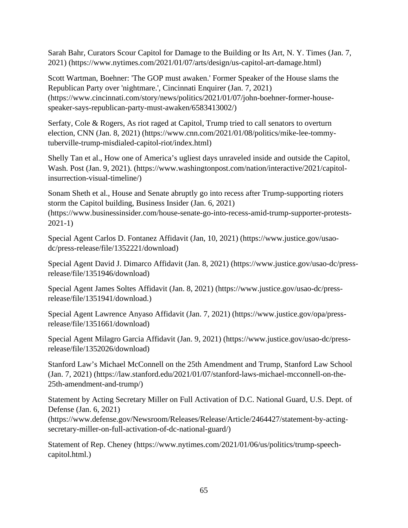Sarah Bahr, Curators Scour Capitol for Damage to the Building or Its Art, N. Y. Times (Jan. 7, 2021) (https://www.nytimes.com/2021/01/07/arts/design/us-capitol-art-damage.html)

Scott Wartman, Boehner: 'The GOP must awaken.' Former Speaker of the House slams the Republican Party over 'nightmare.', Cincinnati Enquirer (Jan. 7, 2021) (https://www.cincinnati.com/story/news/politics/2021/01/07/john-boehner-former-housespeaker-says-republican-party-must-awaken/6583413002/)

Serfaty, Cole & Rogers, As riot raged at Capitol, Trump tried to call senators to overturn election, CNN (Jan. 8, 2021) (https://www.cnn.com/2021/01/08/politics/mike-lee-tommytuberville-trump-misdialed-capitol-riot/index.html)

Shelly Tan et al., How one of America's ugliest days unraveled inside and outside the Capitol, Wash. Post (Jan. 9, 2021). (https://www.washingtonpost.com/nation/interactive/2021/capitolinsurrection-visual-timeline/)

Sonam Sheth et al., House and Senate abruptly go into recess after Trump-supporting rioters storm the Capitol building, Business Insider (Jan. 6, 2021) (https://www.businessinsider.com/house-senate-go-into-recess-amid-trump-supporter-protests-2021-1)

Special Agent Carlos D. Fontanez Affidavit (Jan, 10, 2021) (https://www.justice.gov/usaodc/press-release/file/1352221/download)

Special Agent David J. Dimarco Affidavit (Jan. 8, 2021) (https://www.justice.gov/usao-dc/pressrelease/file/1351946/download)

Special Agent James Soltes Affidavit (Jan. 8, 2021) (https://www.justice.gov/usao-dc/pressrelease/file/1351941/download.)

Special Agent Lawrence Anyaso Affidavit (Jan. 7, 2021) (https://www.justice.gov/opa/pressrelease/file/1351661/download)

Special Agent Milagro Garcia Affidavit (Jan. 9, 2021) (https://www.justice.gov/usao-dc/pressrelease/file/1352026/download)

Stanford Law's Michael McConnell on the 25th Amendment and Trump, Stanford Law School (Jan. 7, 2021) (https://law.stanford.edu/2021/01/07/stanford-laws-michael-mcconnell-on-the-25th-amendment-and-trump/)

Statement by Acting Secretary Miller on Full Activation of D.C. National Guard, U.S. Dept. of Defense (Jan. 6, 2021)

(https://www.defense.gov/Newsroom/Releases/Release/Article/2464427/statement-by-actingsecretary-miller-on-full-activation-of-dc-national-guard/)

Statement of Rep. Cheney (https://www.nytimes.com/2021/01/06/us/politics/trump-speechcapitol.html.)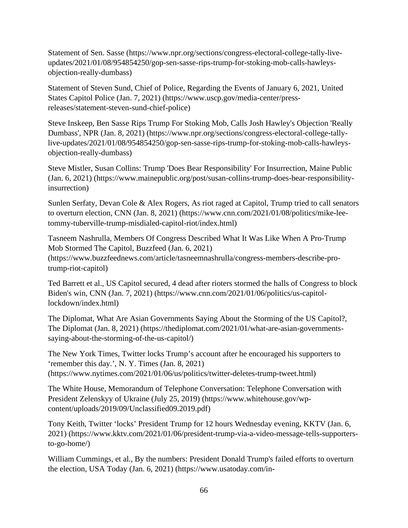Statement of Sen. Sasse (https://www.npr.org/sections/congress-electoral-college-tally-liveupdates/2021/01/08/954854250/gop-sen-sasse-rips-trump-for-stoking-mob-calls-hawleysobjection-really-dumbass)

Statement of Steven Sund, Chief of Police, Regarding the Events of January 6, 2021, United States Capitol Police (Jan. 7, 2021) (https://www.uscp.gov/media-center/pressreleases/statement-steven-sund-chief-police)

Steve Inskeep, Ben Sasse Rips Trump For Stoking Mob, Calls Josh Hawley's Objection 'Really Dumbass', NPR (Jan. 8, 2021) (https://www.npr.org/sections/congress-electoral-college-tallylive-updates/2021/01/08/954854250/gop-sen-sasse-rips-trump-for-stoking-mob-calls-hawleysobjection-really-dumbass)

Steve Mistler, Susan Collins: Trump 'Does Bear Responsibility' For Insurrection, Maine Public (Jan. 6, 2021) (https://www.mainepublic.org/post/susan-collins-trump-does-bear-responsibilityinsurrection)

Sunlen Serfaty, Devan Cole & Alex Rogers, As riot raged at Capitol, Trump tried to call senators to overturn election, CNN (Jan. 8, 2021) (https://www.cnn.com/2021/01/08/politics/mike-leetommy-tuberville-trump-misdialed-capitol-riot/index.html)

Tasneem Nashrulla, Members Of Congress Described What It Was Like When A Pro-Trump Mob Stormed The Capitol, Buzzfeed (Jan. 6, 2021)

(https://www.buzzfeednews.com/article/tasneemnashrulla/congress-members-describe-protrump-riot-capitol)

Ted Barrett et al., US Capitol secured, 4 dead after rioters stormed the halls of Congress to block Biden's win, CNN (Jan. 7, 2021) (https://www.cnn.com/2021/01/06/politics/us-capitollockdown/index.html)

The Diplomat, What Are Asian Governments Saying About the Storming of the US Capitol?, The Diplomat (Jan. 8, 2021) (https://thediplomat.com/2021/01/what-are-asian-governmentssaying-about-the-storming-of-the-us-capitol/)

The New York Times, Twitter locks Trump's account after he encouraged his supporters to 'remember this day.', N. Y. Times (Jan. 8, 2021) (https://www.nytimes.com/2021/01/06/us/politics/twitter-deletes-trump-tweet.html)

The White House, Memorandum of Telephone Conversation: Telephone Conversation with President Zelenskyy of Ukraine (July 25, 2019) (https://www.whitehouse.gov/wpcontent/uploads/2019/09/Unclassified09.2019.pdf)

Tony Keith, Twitter 'locks' President Trump for 12 hours Wednesday evening, KKTV (Jan. 6, 2021) (https://www.kktv.com/2021/01/06/president-trump-via-a-video-message-tells-supportersto-go-home/)

William Cummings, et al., By the numbers: President Donald Trump's failed efforts to overturn the election, USA Today (Jan. 6, 2021) (https://www.usatoday.com/in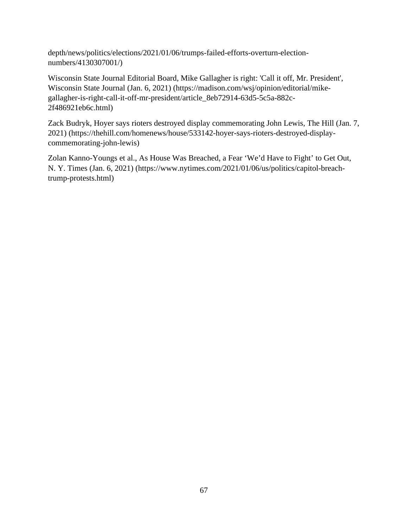depth/news/politics/elections/2021/01/06/trumps-failed-efforts-overturn-electionnumbers/4130307001/)

Wisconsin State Journal Editorial Board, Mike Gallagher is right: 'Call it off, Mr. President', Wisconsin State Journal (Jan. 6, 2021) (https://madison.com/wsj/opinion/editorial/mikegallagher-is-right-call-it-off-mr-president/article\_8eb72914-63d5-5c5a-882c-2f486921eb6c.html)

Zack Budryk, Hoyer says rioters destroyed display commemorating John Lewis, The Hill (Jan. 7, 2021) (https://thehill.com/homenews/house/533142-hoyer-says-rioters-destroyed-displaycommemorating-john-lewis)

Zolan Kanno-Youngs et al., As House Was Breached, a Fear 'We'd Have to Fight' to Get Out, N. Y. Times (Jan. 6, 2021) (https://www.nytimes.com/2021/01/06/us/politics/capitol-breachtrump-protests.html)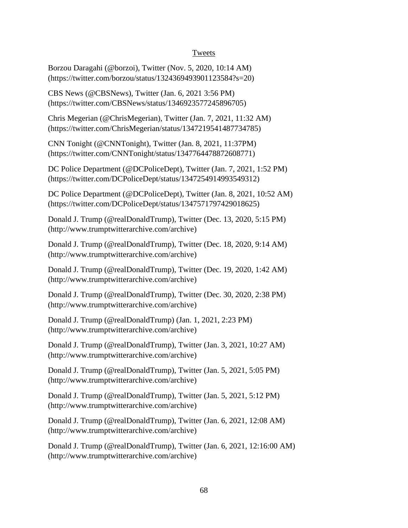### Tweets

Borzou Daragahi (@borzoi), Twitter (Nov. 5, 2020, 10:14 AM) (https://twitter.com/borzou/status/1324369493901123584?s=20)

CBS News (@CBSNews), Twitter (Jan. 6, 2021 3:56 PM) (https://twitter.com/CBSNews/status/1346923577245896705)

Chris Megerian (@ChrisMegerian), Twitter (Jan. 7, 2021, 11:32 AM) (https://twitter.com/ChrisMegerian/status/1347219541487734785)

CNN Tonight (@CNNTonight), Twitter (Jan. 8, 2021, 11:37PM) (https://twitter.com/CNNTonight/status/1347764478872608771)

DC Police Department (@DCPoliceDept), Twitter (Jan. 7, 2021, 1:52 PM) (https://twitter.com/DCPoliceDept/status/1347254914993549312)

DC Police Department (@DCPoliceDept), Twitter (Jan. 8, 2021, 10:52 AM) (https://twitter.com/DCPoliceDept/status/1347571797429018625)

Donald J. Trump (@realDonaldTrump), Twitter (Dec. 13, 2020, 5:15 PM) (http://www.trumptwitterarchive.com/archive)

Donald J. Trump (@realDonaldTrump), Twitter (Dec. 18, 2020, 9:14 AM) (http://www.trumptwitterarchive.com/archive)

Donald J. Trump (@realDonaldTrump), Twitter (Dec. 19, 2020, 1:42 AM) (http://www.trumptwitterarchive.com/archive)

Donald J. Trump (@realDonaldTrump), Twitter (Dec. 30, 2020, 2:38 PM) (http://www.trumptwitterarchive.com/archive)

Donald J. Trump (@realDonaldTrump) (Jan. 1, 2021, 2:23 PM) (http://www.trumptwitterarchive.com/archive)

Donald J. Trump (@realDonaldTrump), Twitter (Jan. 3, 2021, 10:27 AM) (http://www.trumptwitterarchive.com/archive)

Donald J. Trump (@realDonaldTrump), Twitter (Jan. 5, 2021, 5:05 PM) (http://www.trumptwitterarchive.com/archive)

Donald J. Trump (@realDonaldTrump), Twitter (Jan. 5, 2021, 5:12 PM) (http://www.trumptwitterarchive.com/archive)

Donald J. Trump (@realDonaldTrump), Twitter (Jan. 6, 2021, 12:08 AM) (http://www.trumptwitterarchive.com/archive)

Donald J. Trump (@realDonaldTrump), Twitter (Jan. 6, 2021, 12:16:00 AM) (http://www.trumptwitterarchive.com/archive)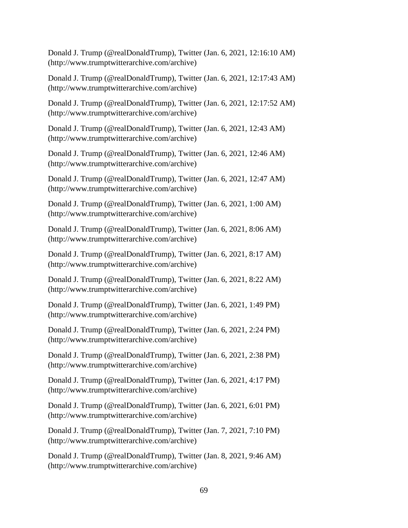Donald J. Trump (@realDonaldTrump), Twitter (Jan. 6, 2021, 12:16:10 AM) (http://www.trumptwitterarchive.com/archive)

Donald J. Trump (@realDonaldTrump), Twitter (Jan. 6, 2021, 12:17:43 AM) (http://www.trumptwitterarchive.com/archive)

Donald J. Trump (@realDonaldTrump), Twitter (Jan. 6, 2021, 12:17:52 AM) (http://www.trumptwitterarchive.com/archive)

Donald J. Trump (@realDonaldTrump), Twitter (Jan. 6, 2021, 12:43 AM) (http://www.trumptwitterarchive.com/archive)

Donald J. Trump (@realDonaldTrump), Twitter (Jan. 6, 2021, 12:46 AM) (http://www.trumptwitterarchive.com/archive)

Donald J. Trump (@realDonaldTrump), Twitter (Jan. 6, 2021, 12:47 AM) (http://www.trumptwitterarchive.com/archive)

Donald J. Trump (@realDonaldTrump), Twitter (Jan. 6, 2021, 1:00 AM) (http://www.trumptwitterarchive.com/archive)

Donald J. Trump (@realDonaldTrump), Twitter (Jan. 6, 2021, 8:06 AM) (http://www.trumptwitterarchive.com/archive)

Donald J. Trump (@realDonaldTrump), Twitter (Jan. 6, 2021, 8:17 AM) (http://www.trumptwitterarchive.com/archive)

Donald J. Trump (@realDonaldTrump), Twitter (Jan. 6, 2021, 8:22 AM) (http://www.trumptwitterarchive.com/archive)

Donald J. Trump (@realDonaldTrump), Twitter (Jan. 6, 2021, 1:49 PM) (http://www.trumptwitterarchive.com/archive)

Donald J. Trump (@realDonaldTrump), Twitter (Jan. 6, 2021, 2:24 PM) (http://www.trumptwitterarchive.com/archive)

Donald J. Trump (@realDonaldTrump), Twitter (Jan. 6, 2021, 2:38 PM) (http://www.trumptwitterarchive.com/archive)

Donald J. Trump (@realDonaldTrump), Twitter (Jan. 6, 2021, 4:17 PM) (http://www.trumptwitterarchive.com/archive)

Donald J. Trump (@realDonaldTrump), Twitter (Jan. 6, 2021, 6:01 PM) (http://www.trumptwitterarchive.com/archive)

Donald J. Trump (@realDonaldTrump), Twitter (Jan. 7, 2021, 7:10 PM) (http://www.trumptwitterarchive.com/archive)

Donald J. Trump (@realDonaldTrump), Twitter (Jan. 8, 2021, 9:46 AM) (http://www.trumptwitterarchive.com/archive)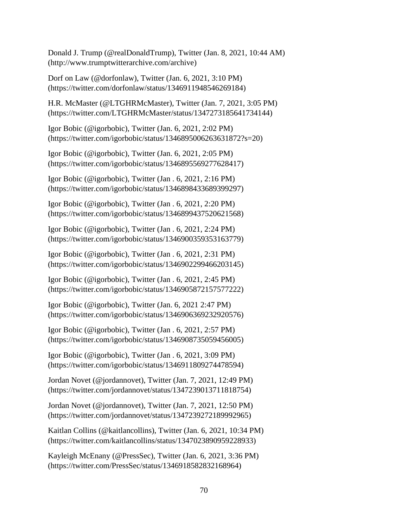Donald J. Trump (@realDonaldTrump), Twitter (Jan. 8, 2021, 10:44 AM) (http://www.trumptwitterarchive.com/archive)

Dorf on Law (@dorfonlaw), Twitter (Jan. 6, 2021, 3:10 PM) (https://twitter.com/dorfonlaw/status/1346911948546269184)

H.R. McMaster (@LTGHRMcMaster), Twitter (Jan. 7, 2021, 3:05 PM) (https://twitter.com/LTGHRMcMaster/status/1347273185641734144)

Igor Bobic (@igorbobic), Twitter (Jan. 6, 2021, 2:02 PM) (https://twitter.com/igorbobic/status/1346895006263631872?s=20)

Igor Bobic (@igorbobic), Twitter (Jan. 6, 2021, 2:05 PM) (https://twitter.com/igorbobic/status/1346895569277628417)

Igor Bobic (@igorbobic), Twitter (Jan . 6, 2021, 2:16 PM) (https://twitter.com/igorbobic/status/1346898433689399297)

Igor Bobic (@igorbobic), Twitter (Jan . 6, 2021, 2:20 PM) (https://twitter.com/igorbobic/status/1346899437520621568)

Igor Bobic (@igorbobic), Twitter (Jan . 6, 2021, 2:24 PM) (https://twitter.com/igorbobic/status/1346900359353163779)

Igor Bobic (@igorbobic), Twitter (Jan . 6, 2021, 2:31 PM) (https://twitter.com/igorbobic/status/1346902299466203145)

Igor Bobic (@igorbobic), Twitter (Jan . 6, 2021, 2:45 PM) (https://twitter.com/igorbobic/status/1346905872157577222)

Igor Bobic (@igorbobic), Twitter (Jan. 6, 2021 2:47 PM) (https://twitter.com/igorbobic/status/1346906369232920576)

Igor Bobic (@igorbobic), Twitter (Jan . 6, 2021, 2:57 PM) (https://twitter.com/igorbobic/status/1346908735059456005)

Igor Bobic (@igorbobic), Twitter (Jan . 6, 2021, 3:09 PM) (https://twitter.com/igorbobic/status/1346911809274478594)

Jordan Novet (@jordannovet), Twitter (Jan. 7, 2021, 12:49 PM) (https://twitter.com/jordannovet/status/1347239013711818754)

Jordan Novet (@jordannovet), Twitter (Jan. 7, 2021, 12:50 PM) (https://twitter.com/jordannovet/status/1347239272189992965)

Kaitlan Collins (@kaitlancollins), Twitter (Jan. 6, 2021, 10:34 PM) (https://twitter.com/kaitlancollins/status/1347023890959228933)

Kayleigh McEnany (@PressSec), Twitter (Jan. 6, 2021, 3:36 PM) (https://twitter.com/PressSec/status/1346918582832168964)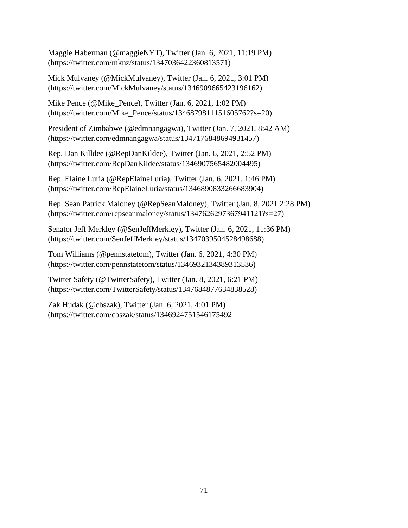Maggie Haberman (@maggieNYT), Twitter (Jan. 6, 2021, 11:19 PM) (https://twitter.com/mknz/status/1347036422360813571)

Mick Mulvaney (@MickMulvaney), Twitter (Jan. 6, 2021, 3:01 PM) (https://twitter.com/MickMulvaney/status/1346909665423196162)

Mike Pence (@Mike\_Pence), Twitter (Jan. 6, 2021, 1:02 PM) (https://twitter.com/Mike\_Pence/status/1346879811151605762?s=20)

President of Zimbabwe (@edmnangagwa), Twitter (Jan. 7, 2021, 8:42 AM) (https://twitter.com/edmnangagwa/status/1347176848694931457)

Rep. Dan Killdee (@RepDanKildee), Twitter (Jan. 6, 2021, 2:52 PM) (https://twitter.com/RepDanKildee/status/1346907565482004495)

Rep. Elaine Luria (@RepElaineLuria), Twitter (Jan. 6, 2021, 1:46 PM) (https://twitter.com/RepElaineLuria/status/1346890833266683904)

Rep. Sean Patrick Maloney (@RepSeanMaloney), Twitter (Jan. 8, 2021 2:28 PM) (https://twitter.com/repseanmaloney/status/1347626297367941121?s=27)

Senator Jeff Merkley (@SenJeffMerkley), Twitter (Jan. 6, 2021, 11:36 PM) (https://twitter.com/SenJeffMerkley/status/1347039504528498688)

Tom Williams (@pennstatetom), Twitter (Jan. 6, 2021, 4:30 PM) (https://twitter.com/pennstatetom/status/1346932134389313536)

Twitter Safety (@TwitterSafety), Twitter (Jan. 8, 2021, 6:21 PM) (https://twitter.com/TwitterSafety/status/1347684877634838528)

Zak Hudak (@cbszak), Twitter (Jan. 6, 2021, 4:01 PM) (https://twitter.com/cbszak/status/1346924751546175492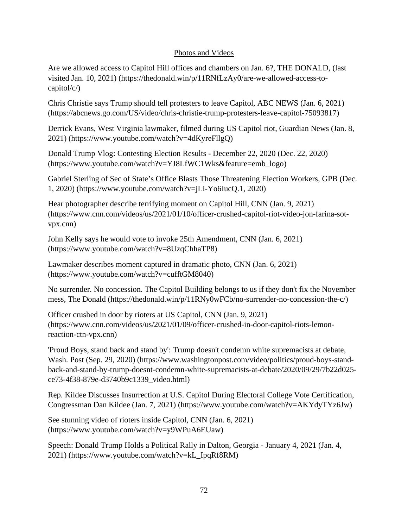## Photos and Videos

Are we allowed access to Capitol Hill offices and chambers on Jan. 6?, THE DONALD, (last visited Jan. 10, 2021) (https://thedonald.win/p/11RNfLzAy0/are-we-allowed-access-tocapitol/c/)

Chris Christie says Trump should tell protesters to leave Capitol, ABC NEWS (Jan. 6, 2021) (https://abcnews.go.com/US/video/chris-christie-trump-protesters-leave-capitol-75093817)

Derrick Evans, West Virginia lawmaker, filmed during US Capitol riot, Guardian News (Jan. 8, 2021) (https://www.youtube.com/watch?v=4dKyreFllgQ)

Donald Trump Vlog: Contesting Election Results - December 22, 2020 (Dec. 22, 2020) (https://www.youtube.com/watch?v=YJ8LfWC1Wks&feature=emb\_logo)

Gabriel Sterling of Sec of State's Office Blasts Those Threatening Election Workers, GPB (Dec. 1, 2020) (https://www.youtube.com/watch?v=jLi-Yo6IucQ.1, 2020)

Hear photographer describe terrifying moment on Capitol Hill, CNN (Jan. 9, 2021) (https://www.cnn.com/videos/us/2021/01/10/officer-crushed-capitol-riot-video-jon-farina-sotvpx.cnn)

John Kelly says he would vote to invoke 25th Amendment, CNN (Jan. 6, 2021) (https://www.youtube.com/watch?v=8UzqChhaTP8)

Lawmaker describes moment captured in dramatic photo, CNN (Jan. 6, 2021) (https://www.youtube.com/watch?v=cufftGM8040)

No surrender. No concession. The Capitol Building belongs to us if they don't fix the November mess, The Donald (https://thedonald.win/p/11RNy0wFCb/no-surrender-no-concession-the-c/)

Officer crushed in door by rioters at US Capitol, CNN (Jan. 9, 2021) (https://www.cnn.com/videos/us/2021/01/09/officer-crushed-in-door-capitol-riots-lemonreaction-ctn-vpx.cnn)

'Proud Boys, stand back and stand by': Trump doesn't condemn white supremacists at debate, Wash. Post (Sep. 29, 2020) (https://www.washingtonpost.com/video/politics/proud-boys-standback-and-stand-by-trump-doesnt-condemn-white-supremacists-at-debate/2020/09/29/7b22d025 ce73-4f38-879e-d3740b9c1339\_video.html)

Rep. Kildee Discusses Insurrection at U.S. Capitol During Electoral College Vote Certification, Congressman Dan Kildee (Jan. 7, 2021) (https://www.youtube.com/watch?v=AKYdyTYz6Jw)

See stunning video of rioters inside Capitol, CNN (Jan. 6, 2021) (https://www.youtube.com/watch?v=y9WPuA6EUaw)

Speech: Donald Trump Holds a Political Rally in Dalton, Georgia - January 4, 2021 (Jan. 4, 2021) (https://www.youtube.com/watch?v=kL\_IpqRf8RM)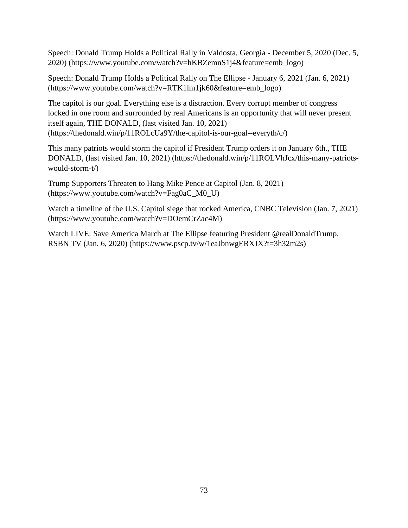Speech: Donald Trump Holds a Political Rally in Valdosta, Georgia - December 5, 2020 (Dec. 5, 2020) (https://www.youtube.com/watch?v=hKBZemnS1j4&feature=emb\_logo)

Speech: Donald Trump Holds a Political Rally on The Ellipse - January 6, 2021 (Jan. 6, 2021) (https://www.youtube.com/watch?v=RTK1lm1jk60&feature=emb\_logo)

The capitol is our goal. Everything else is a distraction. Every corrupt member of congress locked in one room and surrounded by real Americans is an opportunity that will never present itself again, THE DONALD, (last visited Jan. 10, 2021) (https://thedonald.win/p/11ROLcUa9Y/the-capitol-is-our-goal--everyth/c/)

This many patriots would storm the capitol if President Trump orders it on January 6th., THE DONALD, (last visited Jan. 10, 2021) (https://thedonald.win/p/11ROLVhJcx/this-many-patriotswould-storm-t/)

Trump Supporters Threaten to Hang Mike Pence at Capitol (Jan. 8, 2021) (https://www.youtube.com/watch?v=Fag0aC\_M0\_U)

Watch a timeline of the U.S. Capitol siege that rocked America, CNBC Television (Jan. 7, 2021) (https://www.youtube.com/watch?v=DOemCrZac4M)

Watch LIVE: Save America March at The Ellipse featuring President @realDonaldTrump, RSBN TV (Jan. 6, 2020) (https://www.pscp.tv/w/1eaJbnwgERXJX?t=3h32m2s)